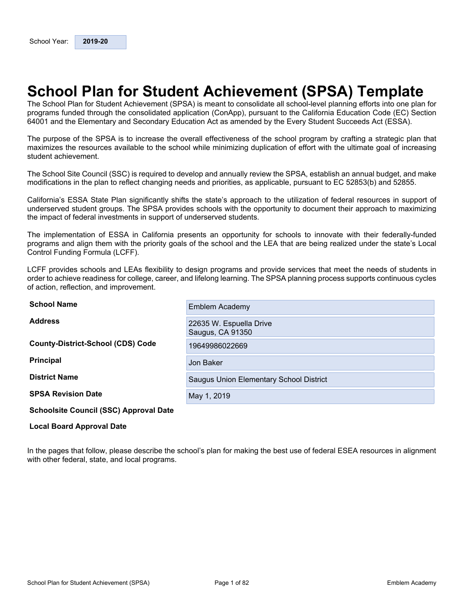# <span id="page-0-0"></span>**School Plan for Student Achievement (SPSA) Template**

The School Plan for Student Achievement (SPSA) is meant to consolidate all school-level planning efforts into one plan for programs funded through the consolidated application (ConApp), pursuant to the California Education Code (EC) Section 64001 and the Elementary and Secondary Education Act as amended by the Every Student Succeeds Act (ESSA).

The purpose of the SPSA is to increase the overall effectiveness of the school program by crafting a strategic plan that maximizes the resources available to the school while minimizing duplication of effort with the ultimate goal of increasing student achievement.

The School Site Council (SSC) is required to develop and annually review the SPSA, establish an annual budget, and make modifications in the plan to reflect changing needs and priorities, as applicable, pursuant to EC 52853(b) and 52855.

California's ESSA State Plan significantly shifts the state's approach to the utilization of federal resources in support of underserved student groups. The SPSA provides schools with the opportunity to document their approach to maximizing the impact of federal investments in support of underserved students.

The implementation of ESSA in California presents an opportunity for schools to innovate with their federally-funded programs and align them with the priority goals of the school and the LEA that are being realized under the state's Local Control Funding Formula (LCFF).

LCFF provides schools and LEAs flexibility to design programs and provide services that meet the needs of students in order to achieve readiness for college, career, and lifelong learning. The SPSA planning process supports continuous cycles of action, reflection, and improvement.

| <b>School Name</b>                            | <b>Emblem Academy</b>                       |
|-----------------------------------------------|---------------------------------------------|
| <b>Address</b>                                | 22635 W. Espuella Drive<br>Saugus, CA 91350 |
| <b>County-District-School (CDS) Code</b>      | 19649986022669                              |
| <b>Principal</b>                              | Jon Baker                                   |
| <b>District Name</b>                          | Saugus Union Elementary School District     |
| <b>SPSA Revision Date</b>                     | May 1, 2019                                 |
| <b>Schoolsite Council (SSC) Approval Date</b> |                                             |

#### **Local Board Approval Date**

In the pages that follow, please describe the school's plan for making the best use of federal ESEA resources in alignment with other federal, state, and local programs.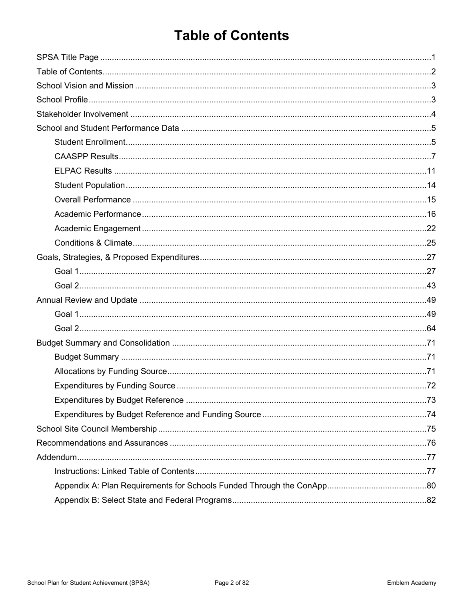# <span id="page-1-0"></span>**Table of Contents**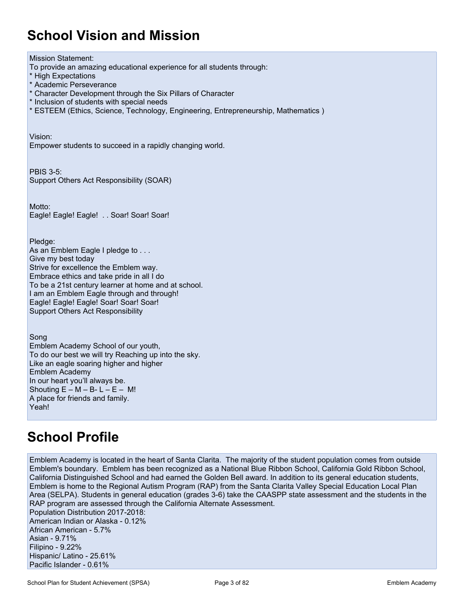# <span id="page-2-0"></span>**School Vision and Mission**

Mission Statement: To provide an amazing educational experience for all students through: \* High Expectations \* Academic Perseverance \* Character Development through the Six Pillars of Character \* Inclusion of students with special needs \* ESTEEM (Ethics, Science, Technology, Engineering, Entrepreneurship, Mathematics ) Vision: Empower students to succeed in a rapidly changing world. PBIS 3-5: Support Others Act Responsibility (SOAR) Motto: Eagle! Eagle! Eagle! . . Soar! Soar! Soar! Pledge: As an Emblem Eagle I pledge to . . . Give my best today Strive for excellence the Emblem way. Embrace ethics and take pride in all I do To be a 21st century learner at home and at school. I am an Emblem Eagle through and through! Eagle! Eagle! Eagle! Soar! Soar! Soar! Support Others Act Responsibility Song Emblem Academy School of our youth, To do our best we will try Reaching up into the sky. Like an eagle soaring higher and higher Emblem Academy In our heart you'll always be. Shouting  $E - M - B - L - E - M!$ A place for friends and family.

## <span id="page-2-1"></span>**School Profile**

Yeah!

Emblem Academy is located in the heart of Santa Clarita. The majority of the student population comes from outside Emblem's boundary. Emblem has been recognized as a National Blue Ribbon School, California Gold Ribbon School, California Distinguished School and had earned the Golden Bell award. In addition to its general education students, Emblem is home to the Regional Autism Program (RAP) from the Santa Clarita Valley Special Education Local Plan Area (SELPA). Students in general education (grades 3-6) take the CAASPP state assessment and the students in the RAP program are assessed through the California Alternate Assessment. Population Distribution 2017-2018: American Indian or Alaska - 0.12% African American - 5.7% Asian - 9.71% Filipino - 9.22% Hispanic/ Latino - 25.61% Pacific Islander - 0.61%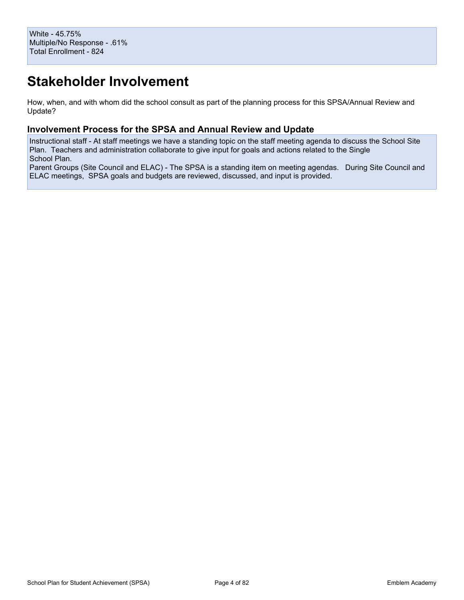# <span id="page-3-0"></span>**Stakeholder Involvement**

How, when, and with whom did the school consult as part of the planning process for this SPSA/Annual Review and Update?

### **Involvement Process for the SPSA and Annual Review and Update**

Instructional staff - At staff meetings we have a standing topic on the staff meeting agenda to discuss the School Site Plan. Teachers and administration collaborate to give input for goals and actions related to the Single School Plan.

Parent Groups (Site Council and ELAC) - The SPSA is a standing item on meeting agendas. During Site Council and ELAC meetings, SPSA goals and budgets are reviewed, discussed, and input is provided.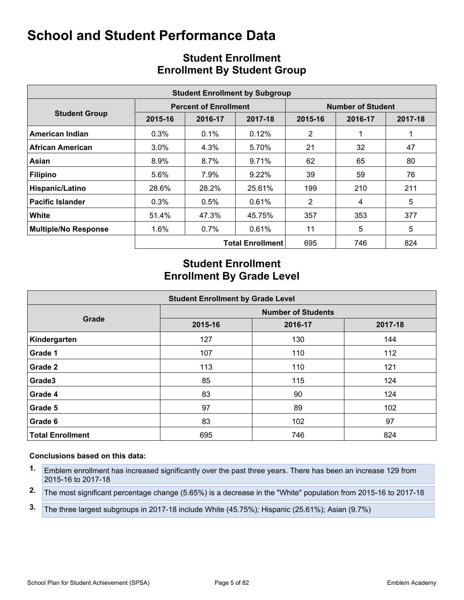<span id="page-4-0"></span>

|                             |         |                              | <b>Student Enrollment by Subgroup</b> |                |                          |         |  |
|-----------------------------|---------|------------------------------|---------------------------------------|----------------|--------------------------|---------|--|
|                             |         | <b>Percent of Enrollment</b> |                                       |                | <b>Number of Student</b> |         |  |
| <b>Student Group</b>        | 2015-16 | 2016-17                      | 2017-18                               | 2015-16        | 2016-17                  | 2017-18 |  |
| American Indian             | 0.3%    | $0.1\%$                      | 0.12%                                 | 2              |                          | 1       |  |
| <b>African American</b>     | $3.0\%$ | 4.3%                         | 5.70%                                 | 21             | 32                       | 47      |  |
| Asian                       | 8.9%    | $8.7\%$                      | 9.71%                                 | 62             | 65                       | 80      |  |
| <b>Filipino</b>             | 5.6%    | 7.9%                         | $9.22\%$                              | 39             | 59                       | 76      |  |
| Hispanic/Latino             | 28.6%   | 28.2%                        | 25.61%                                | 199            | 210                      | 211     |  |
| <b>Pacific Islander</b>     | 0.3%    | $0.5\%$                      | 0.61%                                 | $\overline{2}$ | 4                        | 5       |  |
| White                       | 51.4%   | 47.3%                        | 45.75%                                | 357            | 353                      | 377     |  |
| <b>Multiple/No Response</b> | 1.6%    | $0.7\%$                      | 0.61%                                 | 11             | 5                        | 5       |  |
|                             |         |                              | <b>Total Enrollment</b>               | 695            | 746                      | 824     |  |

## <span id="page-4-1"></span>**Student Enrollment Enrollment By Student Group**

## **Student Enrollment Enrollment By Grade Level**

| <b>Student Enrollment by Grade Level</b> |                           |         |         |  |  |  |  |  |  |  |
|------------------------------------------|---------------------------|---------|---------|--|--|--|--|--|--|--|
|                                          | <b>Number of Students</b> |         |         |  |  |  |  |  |  |  |
| Grade                                    | 2015-16                   | 2016-17 | 2017-18 |  |  |  |  |  |  |  |
| Kindergarten                             | 127                       | 130     | 144     |  |  |  |  |  |  |  |
| Grade 1                                  | 107                       | 110     | 112     |  |  |  |  |  |  |  |
| Grade 2                                  | 113                       | 110     | 121     |  |  |  |  |  |  |  |
| Grade3                                   | 85                        | 115     | 124     |  |  |  |  |  |  |  |
| Grade 4                                  | 83                        | 90      | 124     |  |  |  |  |  |  |  |
| Grade 5                                  | 97                        | 89      | 102     |  |  |  |  |  |  |  |
| Grade 6                                  | 83                        | 102     | 97      |  |  |  |  |  |  |  |
| <b>Total Enrollment</b>                  | 695                       | 746     | 824     |  |  |  |  |  |  |  |

- **1.** Emblem enrollment has increased significantly over the past three years. There has been an increase 129 from 2015-16 to 2017-18
- **2.** The most significant percentage change (5.65%) is a decrease in the "White" population from 2015-16 to 2017-18
- **3.** The three largest subgroups in 2017-18 include White (45.75%); Hispanic (25.61%); Asian (9.7%)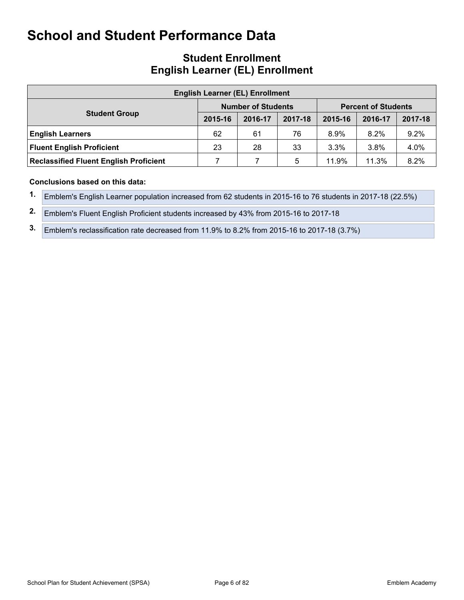## **Student Enrollment English Learner (EL) Enrollment**

| <b>English Learner (EL) Enrollment</b>        |                                                         |         |         |         |         |         |  |  |  |  |  |
|-----------------------------------------------|---------------------------------------------------------|---------|---------|---------|---------|---------|--|--|--|--|--|
|                                               | <b>Number of Students</b><br><b>Percent of Students</b> |         |         |         |         |         |  |  |  |  |  |
| <b>Student Group</b>                          | 2015-16                                                 | 2016-17 | 2017-18 | 2015-16 | 2016-17 | 2017-18 |  |  |  |  |  |
| <b>English Learners</b>                       | 62                                                      | 61      | 76      | $8.9\%$ | 8.2%    | 9.2%    |  |  |  |  |  |
| <b>Fluent English Proficient</b>              | 23                                                      | 28      | 33      | $3.3\%$ | 3.8%    | 4.0%    |  |  |  |  |  |
| <b>Reclassified Fluent English Proficient</b> |                                                         |         | 5       | 11.9%   | 11.3%   | 8.2%    |  |  |  |  |  |

### **Conclusions based on this data:**

**1.** Emblem's English Learner population increased from 62 students in 2015-16 to 76 students in 2017-18 (22.5%)

**2.** Emblem's Fluent English Proficient students increased by 43% from 2015-16 to 2017-18

**3.** Emblem's reclassification rate decreased from 11.9% to 8.2% from 2015-16 to 2017-18 (3.7%)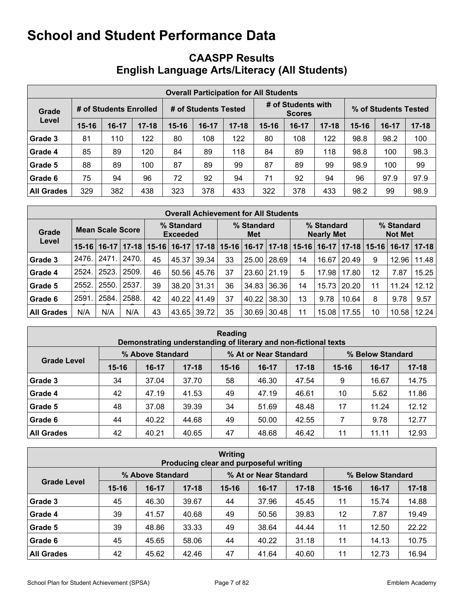## <span id="page-6-0"></span>**CAASPP Results English Language Arts/Literacy (All Students)**

|                   | <b>Overall Participation for All Students</b> |                        |           |                      |         |           |                                     |         |           |                      |       |           |  |
|-------------------|-----------------------------------------------|------------------------|-----------|----------------------|---------|-----------|-------------------------------------|---------|-----------|----------------------|-------|-----------|--|
| Grade             |                                               | # of Students Enrolled |           | # of Students Tested |         |           | # of Students with<br><b>Scores</b> |         |           | % of Students Tested |       |           |  |
| Level             | $15 - 16$                                     | $16-17$                | $17 - 18$ | $15 - 16$            | $16-17$ | $17 - 18$ | 15-16                               | $16-17$ | $17 - 18$ | $15 - 16$            | 16-17 | $17 - 18$ |  |
| Grade 3           | 81                                            | 110                    | 122       | 80                   | 108     | 122       | 80                                  | 108     | 122       | 98.8                 | 98.2  | 100       |  |
| Grade 4           | 85                                            | 89                     | 120       | 84                   | 89      | 118       | 84                                  | 89      | 118       | 98.8                 | 100   | 98.3      |  |
| Grade 5           | 88                                            | 89                     | 100       | 87                   | 89      | 99        | 87                                  | 89      | 99        | 98.9                 | 100   | 99        |  |
| Grade 6           | 75                                            | 94                     | 96        | 72                   | 92      | 94        | 71                                  | 92      | 94        | 96                   | 97.9  | 97.9      |  |
| <b>All Grades</b> | 329                                           | 382                    | 438       | 323                  | 378     | 433       | 322                                 | 378     | 433       | 98.2                 | 99    | 98.9      |  |

|                   | <b>Overall Achievement for All Students</b> |         |       |                               |         |           |                   |         |           |                                 |         |       |                              |         |       |
|-------------------|---------------------------------------------|---------|-------|-------------------------------|---------|-----------|-------------------|---------|-----------|---------------------------------|---------|-------|------------------------------|---------|-------|
| Grade             | <b>Mean Scale Score</b>                     |         |       | % Standard<br><b>Exceeded</b> |         |           | % Standard<br>Met |         |           | % Standard<br><b>Nearly Met</b> |         |       | % Standard<br><b>Not Met</b> |         |       |
| Level             | $15 - 16$                                   | $16-17$ |       | $17 - 18$   15-16             | $16-17$ | $17 - 18$ | $15 - 16$         | $16-17$ | $17 - 18$ | $15 - 16$                       | $16-17$ |       | $17 - 18$   15-16            | $16-17$ | 17-18 |
| Grade 3           | 2476.                                       | 2471    | 2470. | 45                            | 45.37   | 39.34     | 33                | 25.00   | 28.69     | 14                              | 16.67   | 20.49 | 9                            | 12.96   | 11.48 |
| Grade 4           | 2524.                                       | 2523.   | 2509. | 46                            | 50.56   | 45.76     | 37                | 23.60   | 21.19     | 5                               | 17.98   | 17.80 | 12                           | 7.87    | 15.25 |
| Grade 5           | 2552.                                       | 2550.   | 2537. | 39                            | 38.20   | 31.31     | 36                | 34.83   | 36.36     | 14                              | 15.73   | 20.20 | 11                           | 11.24   | 12.12 |
| Grade 6           | 2591.                                       | 2584.   | 2588. | 42                            | 40.22   | 41.49     | 37                | 40.22   | 38.30     | 13                              | 9.78    | 10.64 | 8                            | 9.78    | 9.57  |
| <b>All Grades</b> | N/A                                         | N/A     | N/A   | 43                            | 43.65   | 39.72     | 35                | 30.69   | 30.48     | 11                              | 15.08   | 17.55 | 10                           | 10.58   | 12.24 |

| Reading<br>Demonstrating understanding of literary and non-fictional texts |           |                  |           |           |                       |           |                  |         |           |  |  |  |
|----------------------------------------------------------------------------|-----------|------------------|-----------|-----------|-----------------------|-----------|------------------|---------|-----------|--|--|--|
|                                                                            |           | % Above Standard |           |           | % At or Near Standard |           | % Below Standard |         |           |  |  |  |
| <b>Grade Level</b>                                                         | $15 - 16$ | $16-17$          | $17 - 18$ | $15 - 16$ | $16-17$               | $17 - 18$ | $15 - 16$        | $16-17$ | $17 - 18$ |  |  |  |
| Grade 3                                                                    | 34        | 37.04            | 37.70     | 58        | 46.30                 | 47.54     | 9                | 16.67   | 14.75     |  |  |  |
| Grade 4                                                                    | 42        | 47.19            | 41.53     | 49        | 47.19                 | 46.61     | 10               | 5.62    | 11.86     |  |  |  |
| Grade 5                                                                    | 48        | 37.08            | 39.39     | 34        | 51.69                 | 48.48     | 17               | 11.24   | 12.12     |  |  |  |
| Grade 6                                                                    | 44        | 40.22            | 44.68     | 49        | 50.00                 | 42.55     | 7                | 9.78    | 12.77     |  |  |  |
| <b>All Grades</b>                                                          | 42        | 40.21            | 40.65     | 47        | 48.68                 | 46.42     | 11               | 11.11   | 12.93     |  |  |  |

| <b>Writing</b><br>Producing clear and purposeful writing |           |                  |           |           |                       |           |                  |         |           |  |  |  |
|----------------------------------------------------------|-----------|------------------|-----------|-----------|-----------------------|-----------|------------------|---------|-----------|--|--|--|
|                                                          |           | % Above Standard |           |           | % At or Near Standard |           | % Below Standard |         |           |  |  |  |
| <b>Grade Level</b>                                       | $15 - 16$ | $16-17$          | $17 - 18$ | $15 - 16$ | $16-17$               | $17 - 18$ | $15 - 16$        | $16-17$ | $17 - 18$ |  |  |  |
| Grade 3                                                  | 45        | 46.30            | 39.67     | 44        | 37.96                 | 45.45     | 11               | 15.74   | 14.88     |  |  |  |
| Grade 4                                                  | 39        | 41.57            | 40.68     | 49        | 50.56                 | 39.83     | 12               | 7.87    | 19.49     |  |  |  |
| Grade 5                                                  | 39        | 48.86            | 33.33     | 49        | 38.64                 | 44.44     | 11               | 12.50   | 22.22     |  |  |  |
| Grade 6                                                  | 45        | 45.65            | 58.06     | 44        | 40.22                 | 31.18     | 11               | 14.13   | 10.75     |  |  |  |
| <b>All Grades</b>                                        | 42        | 45.62            | 42.46     | 47        | 41.64                 | 40.60     | 11               | 12.73   | 16.94     |  |  |  |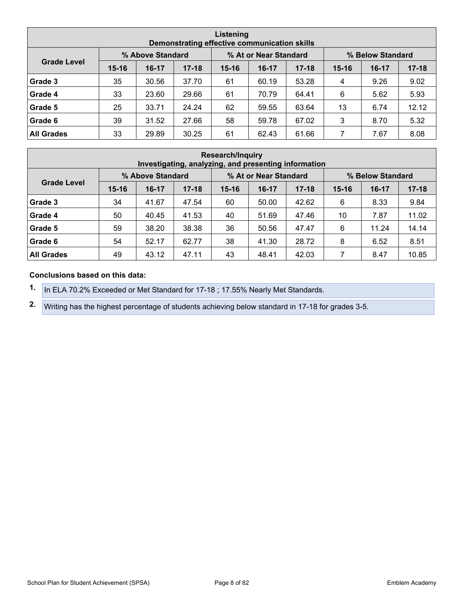| Listening<br>Demonstrating effective communication skills |           |                  |           |           |                       |           |           |                  |           |  |  |  |
|-----------------------------------------------------------|-----------|------------------|-----------|-----------|-----------------------|-----------|-----------|------------------|-----------|--|--|--|
|                                                           |           | % Above Standard |           |           | % At or Near Standard |           |           | % Below Standard |           |  |  |  |
| <b>Grade Level</b>                                        | $15 - 16$ | $16-17$          | $17 - 18$ | $15 - 16$ | $16-17$               | $17 - 18$ | $15 - 16$ | $16-17$          | $17 - 18$ |  |  |  |
| Grade 3                                                   | 35        | 30.56            | 37.70     | 61        | 60.19                 | 53.28     | 4         | 9.26             | 9.02      |  |  |  |
| Grade 4                                                   | 33        | 23.60            | 29.66     | 61        | 70.79                 | 64.41     | 6         | 5.62             | 5.93      |  |  |  |
| Grade 5                                                   | 25        | 33.71            | 24.24     | 62        | 59.55                 | 63.64     | 13        | 6.74             | 12.12     |  |  |  |
| Grade 6                                                   | 39        | 31.52            | 27.66     | 58        | 59.78                 | 67.02     | 3         | 8.70             | 5.32      |  |  |  |
| <b>All Grades</b>                                         | 33        | 29.89            | 30.25     | 61        | 62.43                 | 61.66     | 7         | 7.67             | 8.08      |  |  |  |

| <b>Research/Inquiry</b><br>Investigating, analyzing, and presenting information |           |                  |           |           |                       |           |           |                  |           |  |  |  |
|---------------------------------------------------------------------------------|-----------|------------------|-----------|-----------|-----------------------|-----------|-----------|------------------|-----------|--|--|--|
|                                                                                 |           | % Above Standard |           |           | % At or Near Standard |           |           | % Below Standard |           |  |  |  |
| <b>Grade Level</b>                                                              | $15 - 16$ | $16-17$          | $17 - 18$ | $15 - 16$ | $16 - 17$             | $17 - 18$ | $15 - 16$ | $16-17$          | $17 - 18$ |  |  |  |
| Grade 3                                                                         | 34        | 41.67            | 47.54     | 60        | 50.00                 | 42.62     | 6         | 8.33             | 9.84      |  |  |  |
| Grade 4                                                                         | 50        | 40.45            | 41.53     | 40        | 51.69                 | 47.46     | 10        | 7.87             | 11.02     |  |  |  |
| Grade 5                                                                         | 59        | 38.20            | 38.38     | 36        | 50.56                 | 47.47     | 6         | 11.24            | 14.14     |  |  |  |
| Grade 6                                                                         | 54        | 52.17            | 62.77     | 38        | 41.30                 | 28.72     | 8         | 6.52             | 8.51      |  |  |  |
| <b>All Grades</b>                                                               | 49        | 43.12            | 47.11     | 43        | 48.41                 | 42.03     | 7         | 8.47             | 10.85     |  |  |  |

### **Conclusions based on this data:**

**1.** In ELA 70.2% Exceeded or Met Standard for 17-18 ; 17.55% Nearly Met Standards.

**2.** Writing has the highest percentage of students achieving below standard in 17-18 for grades 3-5.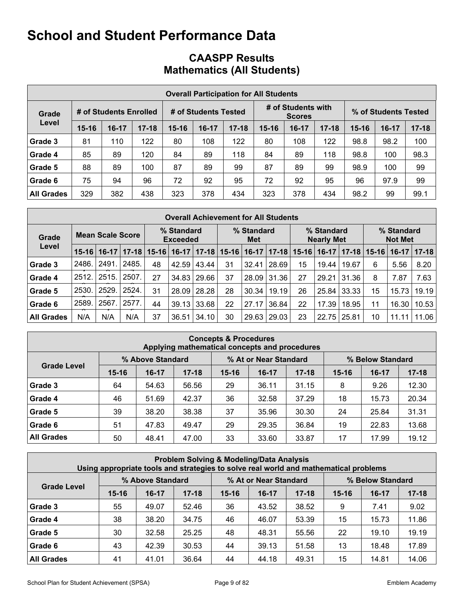## **CAASPP Results Mathematics (All Students)**

|                   | <b>Overall Participation for All Students</b> |                        |           |           |                      |           |           |                                     |           |                      |       |           |  |
|-------------------|-----------------------------------------------|------------------------|-----------|-----------|----------------------|-----------|-----------|-------------------------------------|-----------|----------------------|-------|-----------|--|
| Grade             |                                               | # of Students Enrolled |           |           | # of Students Tested |           |           | # of Students with<br><b>Scores</b> |           | % of Students Tested |       |           |  |
| Level             | $15 - 16$                                     | $16 - 17$              | $17 - 18$ | $15 - 16$ | $16-17$              | $17 - 18$ | $15 - 16$ | $16-17$                             | $17 - 18$ | $15 - 16$            | 16-17 | $17 - 18$ |  |
| Grade 3           | 81                                            | 110                    | 122       | 80        | 108                  | 122       | 80        | 108                                 | 122       | 98.8                 | 98.2  | 100       |  |
| Grade 4           | 85                                            | 89                     | 120       | 84        | 89                   | 118       | 84        | 89                                  | 118       | 98.8                 | 100   | 98.3      |  |
| Grade 5           | 88                                            | 89                     | 100       | 87        | 89                   | 99        | 87        | 89                                  | 99        | 98.9                 | 100   | 99        |  |
| Grade 6           | 75                                            | 94                     | 96        | 72        | 92                   | 95        | 72        | 92                                  | 95        | 96                   | 97.9  | 99        |  |
| <b>All Grades</b> | 329                                           | 382                    | 438       | 323       | 378                  | 434       | 323       | 378                                 | 434       | 98.2                 | 99    | 99.1      |  |

| <b>Overall Achievement for All Students</b> |         |                         |           |           |                               |           |    |                                                                    |           |           |                |       |                   |         |           |
|---------------------------------------------|---------|-------------------------|-----------|-----------|-------------------------------|-----------|----|--------------------------------------------------------------------|-----------|-----------|----------------|-------|-------------------|---------|-----------|
| Grade                                       |         | <b>Mean Scale Score</b> |           |           | % Standard<br><b>Exceeded</b> |           |    | % Standard<br>% Standard<br>% Standard<br><b>Nearly Met</b><br>Met |           |           | <b>Not Met</b> |       |                   |         |           |
| Level                                       | $15-16$ | $16-17$                 | $17 - 18$ | $15 - 16$ | $16-17$                       | $17 - 18$ |    | $15 - 16$   16-17                                                  | $17 - 18$ | $15 - 16$ | $16-17$        |       | $17 - 18$   15-16 | $16-17$ | $17 - 18$ |
| Grade 3                                     | 2486.   | 2491.                   | 2485.     | 48        | 42.59                         | 43.44     | 31 | 32.41                                                              | 28.69     | 15        | 19.44          | 19.67 | 6                 | 5.56    | 8.20      |
| Grade 4                                     | 2512.   | 2515.                   | 2507.     | 27        | 34.83                         | 29.66     | 37 | 28.09                                                              | 31.36     | 27        | 29.21          | 31.36 | 8                 | 7.87    | 7.63      |
| Grade 5                                     | 2530.   | 2529.                   | 2524.     | 31        | 28.09                         | 28.28     | 28 | 30.34                                                              | 19.19     | 26        | 25.84          | 33.33 | 15                | 15.73   | 19.19     |
| Grade 6                                     | 2589.   | 2567                    | 2577.     | 44        | 39.13                         | 33.68     | 22 | 27.17                                                              | 36.84     | 22        | 17.39          | 18.95 | 11                | 16.30   | 10.53     |
| <b>All Grades</b>                           | N/A     | N/A                     | N/A       | 37        | 36.51                         | 34.10     | 30 | 29.63                                                              | 29.03     | 23        | 22.75   25.81  |       | 10                | 11.11   | 11.06     |

| <b>Concepts &amp; Procedures</b><br>Applying mathematical concepts and procedures |           |                  |           |                       |         |           |           |                  |           |  |  |
|-----------------------------------------------------------------------------------|-----------|------------------|-----------|-----------------------|---------|-----------|-----------|------------------|-----------|--|--|
|                                                                                   |           | % Above Standard |           | % At or Near Standard |         |           |           | % Below Standard |           |  |  |
| <b>Grade Level</b>                                                                | $15 - 16$ | $16-17$          | $17 - 18$ | $15 - 16$             | $16-17$ | $17 - 18$ | $15 - 16$ | $16-17$          | $17 - 18$ |  |  |
| Grade 3                                                                           | 64        | 54.63            | 56.56     | 29                    | 36.11   | 31.15     | 8         | 9.26             | 12.30     |  |  |
| Grade 4                                                                           | 46        | 51.69            | 42.37     | 36                    | 32.58   | 37.29     | 18        | 15.73            | 20.34     |  |  |
| Grade 5                                                                           | 39        | 38.20            | 38.38     | 37                    | 35.96   | 30.30     | 24        | 25.84            | 31.31     |  |  |
| Grade 6                                                                           | 51        | 47.83            | 49.47     | 29                    | 29.35   | 36.84     | 19        | 22.83            | 13.68     |  |  |
| <b>All Grades</b>                                                                 | 50        | 48.41            | 47.00     | 33                    | 33.60   | 33.87     | 17        | 17.99            | 19.12     |  |  |

| <b>Problem Solving &amp; Modeling/Data Analysis</b><br>Using appropriate tools and strategies to solve real world and mathematical problems |           |                  |           |                                           |         |           |           |           |           |  |  |
|---------------------------------------------------------------------------------------------------------------------------------------------|-----------|------------------|-----------|-------------------------------------------|---------|-----------|-----------|-----------|-----------|--|--|
|                                                                                                                                             |           | % Above Standard |           | % At or Near Standard<br>% Below Standard |         |           |           |           |           |  |  |
| <b>Grade Level</b>                                                                                                                          | $15 - 16$ | $16-17$          | $17 - 18$ | $15 - 16$                                 | $16-17$ | $17 - 18$ | $15 - 16$ | $16 - 17$ | $17 - 18$ |  |  |
| Grade 3                                                                                                                                     | 55        | 49.07            | 52.46     | 36                                        | 43.52   | 38.52     | 9         | 7.41      | 9.02      |  |  |
| Grade 4                                                                                                                                     | 38        | 38.20            | 34.75     | 46                                        | 46.07   | 53.39     | 15        | 15.73     | 11.86     |  |  |
| Grade 5                                                                                                                                     | 30        | 32.58            | 25.25     | 48                                        | 48.31   | 55.56     | 22        | 19.10     | 19.19     |  |  |
| Grade 6                                                                                                                                     | 43        | 42.39            | 30.53     | 44                                        | 39.13   | 51.58     | 13        | 18.48     | 17.89     |  |  |
| <b>All Grades</b>                                                                                                                           | 41        | 41.01            | 36.64     | 44                                        | 44.18   | 49.31     | 15        | 14.81     | 14.06     |  |  |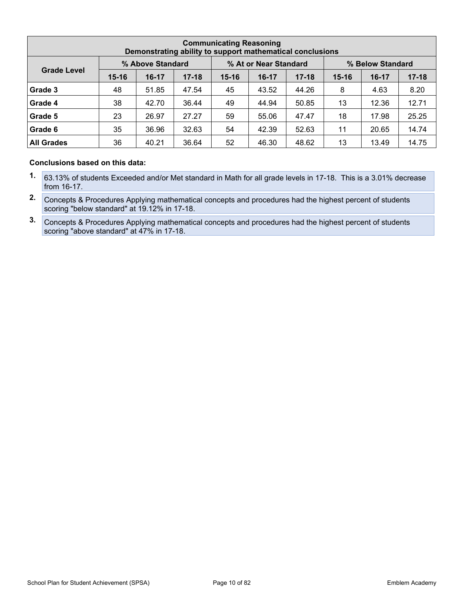| <b>Communicating Reasoning</b><br>Demonstrating ability to support mathematical conclusions |           |                  |           |           |                       |           |                  |         |           |  |  |  |
|---------------------------------------------------------------------------------------------|-----------|------------------|-----------|-----------|-----------------------|-----------|------------------|---------|-----------|--|--|--|
|                                                                                             |           | % Above Standard |           |           | % At or Near Standard |           | % Below Standard |         |           |  |  |  |
| <b>Grade Level</b>                                                                          | $15 - 16$ | $16-17$          | $17 - 18$ | $15 - 16$ | $16-17$               | $17 - 18$ | $15 - 16$        | $16-17$ | $17 - 18$ |  |  |  |
| Grade 3                                                                                     | 48        | 51.85            | 47.54     | 45        | 43.52                 | 44.26     | 8                | 4.63    | 8.20      |  |  |  |
| Grade 4                                                                                     | 38        | 42.70            | 36.44     | 49        | 44.94                 | 50.85     | 13               | 12.36   | 12.71     |  |  |  |
| Grade 5                                                                                     | 23        | 26.97            | 27.27     | 59        | 55.06                 | 47.47     | 18               | 17.98   | 25.25     |  |  |  |
| Grade 6                                                                                     | 35        | 36.96            | 32.63     | 54        | 42.39                 | 52.63     | 11               | 20.65   | 14.74     |  |  |  |
| <b>All Grades</b>                                                                           | 36        | 40.21            | 36.64     | 52        | 46.30                 | 48.62     | 13               | 13.49   | 14.75     |  |  |  |

- **1.** 63.13% of students Exceeded and/or Met standard in Math for all grade levels in 17-18. This is a 3.01% decrease from 16-17.
- **2.** Concepts & Procedures Applying mathematical concepts and procedures had the highest percent of students scoring "below standard" at 19.12% in 17-18.
- **3.** Concepts & Procedures Applying mathematical concepts and procedures had the highest percent of students scoring "above standard" at 47% in 17-18.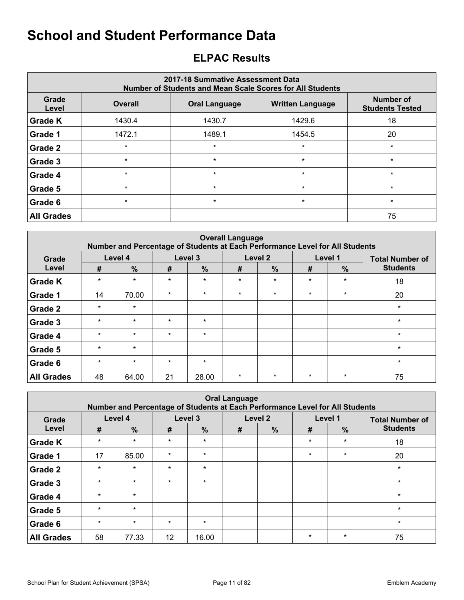## <span id="page-10-0"></span>**ELPAC Results**

| 2017-18 Summative Assessment Data<br>Number of Students and Mean Scale Scores for All Students |                |                         |                                     |         |  |  |  |  |  |  |  |
|------------------------------------------------------------------------------------------------|----------------|-------------------------|-------------------------------------|---------|--|--|--|--|--|--|--|
| Grade<br>Level                                                                                 | <b>Overall</b> | <b>Written Language</b> | Number of<br><b>Students Tested</b> |         |  |  |  |  |  |  |  |
| <b>Grade K</b>                                                                                 | 1430.4         | 1430.7                  | 1429.6                              | 18      |  |  |  |  |  |  |  |
| Grade 1                                                                                        | 1472.1         | 1489.1                  | 1454.5                              | 20      |  |  |  |  |  |  |  |
| Grade 2                                                                                        | $\star$        | $\star$                 | $\star$                             | $\star$ |  |  |  |  |  |  |  |
| Grade 3                                                                                        | $\star$        | $\star$                 | $\star$                             | $\star$ |  |  |  |  |  |  |  |
| Grade 4                                                                                        | $\star$        | $\star$                 | $\star$                             | $\star$ |  |  |  |  |  |  |  |
| Grade 5                                                                                        | $\star$        | $\star$                 | $\star$                             | $\star$ |  |  |  |  |  |  |  |
| Grade 6                                                                                        | $\star$        | $\star$                 | $\star$                             | $\star$ |  |  |  |  |  |  |  |
| <b>All Grades</b>                                                                              |                |                         |                                     | 75      |  |  |  |  |  |  |  |

| <b>Overall Language</b><br>Number and Percentage of Students at Each Performance Level for All Students |         |               |         |               |         |         |         |         |                        |  |  |  |
|---------------------------------------------------------------------------------------------------------|---------|---------------|---------|---------------|---------|---------|---------|---------|------------------------|--|--|--|
| Grade                                                                                                   |         | Level 4       |         | Level 3       | Level 2 |         | Level 1 |         | <b>Total Number of</b> |  |  |  |
| Level                                                                                                   | #       | $\frac{9}{6}$ | #       | $\frac{0}{0}$ | #       | %       | #       | $\%$    | <b>Students</b>        |  |  |  |
| <b>Grade K</b>                                                                                          | $\star$ | $\star$       | $\star$ | $\star$       | $\star$ | $\star$ | $\star$ | $\star$ | 18                     |  |  |  |
| <b>Grade 1</b>                                                                                          | 14      | 70.00         | $\star$ | $\star$       | $\star$ | $\star$ | $\star$ | $\star$ | 20                     |  |  |  |
| <b>Grade 2</b>                                                                                          | $\star$ | $\star$       |         |               |         |         |         |         | $\star$                |  |  |  |
| Grade 3                                                                                                 | $\star$ | $\star$       | $\star$ | $\star$       |         |         |         |         | $\star$                |  |  |  |
| Grade 4                                                                                                 | $\star$ | $\star$       | $\star$ | $\star$       |         |         |         |         | $\star$                |  |  |  |
| <b>Grade 5</b>                                                                                          | $\star$ | $\star$       |         |               |         |         |         |         | $\star$                |  |  |  |
| Grade 6                                                                                                 | $\star$ | $\star$       | $\star$ | $\star$       |         |         |         |         | $\star$                |  |  |  |
| <b>All Grades</b>                                                                                       | 48      | 64.00         | 21      | 28.00         | $\star$ | $\star$ | $\star$ | $\star$ | 75                     |  |  |  |

| <b>Oral Language</b><br>Number and Percentage of Students at Each Performance Level for All Students |         |               |         |               |   |               |         |               |                        |  |  |  |
|------------------------------------------------------------------------------------------------------|---------|---------------|---------|---------------|---|---------------|---------|---------------|------------------------|--|--|--|
| Grade                                                                                                |         | Level 4       |         | Level 3       |   | Level 2       |         | Level 1       | <b>Total Number of</b> |  |  |  |
| Level                                                                                                | #       | $\frac{0}{0}$ | #       | $\frac{0}{0}$ | # | $\frac{0}{0}$ | #       | $\frac{9}{6}$ | <b>Students</b>        |  |  |  |
| <b>Grade K</b>                                                                                       | $\star$ | $\star$       | $\star$ | $\star$       |   |               | $\star$ | $\star$       | 18                     |  |  |  |
| Grade 1                                                                                              | 17      | 85.00         | $\star$ | $\star$       |   |               | $\star$ | $\star$       | 20                     |  |  |  |
| Grade 2                                                                                              | $\star$ | $\star$       | $\star$ | $\ast$        |   |               |         |               | $\star$                |  |  |  |
| Grade 3                                                                                              | $\star$ | $\star$       | $\star$ | $\star$       |   |               |         |               | $\star$                |  |  |  |
| Grade 4                                                                                              | $\star$ | $\star$       |         |               |   |               |         |               | $\star$                |  |  |  |
| Grade 5                                                                                              | $\star$ | $\star$       |         |               |   |               |         |               | $\star$                |  |  |  |
| Grade 6                                                                                              | $\star$ | $\star$       | $\star$ | $\star$       |   |               |         |               | $\star$                |  |  |  |
| <b>All Grades</b>                                                                                    | 58      | 77.33         | 12      | 16.00         |   |               | $\star$ | $\star$       | 75                     |  |  |  |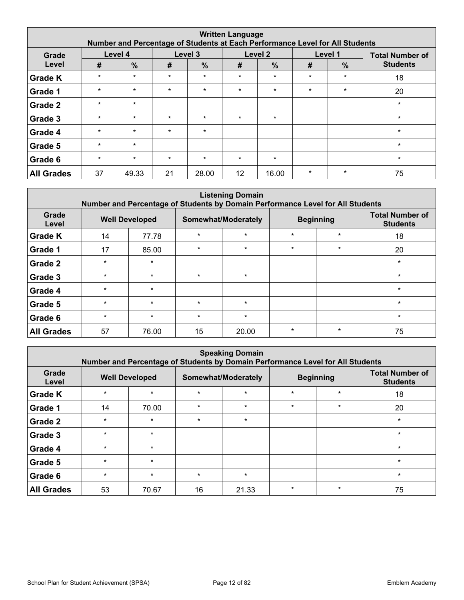| <b>Written Language</b><br>Number and Percentage of Students at Each Performance Level for All Students |         |               |         |               |         |                    |         |               |                        |  |  |  |
|---------------------------------------------------------------------------------------------------------|---------|---------------|---------|---------------|---------|--------------------|---------|---------------|------------------------|--|--|--|
| Grade                                                                                                   |         | Level 4       |         | Level 3       |         | Level <sub>2</sub> |         | Level 1       | <b>Total Number of</b> |  |  |  |
| Level                                                                                                   | #       | $\frac{0}{0}$ | #       | $\frac{9}{6}$ | #       | $\frac{0}{0}$      | #       | $\frac{9}{6}$ | <b>Students</b>        |  |  |  |
| <b>Grade K</b>                                                                                          | $\star$ | $\star$       | $\star$ | $\star$       | $\star$ | $\star$            | $\star$ | $\star$       | 18                     |  |  |  |
| Grade 1                                                                                                 | $\star$ | $\star$       | $\star$ | $\star$       | $\star$ | $\star$            | $\star$ | $\star$       | 20                     |  |  |  |
| Grade 2                                                                                                 | $\star$ | $\star$       |         |               |         |                    |         |               | $\star$                |  |  |  |
| Grade 3                                                                                                 | $\star$ | $\star$       | $\star$ | $\star$       | $\star$ | $\star$            |         |               | $\star$                |  |  |  |
| Grade 4                                                                                                 | $\star$ | $\star$       | $\star$ | $\star$       |         |                    |         |               | $\star$                |  |  |  |
| Grade 5                                                                                                 | $\star$ | $\star$       |         |               |         |                    |         |               | $\star$                |  |  |  |
| Grade 6                                                                                                 | $\star$ | $\star$       | $\star$ | $\star$       | $\star$ | $\star$            |         |               | $\star$                |  |  |  |
| <b>All Grades</b>                                                                                       | 37      | 49.33         | 21      | 28.00         | 12      | 16.00              | $\star$ | $\star$       | 75                     |  |  |  |

| <b>Listening Domain</b><br>Number and Percentage of Students by Domain Performance Level for All Students |                       |         |         |                     |         |                  |                                           |  |  |  |  |  |
|-----------------------------------------------------------------------------------------------------------|-----------------------|---------|---------|---------------------|---------|------------------|-------------------------------------------|--|--|--|--|--|
| Grade<br>Level                                                                                            | <b>Well Developed</b> |         |         | Somewhat/Moderately |         | <b>Beginning</b> | <b>Total Number of</b><br><b>Students</b> |  |  |  |  |  |
| <b>Grade K</b>                                                                                            | 14                    | 77.78   | $\star$ | $\star$             | $\star$ | $\star$          | 18                                        |  |  |  |  |  |
| Grade 1                                                                                                   | 17                    | 85.00   | $\star$ | $\star$             | $\star$ | $\star$          | 20                                        |  |  |  |  |  |
| Grade 2                                                                                                   | $\star$               | $\star$ |         |                     |         |                  | $\star$                                   |  |  |  |  |  |
| Grade 3                                                                                                   | $\star$               | $\star$ | $\star$ | $\star$             |         |                  | $\star$                                   |  |  |  |  |  |
| Grade 4                                                                                                   | $\star$               | $\star$ |         |                     |         |                  | $\star$                                   |  |  |  |  |  |
| Grade 5                                                                                                   | $\star$               | $\star$ | $\star$ | $\star$             |         |                  | $\star$                                   |  |  |  |  |  |
| Grade 6                                                                                                   | $\star$               | $\star$ | $\star$ | $\star$             |         |                  | $\star$                                   |  |  |  |  |  |
| <b>All Grades</b>                                                                                         | 57                    | 76.00   | 15      | 20.00               | $\star$ | $\star$          | 75                                        |  |  |  |  |  |

|                   | <b>Speaking Domain</b><br>Number and Percentage of Students by Domain Performance Level for All Students |         |         |                     |         |                  |                                           |  |  |  |  |  |  |
|-------------------|----------------------------------------------------------------------------------------------------------|---------|---------|---------------------|---------|------------------|-------------------------------------------|--|--|--|--|--|--|
| Grade<br>Level    | <b>Well Developed</b>                                                                                    |         |         | Somewhat/Moderately |         | <b>Beginning</b> | <b>Total Number of</b><br><b>Students</b> |  |  |  |  |  |  |
| <b>Grade K</b>    | $\star$                                                                                                  | $\star$ | $\star$ | $\star$             | $\star$ | $\star$          | 18                                        |  |  |  |  |  |  |
| Grade 1           | 14                                                                                                       | 70.00   | $\star$ | $\star$             | $\star$ | $\star$          | 20                                        |  |  |  |  |  |  |
| Grade 2           | $\star$                                                                                                  | $\star$ | $\star$ | $\star$             |         |                  | $\star$                                   |  |  |  |  |  |  |
| Grade 3           | $\star$                                                                                                  | $\star$ |         |                     |         |                  | $\star$                                   |  |  |  |  |  |  |
| Grade 4           | $\star$                                                                                                  | $\star$ |         |                     |         |                  | $\star$                                   |  |  |  |  |  |  |
| Grade 5           | $\star$                                                                                                  | $\star$ |         |                     |         |                  | $\star$                                   |  |  |  |  |  |  |
| Grade 6           | $\star$                                                                                                  | $\star$ | $\star$ | $\star$             |         |                  | $\star$                                   |  |  |  |  |  |  |
| <b>All Grades</b> | 53                                                                                                       | 70.67   | 16      | 21.33               | $\star$ | $\star$          | 75                                        |  |  |  |  |  |  |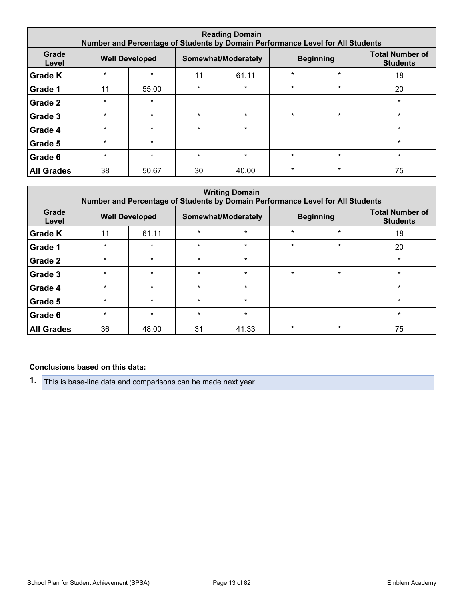| <b>Reading Domain</b><br>Number and Percentage of Students by Domain Performance Level for All Students |         |                       |         |                     |         |                  |                                           |  |  |  |  |
|---------------------------------------------------------------------------------------------------------|---------|-----------------------|---------|---------------------|---------|------------------|-------------------------------------------|--|--|--|--|
| Grade<br>Level                                                                                          |         | <b>Well Developed</b> |         | Somewhat/Moderately |         | <b>Beginning</b> | <b>Total Number of</b><br><b>Students</b> |  |  |  |  |
| <b>Grade K</b>                                                                                          | $\star$ | $\star$               | 11      | 61.11               | $\star$ | $\star$          | 18                                        |  |  |  |  |
| Grade 1                                                                                                 | 11      | 55.00                 | $\star$ | $\star$             | $\star$ | $\star$          | 20                                        |  |  |  |  |
| Grade 2                                                                                                 | $\star$ | $\star$               |         |                     |         |                  | $\star$                                   |  |  |  |  |
| Grade 3                                                                                                 | $\star$ | $\star$               | $\star$ | $\star$             | $\star$ | $\star$          | $\star$                                   |  |  |  |  |
| Grade 4                                                                                                 | $\star$ | $\star$               | $\star$ | $\star$             |         |                  | $\star$                                   |  |  |  |  |
| Grade 5                                                                                                 | $\star$ | $\star$               |         |                     |         |                  | $\star$                                   |  |  |  |  |
| Grade 6                                                                                                 | $\star$ | $\star$               | $\star$ | $\star$             | $\star$ | $\star$          | $\star$                                   |  |  |  |  |
| <b>All Grades</b>                                                                                       | 38      | 50.67                 | 30      | 40.00               | $\star$ | $\star$          | 75                                        |  |  |  |  |

| <b>Writing Domain</b><br>Number and Percentage of Students by Domain Performance Level for All Students |         |                       |         |                     |         |                  |                                           |  |  |  |  |
|---------------------------------------------------------------------------------------------------------|---------|-----------------------|---------|---------------------|---------|------------------|-------------------------------------------|--|--|--|--|
| Grade<br>Level                                                                                          |         | <b>Well Developed</b> |         | Somewhat/Moderately |         | <b>Beginning</b> | <b>Total Number of</b><br><b>Students</b> |  |  |  |  |
| <b>Grade K</b>                                                                                          | 11      | 61.11                 | $\star$ | $\star$             | $\star$ | $\star$          | 18                                        |  |  |  |  |
| Grade 1                                                                                                 | $\star$ | $\star$               | $\star$ | $\star$             | $\star$ | $\star$          | 20                                        |  |  |  |  |
| Grade 2                                                                                                 | $\star$ | $\star$               | $\star$ | $\star$             |         |                  | $\star$                                   |  |  |  |  |
| Grade 3                                                                                                 | $\star$ | $\star$               | $\star$ | $\star$             | $\star$ | $\star$          | $\star$                                   |  |  |  |  |
| Grade 4                                                                                                 | $\star$ | $\star$               | $\star$ | $\star$             |         |                  | $\star$                                   |  |  |  |  |
| Grade 5                                                                                                 | $\star$ | $\star$               | $\star$ | $\star$             |         |                  | $\star$                                   |  |  |  |  |
| Grade 6                                                                                                 | $\star$ | $\star$               | $\star$ | $\star$             |         |                  | $\star$                                   |  |  |  |  |
| <b>All Grades</b>                                                                                       | 36      | 48.00                 | 31      | 41.33               | $\star$ | $\star$          | 75                                        |  |  |  |  |

### **Conclusions based on this data:**

**1.** This is base-line data and comparisons can be made next year.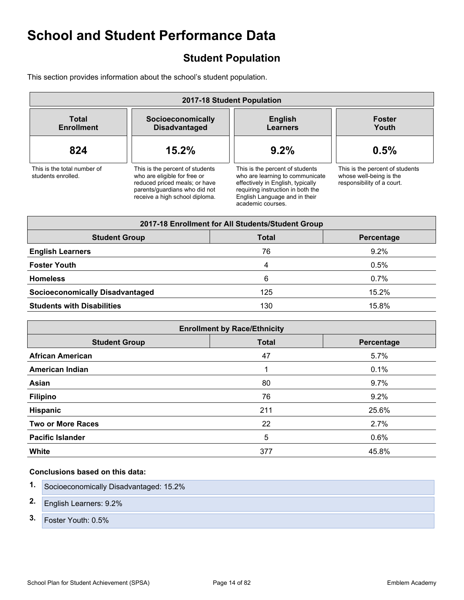## <span id="page-13-0"></span>**Student Population**

This section provides information about the school's student population.

| 2017-18 Student Population                        |                                                                                                                                                                     |                                                                                                                                                                                                    |                                                                                          |  |
|---------------------------------------------------|---------------------------------------------------------------------------------------------------------------------------------------------------------------------|----------------------------------------------------------------------------------------------------------------------------------------------------------------------------------------------------|------------------------------------------------------------------------------------------|--|
| Total<br><b>Enrollment</b>                        | Socioeconomically<br><b>Disadvantaged</b>                                                                                                                           | <b>English</b><br><b>Learners</b>                                                                                                                                                                  | <b>Foster</b><br>Youth                                                                   |  |
| 824                                               | 15.2%                                                                                                                                                               | 9.2%                                                                                                                                                                                               | 0.5%                                                                                     |  |
| This is the total number of<br>students enrolled. | This is the percent of students<br>who are eligible for free or<br>reduced priced meals; or have<br>parents/quardians who did not<br>receive a high school diploma. | This is the percent of students<br>who are learning to communicate<br>effectively in English, typically<br>requiring instruction in both the<br>English Language and in their<br>academic courses. | This is the percent of students<br>whose well-being is the<br>responsibility of a court. |  |

| 2017-18 Enrollment for All Students/Student Group  |     |         |  |  |  |
|----------------------------------------------------|-----|---------|--|--|--|
| <b>Student Group</b><br><b>Total</b><br>Percentage |     |         |  |  |  |
| <b>English Learners</b>                            | 76  | 9.2%    |  |  |  |
| <b>Foster Youth</b>                                | 4   | 0.5%    |  |  |  |
| <b>Homeless</b>                                    | 6   | $0.7\%$ |  |  |  |
| <b>Socioeconomically Disadvantaged</b>             | 125 | 15.2%   |  |  |  |
| <b>Students with Disabilities</b>                  | 130 | 15.8%   |  |  |  |

| <b>Enrollment by Race/Ethnicity</b> |              |            |  |  |
|-------------------------------------|--------------|------------|--|--|
| <b>Student Group</b>                | <b>Total</b> | Percentage |  |  |
| <b>African American</b>             | 47           | 5.7%       |  |  |
| <b>American Indian</b>              |              | 0.1%       |  |  |
| Asian                               | 80           | 9.7%       |  |  |
| <b>Filipino</b>                     | 76           | 9.2%       |  |  |
| <b>Hispanic</b>                     | 211          | 25.6%      |  |  |
| <b>Two or More Races</b>            | 22           | 2.7%       |  |  |
| <b>Pacific Islander</b>             | 5            | 0.6%       |  |  |
| <b>White</b>                        | 377          | 45.8%      |  |  |

|    | Socioeconomically Disadvantaged: 15.2% |
|----|----------------------------------------|
| 2. | <b>English Learners: 9.2%</b>          |
| 3. | Foster Youth: 0.5%                     |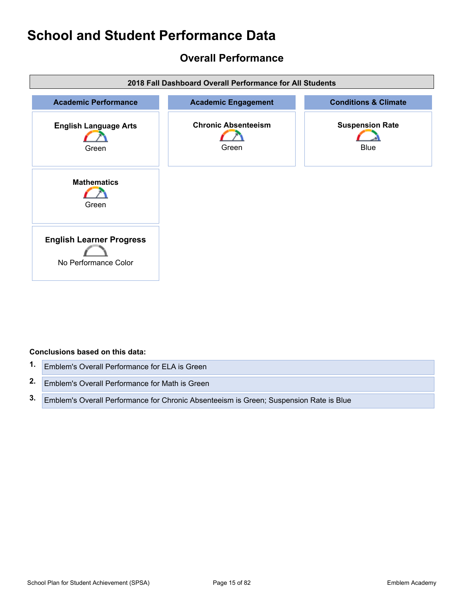## <span id="page-14-0"></span>**Overall Performance**



### **Conclusions based on this data:**

| 1. | Emblem's Overall Performance for ELA is Green                                          |
|----|----------------------------------------------------------------------------------------|
|    | 2. Emblem's Overall Performance for Math is Green                                      |
| 3. | Emblem's Overall Performance for Chronic Absenteeism is Green; Suspension Rate is Blue |

School Plan for Student Achievement (SPSA) Page 15 of 82 Chool Plan for Student Academy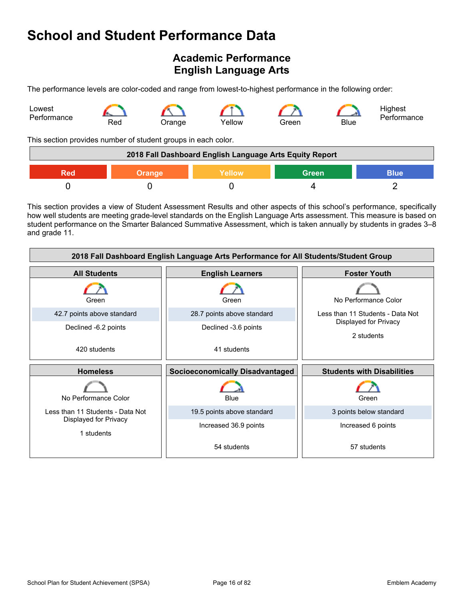## <span id="page-15-0"></span>**Academic Performance English Language Arts**

The performance levels are color-coded and range from lowest-to-highest performance in the following order:



This section provides number of student groups in each color.

| 2018 Fall Dashboard English Language Arts Equity Report       |  |  |  |  |  |
|---------------------------------------------------------------|--|--|--|--|--|
| <b>Green</b><br>Yellow<br><b>Blue</b><br><b>Orange</b><br>Red |  |  |  |  |  |
|                                                               |  |  |  |  |  |

This section provides a view of Student Assessment Results and other aspects of this school's performance, specifically how well students are meeting grade-level standards on the English Language Arts assessment. This measure is based on student performance on the Smarter Balanced Summative Assessment, which is taken annually by students in grades 3–8 and grade 11.

| 2018 Fall Dashboard English Language Arts Performance for All Students/Student Group |                                        |                                     |  |  |
|--------------------------------------------------------------------------------------|----------------------------------------|-------------------------------------|--|--|
| <b>All Students</b>                                                                  | <b>English Learners</b>                | <b>Foster Youth</b>                 |  |  |
| Green                                                                                | Green                                  | No Performance Color                |  |  |
| 42.7 points above standard                                                           | 28.7 points above standard             | Less than 11 Students - Data Not    |  |  |
| Declined -6.2 points                                                                 | Declined -3.6 points                   | Displayed for Privacy<br>2 students |  |  |
| 420 students                                                                         | 41 students                            |                                     |  |  |
|                                                                                      |                                        |                                     |  |  |
| <b>Homeless</b>                                                                      | <b>Socioeconomically Disadvantaged</b> | <b>Students with Disabilities</b>   |  |  |
| No Performance Color                                                                 | Blue                                   | Green                               |  |  |
| Less than 11 Students - Data Not                                                     | 19.5 points above standard             | 3 points below standard             |  |  |
| Displayed for Privacy<br>1 students                                                  | Increased 36.9 points                  | Increased 6 points                  |  |  |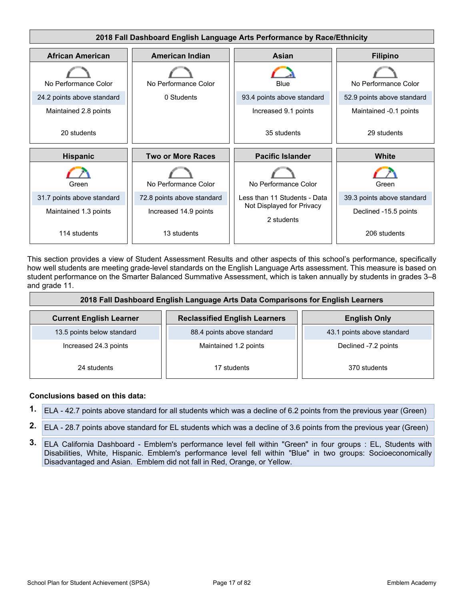

This section provides a view of Student Assessment Results and other aspects of this school's performance, specifically how well students are meeting grade-level standards on the English Language Arts assessment. This measure is based on student performance on the Smarter Balanced Summative Assessment, which is taken annually by students in grades 3–8 and grade 11.

| 2018 Fall Dashboard English Language Arts Data Comparisons for English Learners |                            |                            |  |  |
|---------------------------------------------------------------------------------|----------------------------|----------------------------|--|--|
| <b>Current English Learner</b>                                                  | <b>English Only</b>        |                            |  |  |
| 13.5 points below standard                                                      | 88.4 points above standard | 43.1 points above standard |  |  |
| Increased 24.3 points                                                           | Maintained 1.2 points      | Declined -7.2 points       |  |  |
| 24 students                                                                     | 17 students                | 370 students               |  |  |

- **1.** ELA 42.7 points above standard for all students which was a decline of 6.2 points from the previous year (Green)
- **2.** ELA 28.7 points above standard for EL students which was a decline of 3.6 points from the previous year (Green)
- **3.** ELA California Dashboard Emblem's performance level fell within "Green" in four groups : EL, Students with Disabilities, White, Hispanic. Emblem's performance level fell within "Blue" in two groups: Socioeconomically Disadvantaged and Asian. Emblem did not fall in Red, Orange, or Yellow.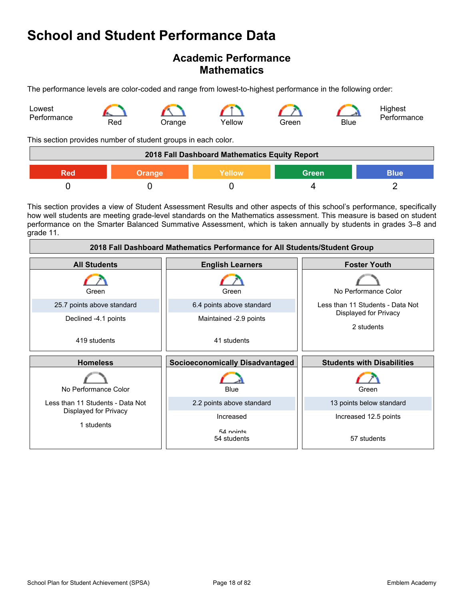## **Academic Performance Mathematics**

The performance levels are color-coded and range from lowest-to-highest performance in the following order:



This section provides number of student groups in each color.

| 2018 Fall Dashboard Mathematics Equity Report                 |  |  |  |  |  |
|---------------------------------------------------------------|--|--|--|--|--|
| <b>Green</b><br><b>Blue</b><br>Yellow<br><b>Orange</b><br>Red |  |  |  |  |  |
|                                                               |  |  |  |  |  |

This section provides a view of Student Assessment Results and other aspects of this school's performance, specifically how well students are meeting grade-level standards on the Mathematics assessment. This measure is based on student performance on the Smarter Balanced Summative Assessment, which is taken annually by students in grades 3–8 and grade 11.

| 2018 Fall Dashboard Mathematics Performance for All Students/Student Group |                                        |                                     |  |  |
|----------------------------------------------------------------------------|----------------------------------------|-------------------------------------|--|--|
| <b>All Students</b>                                                        | <b>English Learners</b>                | <b>Foster Youth</b>                 |  |  |
| Green                                                                      | Green                                  | No Performance Color                |  |  |
| 25.7 points above standard                                                 | 6.4 points above standard              | Less than 11 Students - Data Not    |  |  |
| Declined -4.1 points                                                       | Maintained -2.9 points                 | Displayed for Privacy<br>2 students |  |  |
| 419 students                                                               | 41 students                            |                                     |  |  |
| <b>Homeless</b>                                                            | <b>Socioeconomically Disadvantaged</b> | <b>Students with Disabilities</b>   |  |  |
| No Performance Color                                                       | <b>Blue</b>                            | Green                               |  |  |
| Less than 11 Students - Data Not                                           | 2.2 points above standard              | 13 points below standard            |  |  |
| Displayed for Privacy                                                      | Increased                              | Increased 12.5 points               |  |  |
| 1 students                                                                 | $54$ nointe<br>54 students             | 57 students                         |  |  |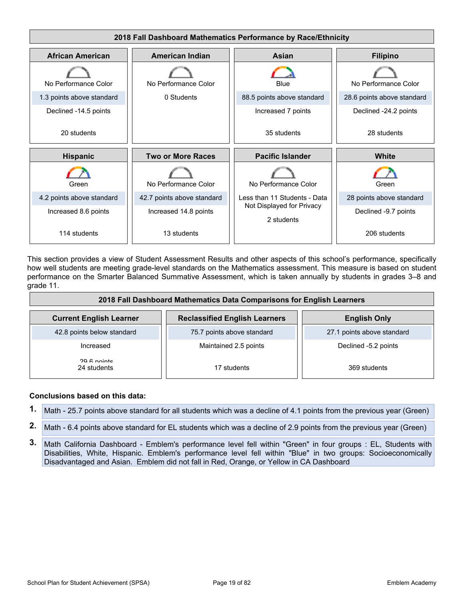

This section provides a view of Student Assessment Results and other aspects of this school's performance, specifically how well students are meeting grade-level standards on the Mathematics assessment. This measure is based on student performance on the Smarter Balanced Summative Assessment, which is taken annually by students in grades 3–8 and grade 11.

| 2018 Fall Dashboard Mathematics Data Comparisons for English Learners |                                      |                            |  |
|-----------------------------------------------------------------------|--------------------------------------|----------------------------|--|
| <b>Current English Learner</b>                                        | <b>Reclassified English Learners</b> | <b>English Only</b>        |  |
| 42.8 points below standard                                            | 75.7 points above standard           | 27.1 points above standard |  |
| Increased                                                             | Maintained 2.5 points                | Declined -5.2 points       |  |
| 20 6 nointe<br>24 students                                            | 17 students                          | 369 students               |  |

- **1.** Math 25.7 points above standard for all students which was a decline of 4.1 points from the previous year (Green)
- **2.** Math 6.4 points above standard for EL students which was a decline of 2.9 points from the previous year (Green)
- **3.** Math California Dashboard Emblem's performance level fell within "Green" in four groups : EL, Students with Disabilities, White, Hispanic. Emblem's performance level fell within "Blue" in two groups: Socioeconomically Disadvantaged and Asian. Emblem did not fall in Red, Orange, or Yellow in CA Dashboard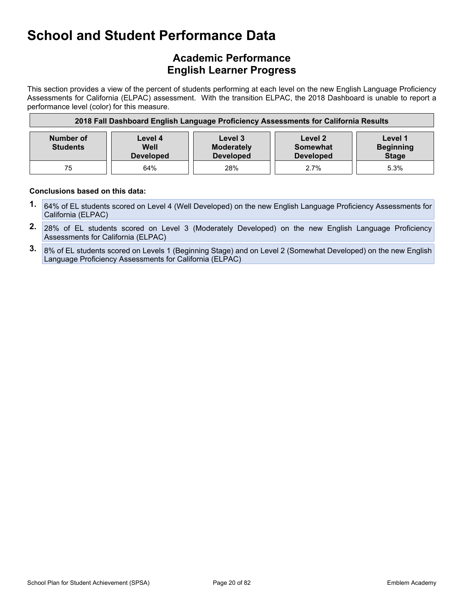## **Academic Performance English Learner Progress**

This section provides a view of the percent of students performing at each level on the new English Language Proficiency Assessments for California (ELPAC) assessment. With the transition ELPAC, the 2018 Dashboard is unable to report a performance level (color) for this measure.

| 2018 Fall Dashboard English Language Proficiency Assessments for California Results |                                                                                                                                                                                   |     |      |      |  |  |
|-------------------------------------------------------------------------------------|-----------------------------------------------------------------------------------------------------------------------------------------------------------------------------------|-----|------|------|--|--|
| Number of<br><b>Students</b>                                                        | Level 1<br>Level 3<br>Level 2<br>Level 4<br><b>Beginning</b><br><b>Moderately</b><br>Well<br>Somewhat<br><b>Stage</b><br><b>Developed</b><br><b>Developed</b><br><b>Developed</b> |     |      |      |  |  |
| 75                                                                                  | 64%                                                                                                                                                                               | 28% | 2.7% | 5.3% |  |  |

- **1.** 64% of EL students scored on Level 4 (Well Developed) on the new English Language Proficiency Assessments for California (ELPAC)
- **2.** 28% of EL students scored on Level 3 (Moderately Developed) on the new English Language Proficiency Assessments for California (ELPAC)
- **3.** 8% of EL students scored on Levels 1 (Beginning Stage) and on Level 2 (Somewhat Developed) on the new English Language Proficiency Assessments for California (ELPAC)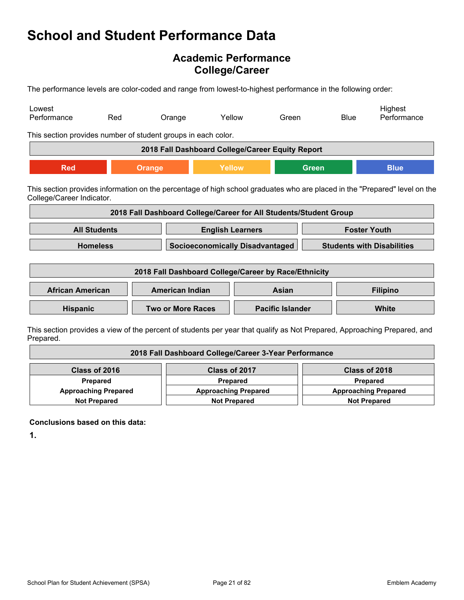## **Academic Performance College/Career**

The performance levels are color-coded and range from lowest-to-highest performance in the following order:

| Lowest<br>Performance                                         | Red                 | Orange                                                            | Yellow                  | Green                   |                                   | <b>Blue</b> | Highest<br>Performance                                                                                                     |
|---------------------------------------------------------------|---------------------|-------------------------------------------------------------------|-------------------------|-------------------------|-----------------------------------|-------------|----------------------------------------------------------------------------------------------------------------------------|
| This section provides number of student groups in each color. |                     |                                                                   |                         |                         |                                   |             |                                                                                                                            |
|                                                               |                     | 2018 Fall Dashboard College/Career Equity Report                  |                         |                         |                                   |             |                                                                                                                            |
| <b>Red</b>                                                    |                     | Orange                                                            | Yellow                  |                         | <b>Green</b>                      |             | <b>Blue</b>                                                                                                                |
| College/Career Indicator.                                     |                     |                                                                   |                         |                         |                                   |             | This section provides information on the percentage of high school graduates who are placed in the "Prepared" level on the |
|                                                               |                     | 2018 Fall Dashboard College/Career for All Students/Student Group |                         |                         |                                   |             |                                                                                                                            |
|                                                               | <b>All Students</b> |                                                                   | <b>English Learners</b> |                         |                                   |             | <b>Foster Youth</b>                                                                                                        |
|                                                               | <b>Homeless</b>     | <b>Socioeconomically Disadvantaged</b>                            |                         |                         | <b>Students with Disabilities</b> |             |                                                                                                                            |
|                                                               |                     | 2018 Fall Dashboard College/Career by Race/Ethnicity              |                         |                         |                                   |             |                                                                                                                            |
| <b>African American</b>                                       |                     | <b>American Indian</b>                                            |                         | Asian                   |                                   |             | <b>Filipino</b>                                                                                                            |
| Hispanic                                                      |                     | <b>Two or More Races</b>                                          |                         | <b>Pacific Islander</b> |                                   |             | <b>White</b>                                                                                                               |
|                                                               |                     |                                                                   |                         |                         |                                   |             | This section provides a view of the percent of students per vear that qualify as Not Prepared. Approaching Prepared, and   |

This section provides a view of the percent of students per year that qualify as Not Prepared, Approaching Prepared, and Prepared.

| 2018 Fall Dashboard College/Career 3-Year Performance |                             |                             |  |
|-------------------------------------------------------|-----------------------------|-----------------------------|--|
| Class of 2016                                         | Class of 2017               | Class of 2018               |  |
| Prepared                                              | Prepared                    | <b>Prepared</b>             |  |
| <b>Approaching Prepared</b>                           | <b>Approaching Prepared</b> | <b>Approaching Prepared</b> |  |
| <b>Not Prepared</b>                                   | <b>Not Prepared</b>         | <b>Not Prepared</b>         |  |

**Conclusions based on this data:**

**1.**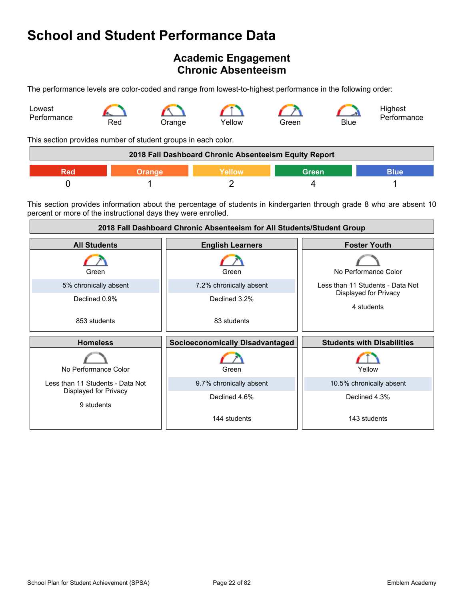## <span id="page-21-0"></span>**Academic Engagement Chronic Absenteeism**

The performance levels are color-coded and range from lowest-to-highest performance in the following order:



This section provides number of student groups in each color.

| 2018 Fall Dashboard Chronic Absenteeism Equity Report |  |               |       |      |
|-------------------------------------------------------|--|---------------|-------|------|
|                                                       |  | <b>Nellow</b> | Green | 3lue |
|                                                       |  |               |       |      |

This section provides information about the percentage of students in kindergarten through grade 8 who are absent 10 percent or more of the instructional days they were enrolled.

| 2018 Fall Dashboard Chronic Absenteeism for All Students/Student Group |                                        |                                     |  |  |
|------------------------------------------------------------------------|----------------------------------------|-------------------------------------|--|--|
| <b>All Students</b>                                                    | <b>English Learners</b>                | <b>Foster Youth</b>                 |  |  |
| Green                                                                  | Green                                  | No Performance Color                |  |  |
| 5% chronically absent                                                  | 7.2% chronically absent                | Less than 11 Students - Data Not    |  |  |
| Declined 0.9%                                                          | Declined 3.2%                          | Displayed for Privacy<br>4 students |  |  |
| 853 students                                                           | 83 students                            |                                     |  |  |
| <b>Homeless</b>                                                        | <b>Socioeconomically Disadvantaged</b> | <b>Students with Disabilities</b>   |  |  |
| No Performance Color                                                   | Green                                  | Yellow                              |  |  |
| Less than 11 Students - Data Not                                       | 9.7% chronically absent                | 10.5% chronically absent            |  |  |
| Displayed for Privacy<br>9 students                                    | Declined 4.6%                          | Declined 4.3%                       |  |  |
|                                                                        | 144 students                           | 143 students                        |  |  |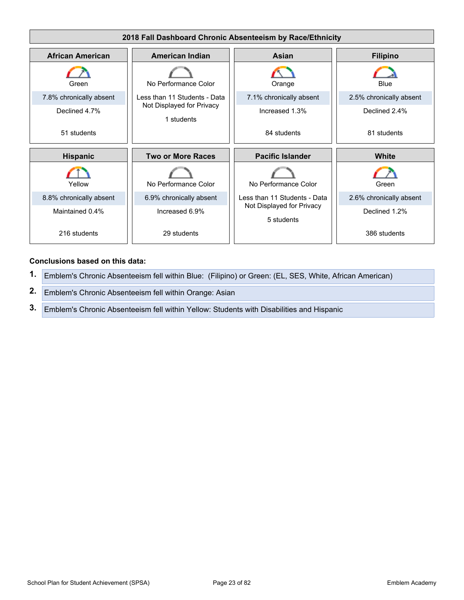

- **1.** Emblem's Chronic Absenteeism fell within Blue: (Filipino) or Green: (EL, SES, White, African American)
- **2.** Emblem's Chronic Absenteeism fell within Orange: Asian
- **3.** Emblem's Chronic Absenteeism fell within Yellow: Students with Disabilities and Hispanic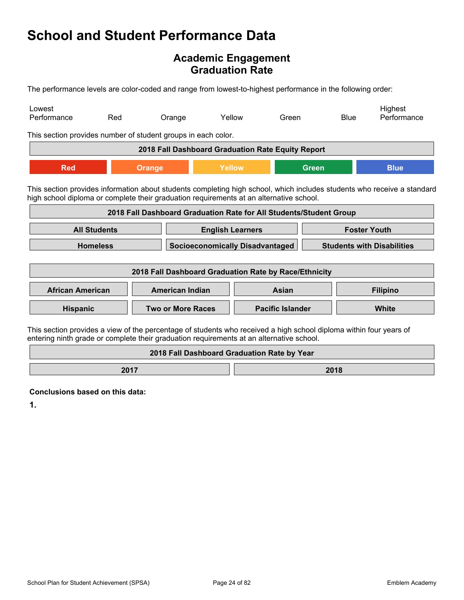## **Academic Engagement Graduation Rate**

The performance levels are color-coded and range from lowest-to-highest performance in the following order:

| Lowest<br>Performance                                                                                                                                                                                          | Red                                                                                                                                                                                                                | Orange                                                             |                                             | Yellow | Green                   |                                   | <b>Blue</b> | Highest<br>Performance |
|----------------------------------------------------------------------------------------------------------------------------------------------------------------------------------------------------------------|--------------------------------------------------------------------------------------------------------------------------------------------------------------------------------------------------------------------|--------------------------------------------------------------------|---------------------------------------------|--------|-------------------------|-----------------------------------|-------------|------------------------|
| This section provides number of student groups in each color.                                                                                                                                                  |                                                                                                                                                                                                                    |                                                                    |                                             |        |                         |                                   |             |                        |
|                                                                                                                                                                                                                |                                                                                                                                                                                                                    | 2018 Fall Dashboard Graduation Rate Equity Report                  |                                             |        |                         |                                   |             |                        |
| <b>Red</b>                                                                                                                                                                                                     |                                                                                                                                                                                                                    | <b>Orange</b>                                                      | Yellow                                      |        |                         | <b>Green</b>                      |             | <b>Blue</b>            |
|                                                                                                                                                                                                                | This section provides information about students completing high school, which includes students who receive a standard<br>high school diploma or complete their graduation requirements at an alternative school. |                                                                    |                                             |        |                         |                                   |             |                        |
|                                                                                                                                                                                                                |                                                                                                                                                                                                                    | 2018 Fall Dashboard Graduation Rate for All Students/Student Group |                                             |        |                         |                                   |             |                        |
| <b>All Students</b>                                                                                                                                                                                            |                                                                                                                                                                                                                    |                                                                    | <b>English Learners</b>                     |        | <b>Foster Youth</b>     |                                   |             |                        |
| <b>Homeless</b>                                                                                                                                                                                                |                                                                                                                                                                                                                    |                                                                    | <b>Socioeconomically Disadvantaged</b>      |        |                         | <b>Students with Disabilities</b> |             |                        |
|                                                                                                                                                                                                                |                                                                                                                                                                                                                    | 2018 Fall Dashboard Graduation Rate by Race/Ethnicity              |                                             |        |                         |                                   |             |                        |
| <b>African American</b>                                                                                                                                                                                        |                                                                                                                                                                                                                    | <b>American Indian</b>                                             |                                             |        | Asian                   |                                   |             | <b>Filipino</b>        |
| Hispanic                                                                                                                                                                                                       |                                                                                                                                                                                                                    | <b>Two or More Races</b>                                           |                                             |        | <b>Pacific Islander</b> |                                   |             | White                  |
| This section provides a view of the percentage of students who received a high school diploma within four years of<br>entering ninth grade or complete their graduation requirements at an alternative school. |                                                                                                                                                                                                                    |                                                                    |                                             |        |                         |                                   |             |                        |
|                                                                                                                                                                                                                |                                                                                                                                                                                                                    |                                                                    | 2018 Fall Dashboard Graduation Rate by Year |        |                         |                                   |             |                        |

**2017 2018** 

**Conclusions based on this data:**

**1.**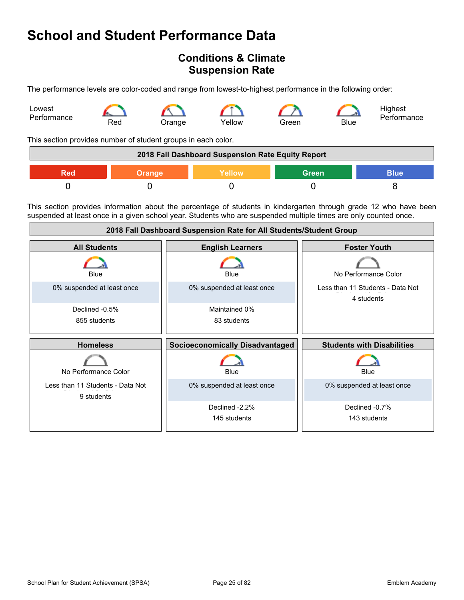## <span id="page-24-0"></span>**Conditions & Climate Suspension Rate**

The performance levels are color-coded and range from lowest-to-highest performance in the following order:



This section provides number of student groups in each color.

| 2018 Fall Dashboard Suspension Rate Equity Report |               |        |              |             |
|---------------------------------------------------|---------------|--------|--------------|-------------|
| Red                                               | <b>Orange</b> | Yellow | <b>Green</b> | <b>Blue</b> |
|                                                   |               |        |              |             |

This section provides information about the percentage of students in kindergarten through grade 12 who have been suspended at least once in a given school year. Students who are suspended multiple times are only counted once.

| 2018 Fall Dashboard Suspension Rate for All Students/Student Group |                                        |                                                |  |
|--------------------------------------------------------------------|----------------------------------------|------------------------------------------------|--|
| <b>All Students</b>                                                | <b>English Learners</b>                | <b>Foster Youth</b>                            |  |
| Blue                                                               | <b>Blue</b>                            | No Performance Color                           |  |
| 0% suspended at least once                                         | 0% suspended at least once             | Less than 11 Students - Data Not<br>4 students |  |
| Declined -0.5%                                                     | Maintained 0%                          |                                                |  |
| 855 students                                                       | 83 students                            |                                                |  |
|                                                                    |                                        |                                                |  |
| <b>Homeless</b>                                                    | <b>Socioeconomically Disadvantaged</b> | <b>Students with Disabilities</b>              |  |
| No Performance Color                                               | Blue                                   | Blue                                           |  |
| Less than 11 Students - Data Not<br>9 students                     | 0% suspended at least once             | 0% suspended at least once                     |  |
|                                                                    | Declined -2.2%                         | Declined -0.7%                                 |  |
|                                                                    | 145 students                           | 143 students                                   |  |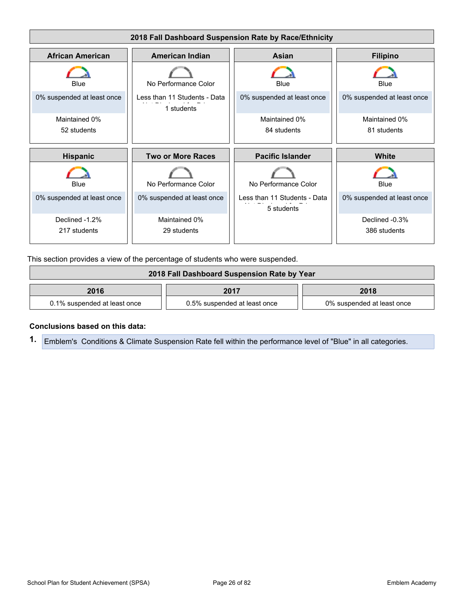

This section provides a view of the percentage of students who were suspended.

| 2018 Fall Dashboard Suspension Rate by Year |                              |                            |  |
|---------------------------------------------|------------------------------|----------------------------|--|
| 2016<br>2018<br>2017                        |                              |                            |  |
| 0.1% suspended at least once                | 0.5% suspended at least once | 0% suspended at least once |  |

### **Conclusions based on this data:**

**1.** Emblem's Conditions & Climate Suspension Rate fell within the performance level of "Blue" in all categories.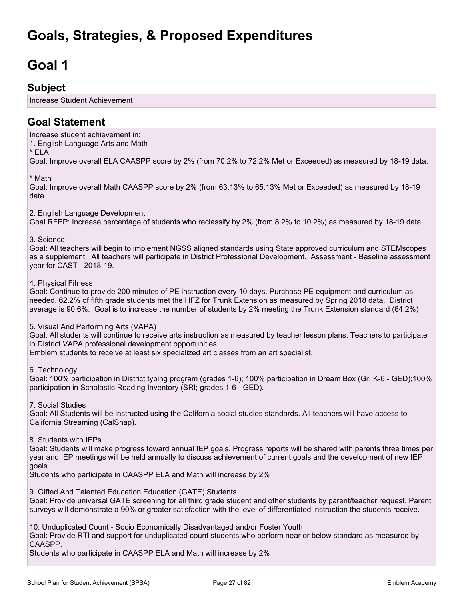# <span id="page-26-0"></span>**Goals, Strategies, & Proposed Expenditures**

# <span id="page-26-1"></span>**Goal 1**

## **Subject**

Increase Student Achievement

## **Goal Statement**

Increase student achievement in: 1. English Language Arts and Math \* ELA Goal: Improve overall ELA CAASPP score by 2% (from 70.2% to 72.2% Met or Exceeded) as measured by 18-19 data.

\* Math

Goal: Improve overall Math CAASPP score by 2% (from 63.13% to 65.13% Met or Exceeded) as measured by 18-19 data.

2. English Language Development

Goal RFEP: Increase percentage of students who reclassify by 2% (from 8.2% to 10.2%) as measured by 18-19 data.

### 3. Science

Goal: All teachers will begin to implement NGSS aligned standards using State approved curriculum and STEMscopes as a supplement. All teachers will participate in District Professional Development. Assessment - Baseline assessment year for CAST - 2018-19.

### 4. Physical Fitness

Goal: Continue to provide 200 minutes of PE instruction every 10 days. Purchase PE equipment and curriculum as needed. 62.2% of fifth grade students met the HFZ for Trunk Extension as measured by Spring 2018 data. District average is 90.6%. Goal is to increase the number of students by 2% meeting the Trunk Extension standard (64.2%)

### 5. Visual And Performing Arts (VAPA)

Goal: All students will continue to receive arts instruction as measured by teacher lesson plans. Teachers to participate in District VAPA professional development opportunities.

Emblem students to receive at least six specialized art classes from an art specialist.

6. Technology

Goal: 100% participation in District typing program (grades 1-6); 100% participation in Dream Box (Gr. K-6 - GED);100% participation in Scholastic Reading Inventory (SRI; grades 1-6 - GED).

7. Social Studies

Goal: All Students will be instructed using the California social studies standards. All teachers will have access to California Streaming (CalSnap).

### 8. Students with IEPs

Goal: Students will make progress toward annual IEP goals. Progress reports will be shared with parents three times per year and IEP meetings will be held annually to discuss achievement of current goals and the development of new IEP goals.

Students who participate in CAASPP ELA and Math will increase by 2%

9. Gifted And Talented Education Education (GATE) Students

Goal: Provide universal GATE screening for all third grade student and other students by parent/teacher request. Parent surveys will demonstrate a 90% or greater satisfaction with the level of differentiated instruction the students receive.

10. Unduplicated Count - Socio Economically Disadvantaged and/or Foster Youth

Goal: Provide RTI and support for unduplicated count students who perform near or below standard as measured by CAASPP.

Students who participate in CAASPP ELA and Math will increase by 2%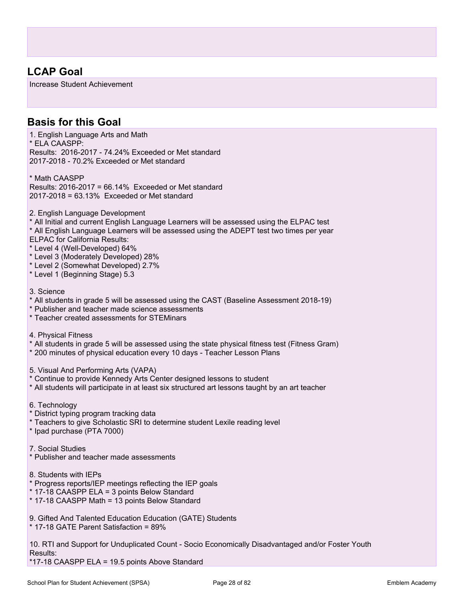## **LCAP Goal**

Increase Student Achievement

## **Basis for this Goal**

1. English Language Arts and Math \* ELA CAASPP: Results: 2016-2017 - 74.24% Exceeded or Met standard 2017-2018 - 70.2% Exceeded or Met standard

\* Math CAASPP Results: 2016-2017 = 66.14% Exceeded or Met standard 2017-2018 = 63.13% Exceeded or Met standard

2. English Language Development

\* All Initial and current English Language Learners will be assessed using the ELPAC test

\* All English Language Learners will be assessed using the ADEPT test two times per year

- ELPAC for California Results:
- \* Level 4 (Well-Developed) 64%
- \* Level 3 (Moderately Developed) 28%
- \* Level 2 (Somewhat Developed) 2.7%
- \* Level 1 (Beginning Stage) 5.3
- 3. Science
- \* All students in grade 5 will be assessed using the CAST (Baseline Assessment 2018-19)
- \* Publisher and teacher made science assessments

\* Teacher created assessments for STEMinars

4. Physical Fitness

\* All students in grade 5 will be assessed using the state physical fitness test (Fitness Gram)

- \* 200 minutes of physical education every 10 days Teacher Lesson Plans
- 5. Visual And Performing Arts (VAPA)
- \* Continue to provide Kennedy Arts Center designed lessons to student
- \* All students will participate in at least six structured art lessons taught by an art teacher
- 6. Technology
- \* District typing program tracking data
- \* Teachers to give Scholastic SRI to determine student Lexile reading level

\* Ipad purchase (PTA 7000)

### 7. Social Studies

- \* Publisher and teacher made assessments
- 8. Students with IEPs
- \* Progress reports/IEP meetings reflecting the IEP goals
- \* 17-18 CAASPP ELA = 3 points Below Standard
- \* 17-18 CAASPP Math = 13 points Below Standard

9. Gifted And Talented Education Education (GATE) Students

\* 17-18 GATE Parent Satisfaction = 89%

10. RTI and Support for Unduplicated Count - Socio Economically Disadvantaged and/or Foster Youth Results:

\*17-18 CAASPP ELA = 19.5 points Above Standard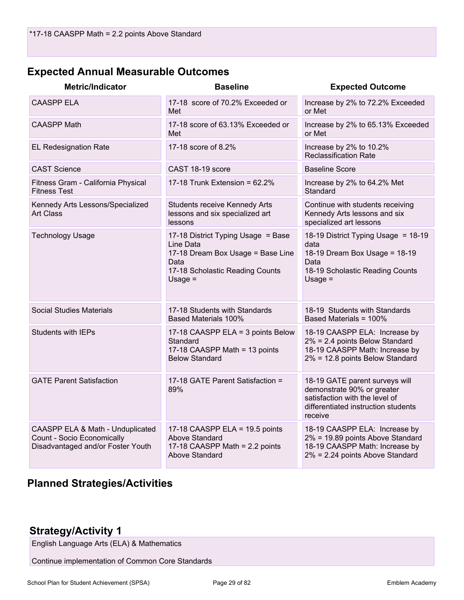## **Expected Annual Measurable Outcomes**

| <b>Metric/Indicator</b>                                                                             | <b>Baseline</b>                                                                                                                              | <b>Expected Outcome</b>                                                                                                                          |
|-----------------------------------------------------------------------------------------------------|----------------------------------------------------------------------------------------------------------------------------------------------|--------------------------------------------------------------------------------------------------------------------------------------------------|
| <b>CAASPP ELA</b>                                                                                   | 17-18 score of 70.2% Exceeded or<br>Met                                                                                                      | Increase by 2% to 72.2% Exceeded<br>or Met                                                                                                       |
| <b>CAASPP Math</b>                                                                                  | 17-18 score of 63.13% Exceeded or<br>Met                                                                                                     | Increase by 2% to 65.13% Exceeded<br>or Met                                                                                                      |
| <b>EL Redesignation Rate</b>                                                                        | 17-18 score of 8.2%                                                                                                                          | Increase by 2% to 10.2%<br><b>Reclassification Rate</b>                                                                                          |
| <b>CAST Science</b>                                                                                 | CAST 18-19 score                                                                                                                             | <b>Baseline Score</b>                                                                                                                            |
| Fitness Gram - California Physical<br><b>Fitness Test</b>                                           | 17-18 Trunk Extension = $62.2\%$                                                                                                             | Increase by 2% to 64.2% Met<br>Standard                                                                                                          |
| Kennedy Arts Lessons/Specialized<br><b>Art Class</b>                                                | Students receive Kennedy Arts<br>lessons and six specialized art<br>lessons                                                                  | Continue with students receiving<br>Kennedy Arts lessons and six<br>specialized art lessons                                                      |
| <b>Technology Usage</b>                                                                             | 17-18 District Typing Usage = Base<br>Line Data<br>17-18 Dream Box Usage = Base Line<br>Data<br>17-18 Scholastic Reading Counts<br>$Usage =$ | 18-19 District Typing Usage = 18-19<br>data<br>18-19 Dream Box Usage = 18-19<br>Data<br>18-19 Scholastic Reading Counts<br>Usage $=$             |
| <b>Social Studies Materials</b>                                                                     | 17-18 Students with Standards<br><b>Based Materials 100%</b>                                                                                 | 18-19 Students with Standards<br>Based Materials = 100%                                                                                          |
| <b>Students with IEPs</b>                                                                           | 17-18 CAASPP ELA = 3 points Below<br>Standard<br>17-18 CAASPP Math = 13 points<br><b>Below Standard</b>                                      | 18-19 CAASPP ELA: Increase by<br>2% = 2.4 points Below Standard<br>18-19 CAASPP Math: Increase by<br>2% = 12.8 points Below Standard             |
| <b>GATE Parent Satisfaction</b>                                                                     | 17-18 GATE Parent Satisfaction =<br>89%                                                                                                      | 18-19 GATE parent surveys will<br>demonstrate 90% or greater<br>satisfaction with the level of<br>differentiated instruction students<br>receive |
| CAASPP ELA & Math - Unduplicated<br>Count - Socio Economically<br>Disadvantaged and/or Foster Youth | 17-18 CAASPP ELA = 19.5 points<br>Above Standard<br>17-18 CAASPP Math = 2.2 points<br>Above Standard                                         | 18-19 CAASPP ELA: Increase by<br>2% = 19.89 points Above Standard<br>18-19 CAASPP Math: Increase by<br>2% = 2.24 points Above Standard           |

## **Planned Strategies/Activities**

## **Strategy/Activity 1**

English Language Arts (ELA) & Mathematics

Continue implementation of Common Core Standards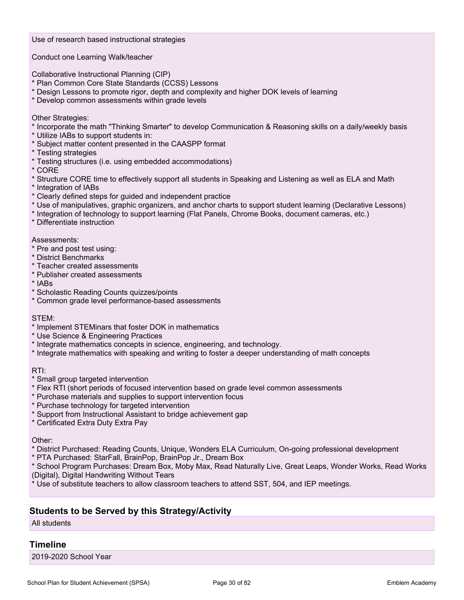Use of research based instructional strategies

Conduct one Learning Walk/teacher

Collaborative Instructional Planning (CIP)

- \* Plan Common Core State Standards (CCSS) Lessons
- \* Design Lessons to promote rigor, depth and complexity and higher DOK levels of learning
- \* Develop common assessments within grade levels

Other Strategies:

- \* Incorporate the math "Thinking Smarter" to develop Communication & Reasoning skills on a daily/weekly basis
- \* Utilize IABs to support students in:
- \* Subject matter content presented in the CAASPP format
- \* Testing strategies
- \* Testing structures (i.e. using embedded accommodations)
- \* CORE
- \* Structure CORE time to effectively support all students in Speaking and Listening as well as ELA and Math
- \* Integration of IABs
- \* Clearly defined steps for guided and independent practice
- \* Use of manipulatives, graphic organizers, and anchor charts to support student learning (Declarative Lessons)
- \* Integration of technology to support learning (Flat Panels, Chrome Books, document cameras, etc.)
- \* Differentiate instruction

### Assessments:

- \* Pre and post test using:
- \* District Benchmarks
- \* Teacher created assessments
- \* Publisher created assessments
- \* IABs
- \* Scholastic Reading Counts quizzes/points
- \* Common grade level performance-based assessments

### STEM:

- \* Implement STEMinars that foster DOK in mathematics
- \* Use Science & Engineering Practices
- \* Integrate mathematics concepts in science, engineering, and technology.
- \* Integrate mathematics with speaking and writing to foster a deeper understanding of math concepts

### RTI:

- \* Small group targeted intervention
- \* Flex RTI (short periods of focused intervention based on grade level common assessments
- \* Purchase materials and supplies to support intervention focus
- \* Purchase technology for targeted intervention
- \* Support from Instructional Assistant to bridge achievement gap
- \* Certificated Extra Duty Extra Pay

#### Other:

- \* District Purchased: Reading Counts, Unique, Wonders ELA Curriculum, On-going professional development
- \* PTA Purchased: StarFall, BrainPop, BrainPop Jr., Dream Box

\* School Program Purchases: Dream Box, Moby Max, Read Naturally Live, Great Leaps, Wonder Works, Read Works (Digital), Digital Handwriting Without Tears

Use of substitute teachers to allow classroom teachers to attend SST, 504, and IEP meetings.

### **Students to be Served by this Strategy/Activity**

### All students

### **Timeline**

2019-2020 School Year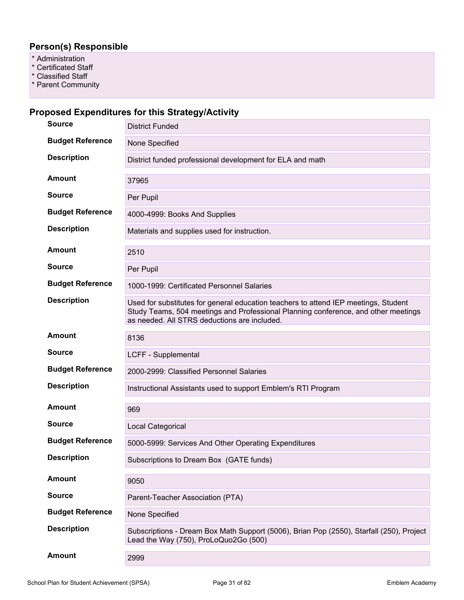### **Person(s) Responsible**

- \* Administration
- \* Certificated Staff
- \* Classified Staff
- \* Parent Community

## **Proposed Expenditures for this Strategy/Activity**

| <b>Source</b>           | <b>District Funded</b>                                                                                                                                                                                                    |
|-------------------------|---------------------------------------------------------------------------------------------------------------------------------------------------------------------------------------------------------------------------|
| <b>Budget Reference</b> | None Specified                                                                                                                                                                                                            |
| <b>Description</b>      | District funded professional development for ELA and math                                                                                                                                                                 |
| <b>Amount</b>           | 37965                                                                                                                                                                                                                     |
| <b>Source</b>           | Per Pupil                                                                                                                                                                                                                 |
| <b>Budget Reference</b> | 4000-4999: Books And Supplies                                                                                                                                                                                             |
| <b>Description</b>      | Materials and supplies used for instruction.                                                                                                                                                                              |
| <b>Amount</b>           | 2510                                                                                                                                                                                                                      |
| <b>Source</b>           | Per Pupil                                                                                                                                                                                                                 |
| <b>Budget Reference</b> | 1000-1999: Certificated Personnel Salaries                                                                                                                                                                                |
| <b>Description</b>      | Used for substitutes for general education teachers to attend IEP meetings, Student<br>Study Teams, 504 meetings and Professional Planning conference, and other meetings<br>as needed. All STRS deductions are included. |
| <b>Amount</b>           | 8136                                                                                                                                                                                                                      |
| <b>Source</b>           | LCFF - Supplemental                                                                                                                                                                                                       |
| <b>Budget Reference</b> | 2000-2999: Classified Personnel Salaries                                                                                                                                                                                  |
| <b>Description</b>      | Instructional Assistants used to support Emblem's RTI Program                                                                                                                                                             |
| <b>Amount</b>           | 969                                                                                                                                                                                                                       |
| <b>Source</b>           | Local Categorical                                                                                                                                                                                                         |
| <b>Budget Reference</b> | 5000-5999: Services And Other Operating Expenditures                                                                                                                                                                      |
| <b>Description</b>      | Subscriptions to Dream Box (GATE funds)                                                                                                                                                                                   |
| <b>Amount</b>           | 9050                                                                                                                                                                                                                      |
| <b>Source</b>           | Parent-Teacher Association (PTA)                                                                                                                                                                                          |
| <b>Budget Reference</b> | None Specified                                                                                                                                                                                                            |
| <b>Description</b>      | Subscriptions - Dream Box Math Support (5006), Brian Pop (2550), Starfall (250), Project<br>Lead the Way (750), ProLoQuo2Go (500)                                                                                         |
| <b>Amount</b>           | 2999                                                                                                                                                                                                                      |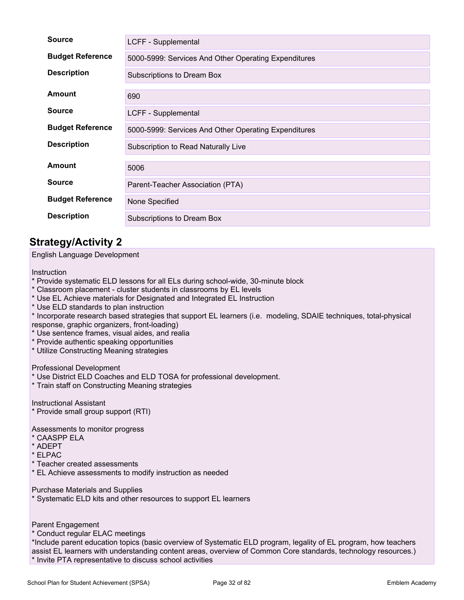| <b>Source</b>           | LCFF - Supplemental                                  |
|-------------------------|------------------------------------------------------|
| <b>Budget Reference</b> | 5000-5999: Services And Other Operating Expenditures |
| <b>Description</b>      | Subscriptions to Dream Box                           |
| Amount                  | 690                                                  |
| <b>Source</b>           | LCFF - Supplemental                                  |
| <b>Budget Reference</b> | 5000-5999: Services And Other Operating Expenditures |
| <b>Description</b>      | Subscription to Read Naturally Live                  |
| Amount                  | 5006                                                 |
| <b>Source</b>           | Parent-Teacher Association (PTA)                     |
| <b>Budget Reference</b> | None Specified                                       |
| <b>Description</b>      | Subscriptions to Dream Box                           |

## **Strategy/Activity 2**

### English Language Development

### **Instruction**

- \* Provide systematic ELD lessons for all ELs during school-wide, 30-minute block
- \* Classroom placement cluster students in classrooms by EL levels
- \* Use EL Achieve materials for Designated and Integrated EL Instruction
- \* Use ELD standards to plan instruction

\* Incorporate research based strategies that support EL learners (i.e. modeling, SDAIE techniques, total-physical response, graphic organizers, front-loading)

- \* Use sentence frames, visual aides, and realia
- \* Provide authentic speaking opportunities
- \* Utilize Constructing Meaning strategies

### Professional Development

- \* Use District ELD Coaches and ELD TOSA for professional development.
- \* Train staff on Constructing Meaning strategies

Instructional Assistant

\* Provide small group support (RTI)

Assessments to monitor progress

- \* CAASPP ELA
- \* ADEPT
- \* ELPAC
- \* Teacher created assessments
- \* EL Achieve assessments to modify instruction as needed

Purchase Materials and Supplies

\* Systematic ELD kits and other resources to support EL learners

Parent Engagement

\* Conduct regular ELAC meetings

\*Include parent education topics (basic overview of Systematic ELD program, legality of EL program, how teachers assist EL learners with understanding content areas, overview of Common Core standards, technology resources.) \* Invite PTA representative to discuss school activities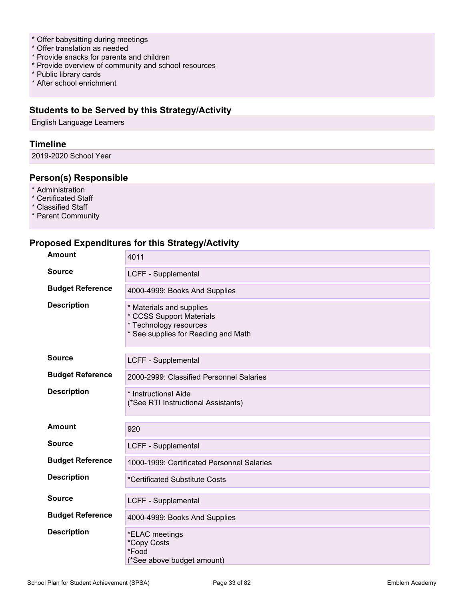- \* Offer babysitting during meetings
- \* Offer translation as needed
- \* Provide snacks for parents and children
- \* Provide overview of community and school resources
- \* Public library cards
- \* After school enrichment

### **Students to be Served by this Strategy/Activity**

English Language Learners

### **Timeline**

2019-2020 School Year

### **Person(s) Responsible**

- \* Administration
- \* Certificated Staff
- \* Classified Staff
- \* Parent Community

### **Proposed Expenditures for this Strategy/Activity**

| <b>Amount</b>           | 4011                                                                                                                  |
|-------------------------|-----------------------------------------------------------------------------------------------------------------------|
| <b>Source</b>           | LCFF - Supplemental                                                                                                   |
| <b>Budget Reference</b> | 4000-4999: Books And Supplies                                                                                         |
| <b>Description</b>      | * Materials and supplies<br>* CCSS Support Materials<br>* Technology resources<br>* See supplies for Reading and Math |
| <b>Source</b>           | LCFF - Supplemental                                                                                                   |
| <b>Budget Reference</b> | 2000-2999: Classified Personnel Salaries                                                                              |
| <b>Description</b>      | * Instructional Aide<br>(*See RTI Instructional Assistants)                                                           |
| Amount                  | 920                                                                                                                   |
| <b>Source</b>           | <b>LCFF - Supplemental</b>                                                                                            |
| <b>Budget Reference</b> | 1000-1999: Certificated Personnel Salaries                                                                            |
| <b>Description</b>      | *Certificated Substitute Costs                                                                                        |
| <b>Source</b>           | LCFF - Supplemental                                                                                                   |
| <b>Budget Reference</b> | 4000-4999: Books And Supplies                                                                                         |
| <b>Description</b>      | *ELAC meetings<br>*Copy Costs<br>*Food<br>(*See above budget amount)                                                  |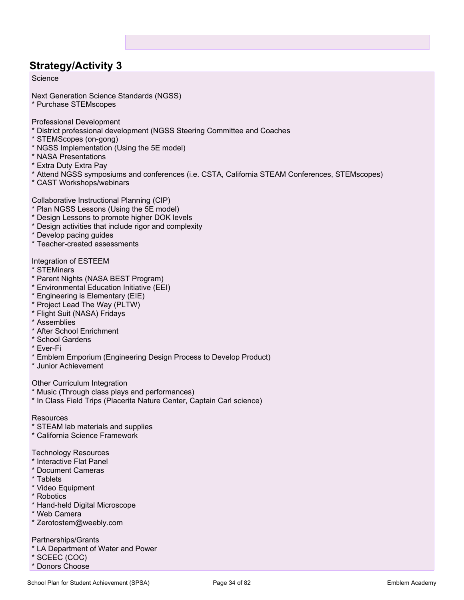## **Strategy/Activity 3**

### Science

Next Generation Science Standards (NGSS)

\* Purchase STEMscopes

Professional Development

- \* District professional development (NGSS Steering Committee and Coaches
- \* STEMScopes (on-gong)
- \* NGSS Implementation (Using the 5E model)
- \* NASA Presentations
- \* Extra Duty Extra Pay
- \* Attend NGSS symposiums and conferences (i.e. CSTA, California STEAM Conferences, STEMscopes)
- \* CAST Workshops/webinars

Collaborative Instructional Planning (CIP)

- \* Plan NGSS Lessons (Using the 5E model)
- \* Design Lessons to promote higher DOK levels
- \* Design activities that include rigor and complexity
- \* Develop pacing guides
- \* Teacher-created assessments

Integration of ESTEEM

- \* STEMinars
- \* Parent Nights (NASA BEST Program)
- \* Environmental Education Initiative (EEI)
- \* Engineering is Elementary (EIE)
- \* Project Lead The Way (PLTW)
- \* Flight Suit (NASA) Fridays
- \* Assemblies
- \* After School Enrichment
- \* School Gardens
- \* Ever-Fi
- \* Emblem Emporium (Engineering Design Process to Develop Product)
- \* Junior Achievement

Other Curriculum Integration

- \* Music (Through class plays and performances)
- \* In Class Field Trips (Placerita Nature Center, Captain Carl science)

### Resources

- \* STEAM lab materials and supplies
- \* California Science Framework

### Technology Resources

- \* Interactive Flat Panel
- \* Document Cameras
- \* Tablets
- \* Video Equipment
- \* Robotics
- \* Hand-held Digital Microscope
- \* Web Camera
- \* Zerotostem@weebly.com

### Partnerships/Grants

- \* LA Department of Water and Power
- \* SCEEC (COC)
- \* Donors Choose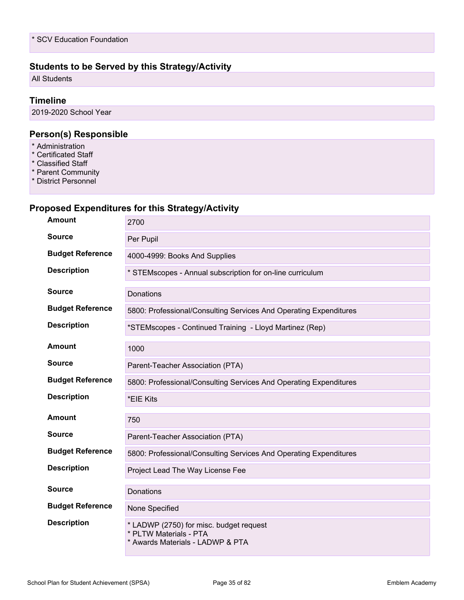### **Students to be Served by this Strategy/Activity**

All Students

### **Timeline**

2019-2020 School Year

### **Person(s) Responsible**

- \* Administration
- \* Certificated Staff
- \* Classified Staff
- \* Parent Community
- \* District Personnel

### **Proposed Expenditures for this Strategy/Activity**

| <b>Amount</b>           | 2700                                                                                                  |
|-------------------------|-------------------------------------------------------------------------------------------------------|
| <b>Source</b>           | Per Pupil                                                                                             |
| <b>Budget Reference</b> | 4000-4999: Books And Supplies                                                                         |
| <b>Description</b>      | * STEMscopes - Annual subscription for on-line curriculum                                             |
| Source                  | Donations                                                                                             |
| <b>Budget Reference</b> | 5800: Professional/Consulting Services And Operating Expenditures                                     |
| <b>Description</b>      | *STEMscopes - Continued Training - Lloyd Martinez (Rep)                                               |
| <b>Amount</b>           | 1000                                                                                                  |
| <b>Source</b>           | Parent-Teacher Association (PTA)                                                                      |
| <b>Budget Reference</b> | 5800: Professional/Consulting Services And Operating Expenditures                                     |
| <b>Description</b>      | *EIE Kits                                                                                             |
| <b>Amount</b>           | 750                                                                                                   |
| <b>Source</b>           | Parent-Teacher Association (PTA)                                                                      |
| <b>Budget Reference</b> | 5800: Professional/Consulting Services And Operating Expenditures                                     |
| <b>Description</b>      | Project Lead The Way License Fee                                                                      |
| <b>Source</b>           | Donations                                                                                             |
| <b>Budget Reference</b> | None Specified                                                                                        |
| <b>Description</b>      | * LADWP (2750) for misc. budget request<br>* PLTW Materials - PTA<br>* Awards Materials - LADWP & PTA |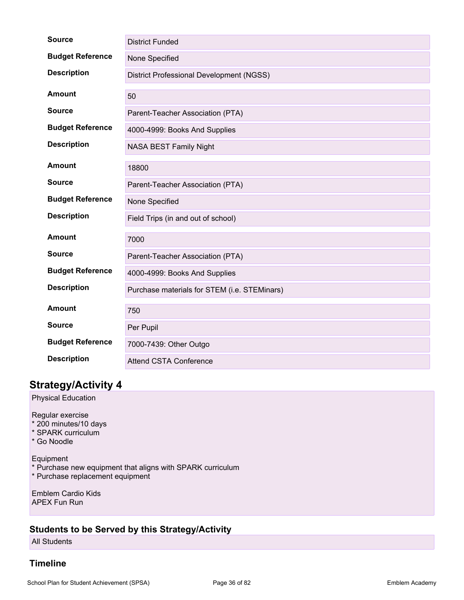| <b>Source</b>           | <b>District Funded</b>                       |
|-------------------------|----------------------------------------------|
| <b>Budget Reference</b> | None Specified                               |
| <b>Description</b>      | District Professional Development (NGSS)     |
| <b>Amount</b>           | 50                                           |
| <b>Source</b>           | Parent-Teacher Association (PTA)             |
| <b>Budget Reference</b> | 4000-4999: Books And Supplies                |
| <b>Description</b>      | NASA BEST Family Night                       |
| <b>Amount</b>           | 18800                                        |
| <b>Source</b>           | Parent-Teacher Association (PTA)             |
| <b>Budget Reference</b> | None Specified                               |
| <b>Description</b>      | Field Trips (in and out of school)           |
| Amount                  | 7000                                         |
| <b>Source</b>           | Parent-Teacher Association (PTA)             |
| <b>Budget Reference</b> | 4000-4999: Books And Supplies                |
| <b>Description</b>      | Purchase materials for STEM (i.e. STEMinars) |
| <b>Amount</b>           | 750                                          |
| <b>Source</b>           | Per Pupil                                    |
| <b>Budget Reference</b> | 7000-7439: Other Outgo                       |
| <b>Description</b>      | <b>Attend CSTA Conference</b>                |

## **Strategy/Activity 4**

Physical Education

Regular exercise

- \* 200 minutes/10 days
- \* SPARK curriculum
- \* Go Noodle

Equipment

- \* Purchase new equipment that aligns with SPARK curriculum
- \* Purchase replacement equipment

Emblem Cardio Kids APEX Fun Run

### **Students to be Served by this Strategy/Activity**

All Students

### **Timeline**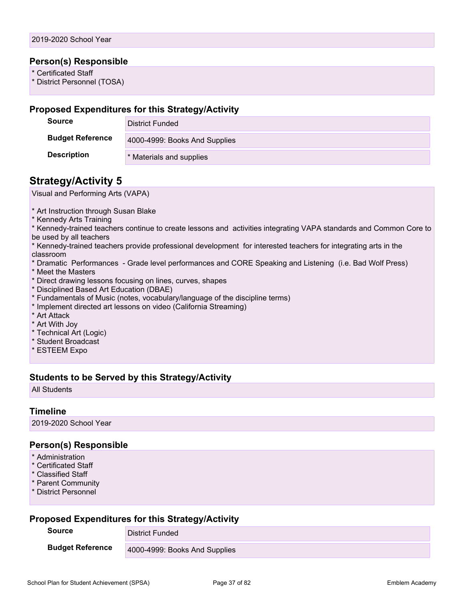#### **Person(s) Responsible**

\* Certificated Staff

\* District Personnel (TOSA)

#### **Proposed Expenditures for this Strategy/Activity**

| <b>Source</b>           | District Funded               |
|-------------------------|-------------------------------|
| <b>Budget Reference</b> | 4000-4999: Books And Supplies |
| <b>Description</b>      | * Materials and supplies      |

## **Strategy/Activity 5**

Visual and Performing Arts (VAPA)

\* Art Instruction through Susan Blake

\* Kennedy Arts Training

\* Kennedy-trained teachers continue to create lessons and activities integrating VAPA standards and Common Core to be used by all teachers

- \* Kennedy-trained teachers provide professional development for interested teachers for integrating arts in the classroom
- \* Dramatic Performances Grade level performances and CORE Speaking and Listening (i.e. Bad Wolf Press)
- \* Meet the Masters
- \* Direct drawing lessons focusing on lines, curves, shapes
- \* Disciplined Based Art Education (DBAE)
- \* Fundamentals of Music (notes, vocabulary/language of the discipline terms)
- \* Implement directed art lessons on video (California Streaming)
- \* Art Attack
- \* Art With Joy
- \* Technical Art (Logic)
- \* Student Broadcast
- \* ESTEEM Expo

## **Students to be Served by this Strategy/Activity**

All Students

#### **Timeline**

2019-2020 School Year

## **Person(s) Responsible**

- \* Administration
- \* Certificated Staff
- \* Classified Staff
- \* Parent Community
- \* District Personnel

## **Proposed Expenditures for this Strategy/Activity**

| <b>Source</b>           | District Funded               |
|-------------------------|-------------------------------|
| <b>Budget Reference</b> | 4000-4999: Books And Supplies |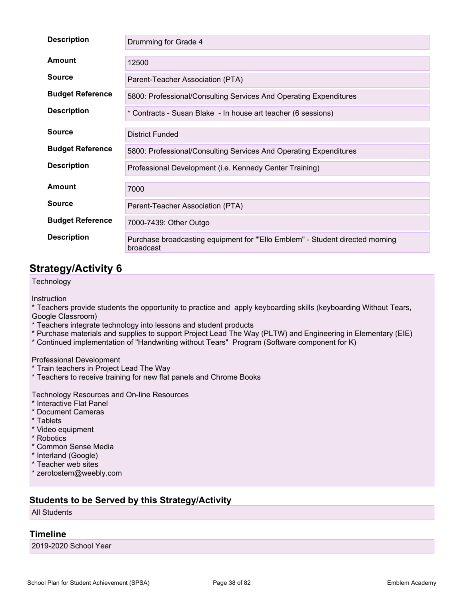| <b>Description</b>      | Drumming for Grade 4                                                                       |
|-------------------------|--------------------------------------------------------------------------------------------|
| Amount                  | 12500                                                                                      |
| <b>Source</b>           | Parent-Teacher Association (PTA)                                                           |
| <b>Budget Reference</b> | 5800: Professional/Consulting Services And Operating Expenditures                          |
| <b>Description</b>      | * Contracts - Susan Blake - In house art teacher (6 sessions)                              |
| <b>Source</b>           | <b>District Funded</b>                                                                     |
| <b>Budget Reference</b> | 5800: Professional/Consulting Services And Operating Expenditures                          |
| <b>Description</b>      | Professional Development (i.e. Kennedy Center Training)                                    |
| Amount                  | 7000                                                                                       |
| <b>Source</b>           | Parent-Teacher Association (PTA)                                                           |
| <b>Budget Reference</b> | 7000-7439: Other Outgo                                                                     |
| <b>Description</b>      | Purchase broadcasting equipment for "'Ello Emblem" - Student directed morning<br>broadcast |

## **Strategy/Activity 6**

**Technology** 

Instruction

\* Teachers provide students the opportunity to practice and apply keyboarding skills (keyboarding Without Tears, Google Classroom)

- \* Teachers integrate technology into lessons and student products
- \* Purchase materials and supplies to support Project Lead The Way (PLTW) and Engineering in Elementary (EIE)
- \* Continued implementation of "Handwriting without Tears" Program (Software component for K)

Professional Development

- \* Train teachers in Project Lead The Way
- \* Teachers to receive training for new flat panels and Chrome Books

Technology Resources and On-line Resources

- \* Interactive Flat Panel
- \* Document Cameras
- \* Tablets
- \* Video equipment
- \* Robotics
- \* Common Sense Media
- \* Interland (Google)
- \* Teacher web sites
- \* zerotostem@weebly.com

## **Students to be Served by this Strategy/Activity**

All Students

## **Timeline**

2019-2020 School Year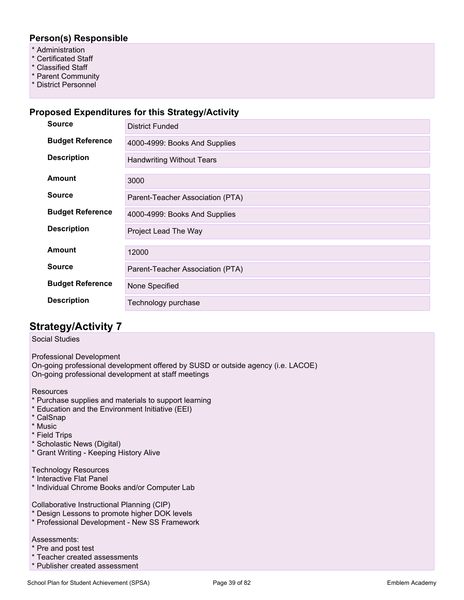## **Person(s) Responsible**

- \* Administration
- \* Certificated Staff
- \* Classified Staff
- \* Parent Community
- \* District Personnel

#### **Proposed Expenditures for this Strategy/Activity**

| <b>Source</b>           | <b>District Funded</b>           |
|-------------------------|----------------------------------|
| <b>Budget Reference</b> | 4000-4999: Books And Supplies    |
| <b>Description</b>      | <b>Handwriting Without Tears</b> |
| <b>Amount</b>           | 3000                             |
| <b>Source</b>           | Parent-Teacher Association (PTA) |
| <b>Budget Reference</b> | 4000-4999: Books And Supplies    |
| <b>Description</b>      | Project Lead The Way             |
| <b>Amount</b>           | 12000                            |
| <b>Source</b>           | Parent-Teacher Association (PTA) |
| <b>Budget Reference</b> | None Specified                   |
| <b>Description</b>      | Technology purchase              |

## **Strategy/Activity 7**

#### Social Studies

Professional Development On-going professional development offered by SUSD or outside agency (i.e. LACOE) On-going professional development at staff meetings

**Resources** 

- \* Purchase supplies and materials to support learning
- \* Education and the Environment Initiative (EEI)
- \* CalSnap
- \* Music
- \* Field Trips
- \* Scholastic News (Digital)
- \* Grant Writing Keeping History Alive

Technology Resources

- \* Interactive Flat Panel
- \* Individual Chrome Books and/or Computer Lab

Collaborative Instructional Planning (CIP)

- \* Design Lessons to promote higher DOK levels
- \* Professional Development New SS Framework

#### Assessments:

- \* Pre and post test
- \* Teacher created assessments
- \* Publisher created assessment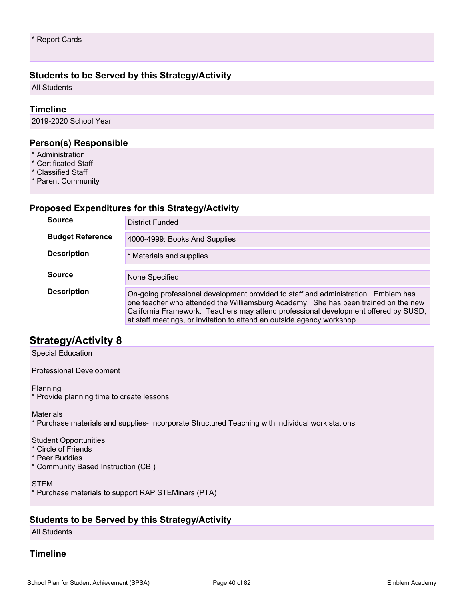## **Students to be Served by this Strategy/Activity**

All Students

#### **Timeline**

2019-2020 School Year

#### **Person(s) Responsible**

- \* Administration
- \* Certificated Staff
- \* Classified Staff
- \* Parent Community

#### **Proposed Expenditures for this Strategy/Activity**

| <b>Source</b>           | District Funded                                                                                                                                                                                                                                                                                                                           |
|-------------------------|-------------------------------------------------------------------------------------------------------------------------------------------------------------------------------------------------------------------------------------------------------------------------------------------------------------------------------------------|
| <b>Budget Reference</b> | 4000-4999: Books And Supplies                                                                                                                                                                                                                                                                                                             |
| <b>Description</b>      | * Materials and supplies                                                                                                                                                                                                                                                                                                                  |
|                         |                                                                                                                                                                                                                                                                                                                                           |
| <b>Source</b>           | None Specified                                                                                                                                                                                                                                                                                                                            |
| <b>Description</b>      | On-going professional development provided to staff and administration. Emblem has<br>one teacher who attended the Williamsburg Academy. She has been trained on the new<br>California Framework. Teachers may attend professional development offered by SUSD,<br>at staff meetings, or invitation to attend an outside agency workshop. |

## **Strategy/Activity 8**

Special Education

Professional Development

#### Planning

\* Provide planning time to create lessons

#### **Materials**

\* Purchase materials and supplies- Incorporate Structured Teaching with individual work stations

#### Student Opportunities

- \* Circle of Friends
- \* Peer Buddies
- \* Community Based Instruction (CBI)

#### STEM

\* Purchase materials to support RAP STEMinars (PTA)

#### **Students to be Served by this Strategy/Activity**

All Students

#### **Timeline**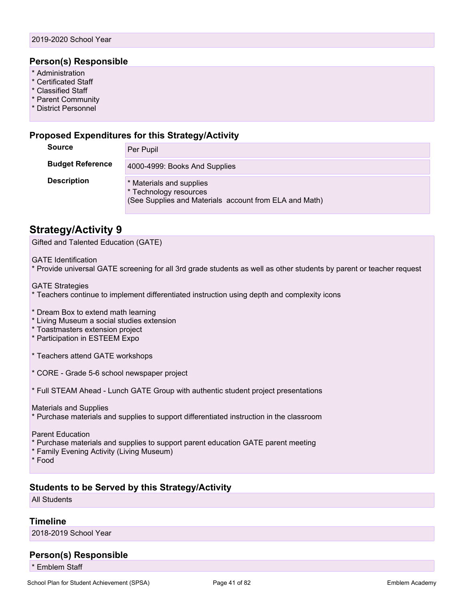#### **Person(s) Responsible**

- \* Administration
- \* Certificated Staff
- \* Classified Staff
- \* Parent Community
- \* District Personnel

#### **Proposed Expenditures for this Strategy/Activity**

| <b>Source</b>           | Per Pupil                                                                                                    |
|-------------------------|--------------------------------------------------------------------------------------------------------------|
| <b>Budget Reference</b> | 4000-4999: Books And Supplies                                                                                |
| <b>Description</b>      | * Materials and supplies<br>* Technology resources<br>(See Supplies and Materials account from ELA and Math) |

## **Strategy/Activity 9**

Gifted and Talented Education (GATE)

GATE Identification

\* Provide universal GATE screening for all 3rd grade students as well as other students by parent or teacher request

GATE Strategies

\* Teachers continue to implement differentiated instruction using depth and complexity icons

- \* Dream Box to extend math learning
- \* Living Museum a social studies extension
- \* Toastmasters extension project
- \* Participation in ESTEEM Expo
- \* Teachers attend GATE workshops
- \* CORE Grade 5-6 school newspaper project
- \* Full STEAM Ahead Lunch GATE Group with authentic student project presentations

Materials and Supplies

\* Purchase materials and supplies to support differentiated instruction in the classroom

Parent Education

- \* Purchase materials and supplies to support parent education GATE parent meeting
- \* Family Evening Activity (Living Museum)

\* Food

#### **Students to be Served by this Strategy/Activity**

All Students

#### **Timeline**

2018-2019 School Year

## **Person(s) Responsible**

\* Emblem Staff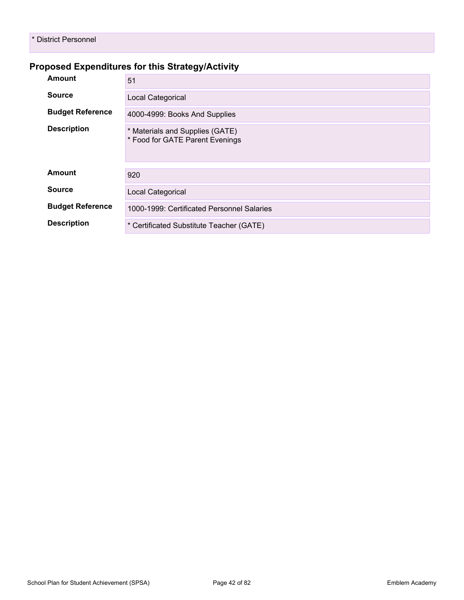## **Proposed Expenditures for this Strategy/Activity**

| <b>Amount</b>           | 51                                                                 |
|-------------------------|--------------------------------------------------------------------|
| <b>Source</b>           | Local Categorical                                                  |
| <b>Budget Reference</b> | 4000-4999: Books And Supplies                                      |
| <b>Description</b>      | * Materials and Supplies (GATE)<br>* Food for GATE Parent Evenings |
| Amount                  | 920                                                                |
| <b>Source</b>           | Local Categorical                                                  |
| <b>Budget Reference</b> | 1000-1999: Certificated Personnel Salaries                         |
| <b>Description</b>      | * Certificated Substitute Teacher (GATE)                           |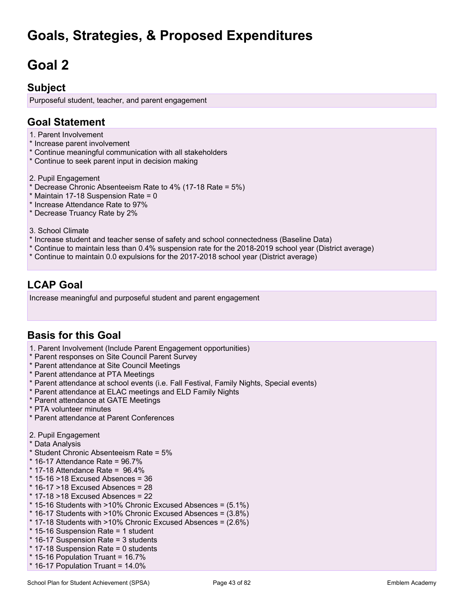# **Goals, Strategies, & Proposed Expenditures**

# **Goal 2**

## **Subject**

Purposeful student, teacher, and parent engagement

## **Goal Statement**

- 1. Parent Involvement
- \* Increase parent involvement
- \* Continue meaningful communication with all stakeholders
- \* Continue to seek parent input in decision making
- 2. Pupil Engagement
- \* Decrease Chronic Absenteeism Rate to 4% (17-18 Rate = 5%)
- \* Maintain 17-18 Suspension Rate = 0
- \* Increase Attendance Rate to 97%
- \* Decrease Truancy Rate by 2%
- 3. School Climate
- \* Increase student and teacher sense of safety and school connectedness (Baseline Data)
- \* Continue to maintain less than 0.4% suspension rate for the 2018-2019 school year (District average)
- \* Continue to maintain 0.0 expulsions for the 2017-2018 school year (District average)

# **LCAP Goal**

Increase meaningful and purposeful student and parent engagement

## **Basis for this Goal**

- 1. Parent Involvement (Include Parent Engagement opportunities)
- \* Parent responses on Site Council Parent Survey
- \* Parent attendance at Site Council Meetings
- \* Parent attendance at PTA Meetings
- \* Parent attendance at school events (i.e. Fall Festival, Family Nights, Special events)
- \* Parent attendance at ELAC meetings and ELD Family Nights
- \* Parent attendance at GATE Meetings
- \* PTA volunteer minutes
- \* Parent attendance at Parent Conferences
- 2. Pupil Engagement
- \* Data Analysis
- \* Student Chronic Absenteeism Rate = 5%
- $*$  16-17 Attendance Rate = 96.7%
- $*$  17-18 Attendance Rate =  $96.4\%$
- $*$  15-16 >18 Excused Absences = 36
- $*$  16-17 >18 Excused Absences = 28
- $*$  17-18 >18 Excused Absences = 22
- \* 15-16 Students with >10% Chronic Excused Absences = (5.1%)
- \* 16-17 Students with >10% Chronic Excused Absences = (3.8%)
- \* 17-18 Students with >10% Chronic Excused Absences = (2.6%)
- \* 15-16 Suspension Rate = 1 student
- \* 16-17 Suspension Rate = 3 students
- \* 17-18 Suspension Rate = 0 students
- $*$  15-16 Population Truant = 16.7%
- $*$  16-17 Population Truant = 14.0%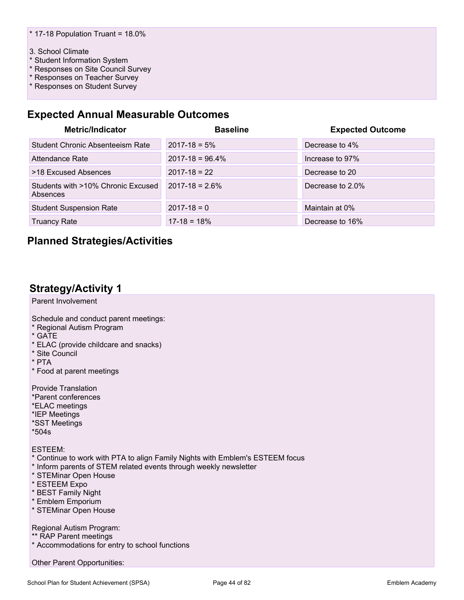#### 3. School Climate

- \* Student Information System
- \* Responses on Site Council Survey
- \* Responses on Teacher Survey
- \* Responses on Student Survey

## **Expected Annual Measurable Outcomes**

| <b>Metric/Indicator</b>                        | <b>Baseline</b>      | <b>Expected Outcome</b> |
|------------------------------------------------|----------------------|-------------------------|
| Student Chronic Absenteeism Rate               | $2017 - 18 = 5\%$    | Decrease to 4%          |
| Attendance Rate                                | $2017 - 18 = 96.4\%$ | Increase to 97%         |
| >18 Excused Absences                           | $2017 - 18 = 22$     | Decrease to 20          |
| Students with >10% Chronic Excused<br>Absences | $2017 - 18 = 2.6\%$  | Decrease to 2.0%        |
| <b>Student Suspension Rate</b>                 | $2017 - 18 = 0$      | Maintain at 0%          |
| <b>Truancy Rate</b>                            | $17-18 = 18%$        | Decrease to 16%         |

## **Planned Strategies/Activities**

## **Strategy/Activity 1**

Parent Involvement

Schedule and conduct parent meetings:

- \* Regional Autism Program
- \* GATE
- \* ELAC (provide childcare and snacks)
- \* Site Council
- \* PTA
- \* Food at parent meetings

Provide Translation

- \*Parent conferences
- \*ELAC meetings
- \*IEP Meetings
- \*SST Meetings
- \*504s

ESTEEM:

- \* Continue to work with PTA to align Family Nights with Emblem's ESTEEM focus
- \* Inform parents of STEM related events through weekly newsletter
- \* STEMinar Open House
- \* ESTEEM Expo
- \* BEST Family Night
- \* Emblem Emporium
- \* STEMinar Open House

Regional Autism Program:

- \*\* RAP Parent meetings
- \* Accommodations for entry to school functions

Other Parent Opportunities: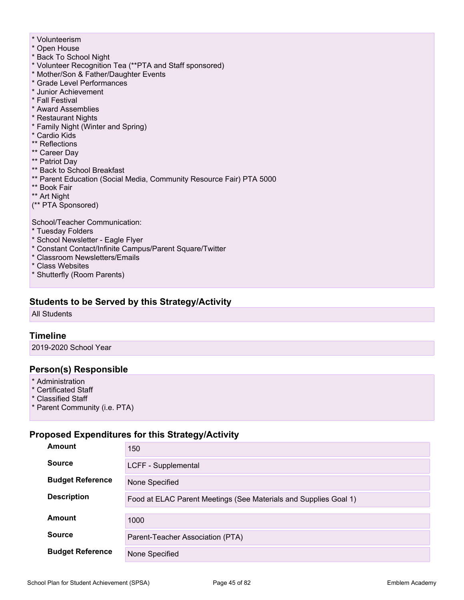- \* Volunteerism
- \* Open House
- \* Back To School Night
- \* Volunteer Recognition Tea (\*\*PTA and Staff sponsored)
- \* Mother/Son & Father/Daughter Events
- \* Grade Level Performances
- \* Junior Achievement
- \* Fall Festival
- \* Award Assemblies
- \* Restaurant Nights
- \* Family Night (Winter and Spring)
- \* Cardio Kids
- \*\* Reflections
- \*\* Career Day
- \*\* Patriot Day
- \*\* Back to School Breakfast
- \*\* Parent Education (Social Media, Community Resource Fair) PTA 5000
- \*\* Book Fair
- \*\* Art Night
- (\*\* PTA Sponsored)

School/Teacher Communication:

- \* Tuesday Folders
- \* School Newsletter Eagle Flyer
- \* Constant Contact/Infinite Campus/Parent Square/Twitter
- \* Classroom Newsletters/Emails
- \* Class Websites
- \* Shutterfly (Room Parents)

## **Students to be Served by this Strategy/Activity**

All Students

#### **Timeline**

2019-2020 School Year

#### **Person(s) Responsible**

- \* Administration
- \* Certificated Staff
- \* Classified Staff
- \* Parent Community (i.e. PTA)

## **Proposed Expenditures for this Strategy/Activity**

| Amount                  | 150                                                              |
|-------------------------|------------------------------------------------------------------|
| <b>Source</b>           | LCFF - Supplemental                                              |
| <b>Budget Reference</b> | None Specified                                                   |
| <b>Description</b>      | Food at ELAC Parent Meetings (See Materials and Supplies Goal 1) |
| Amount                  | 1000                                                             |
| <b>Source</b>           | Parent-Teacher Association (PTA)                                 |
| <b>Budget Reference</b> | None Specified                                                   |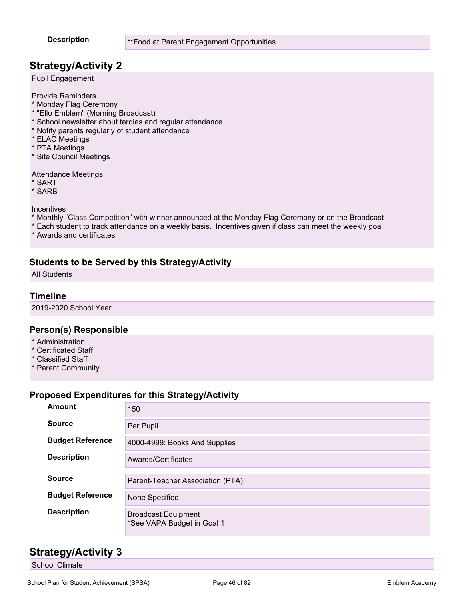## **Strategy/Activity 2**

Pupil Engagement

Provide Reminders

- \* Monday Flag Ceremony
- \* "Ello Emblem" (Morning Broadcast)
- \* School newsletter about tardies and regular attendance
- \* Notify parents regularly of student attendance
- \* ELAC Meetings
- \* PTA Meetings
- \* Site Council Meetings

Attendance Meetings

- \* SART
- \* SARB

Incentives

- \* Monthly "Class Competition" with winner announced at the Monday Flag Ceremony or on the Broadcast
- \* Each student to track attendance on a weekly basis. Incentives given if class can meet the weekly goal.
- \* Awards and certificates

## **Students to be Served by this Strategy/Activity**

All Students

#### **Timeline**

2019-2020 School Year

#### **Person(s) Responsible**

- \* Administration
- \* Certificated Staff
- \* Classified Staff
- \* Parent Community

## **Proposed Expenditures for this Strategy/Activity**

| Amount                  | 150                                                      |
|-------------------------|----------------------------------------------------------|
| <b>Source</b>           | Per Pupil                                                |
| <b>Budget Reference</b> | 4000-4999: Books And Supplies                            |
| <b>Description</b>      | Awards/Certificates                                      |
|                         |                                                          |
| <b>Source</b>           | Parent-Teacher Association (PTA)                         |
| <b>Budget Reference</b> | None Specified                                           |
| <b>Description</b>      | <b>Broadcast Equipment</b><br>*See VAPA Budget in Goal 1 |

## **Strategy/Activity 3**

School Climate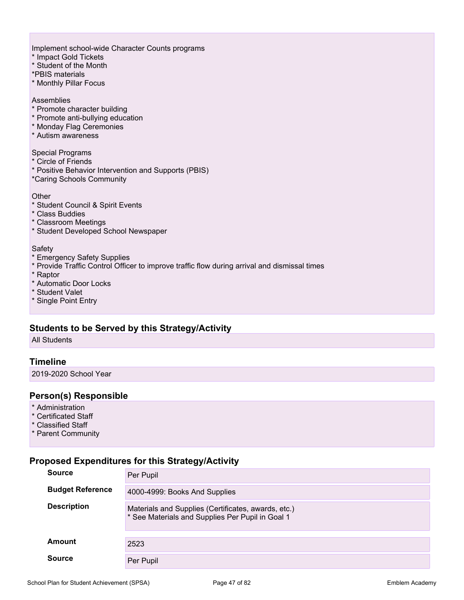Implement school-wide Character Counts programs

- \* Impact Gold Tickets
- \* Student of the Month
- \*PBIS materials
- \* Monthly Pillar Focus

#### Assemblies

- \* Promote character building
- \* Promote anti-bullying education
- \* Monday Flag Ceremonies
- \* Autism awareness

#### Special Programs

- \* Circle of Friends
- \* Positive Behavior Intervention and Supports (PBIS)
- \*Caring Schools Community

#### **Other**

- \* Student Council & Spirit Events
- \* Class Buddies
- \* Classroom Meetings
- \* Student Developed School Newspaper

#### **Safety**

- \* Emergency Safety Supplies
- \* Provide Traffic Control Officer to improve traffic flow during arrival and dismissal times
- \* Raptor
- \* Automatic Door Locks
- \* Student Valet
- \* Single Point Entry

## **Students to be Served by this Strategy/Activity**

All Students

#### **Timeline**

2019-2020 School Year

#### **Person(s) Responsible**

- \* Administration
- \* Certificated Staff
- \* Classified Staff
- \* Parent Community

#### **Proposed Expenditures for this Strategy/Activity**

| <b>Source</b>           | Per Pupil                                                                                               |
|-------------------------|---------------------------------------------------------------------------------------------------------|
| <b>Budget Reference</b> | 4000-4999: Books And Supplies                                                                           |
| <b>Description</b>      | Materials and Supplies (Certificates, awards, etc.)<br>* See Materials and Supplies Per Pupil in Goal 1 |
| <b>Amount</b>           | 2523                                                                                                    |
| <b>Source</b>           | Per Pupil                                                                                               |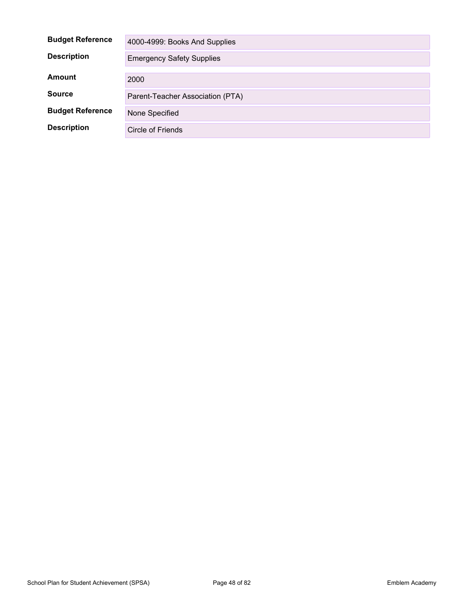| <b>Budget Reference</b> | 4000-4999: Books And Supplies    |
|-------------------------|----------------------------------|
| <b>Description</b>      | <b>Emergency Safety Supplies</b> |
| Amount                  | 2000                             |
| <b>Source</b>           | Parent-Teacher Association (PTA) |
| <b>Budget Reference</b> | None Specified                   |
| <b>Description</b>      | Circle of Friends                |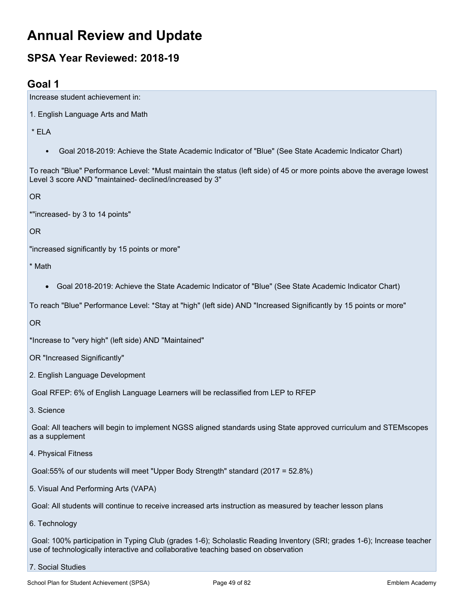# **Annual Review and Update**

# **SPSA Year Reviewed: 2018-19**

## **Goal 1**

Increase student achievement in:

1. English Language Arts and Math

\* ELA

• Goal 2018-2019: Achieve the State Academic Indicator of "Blue" (See State Academic Indicator Chart)

To reach "Blue" Performance Level: \*Must maintain the status (left side) of 45 or more points above the average lowest Level 3 score AND "maintained- declined/increased by 3"

OR

\*"increased- by 3 to 14 points"

OR

"increased significantly by 15 points or more"

\* Math

- Goal 2018-2019: Achieve the State Academic Indicator of "Blue" (See State Academic Indicator Chart)
- To reach "Blue" Performance Level: \*Stay at "high" (left side) AND "Increased Significantly by 15 points or more"

OR

\*Increase to "very high" (left side) AND "Maintained"

OR "Increased Significantly"

2. English Language Development

Goal RFEP: 6% of English Language Learners will be reclassified from LEP to RFEP

3. Science

Goal: All teachers will begin to implement NGSS aligned standards using State approved curriculum and STEMscopes as a supplement

4. Physical Fitness

Goal:55% of our students will meet "Upper Body Strength" standard (2017 = 52.8%)

5. Visual And Performing Arts (VAPA)

Goal: All students will continue to receive increased arts instruction as measured by teacher lesson plans

6. Technology

Goal: 100% participation in Typing Club (grades 1-6); Scholastic Reading Inventory (SRI; grades 1-6); Increase teacher use of technologically interactive and collaborative teaching based on observation

7. Social Studies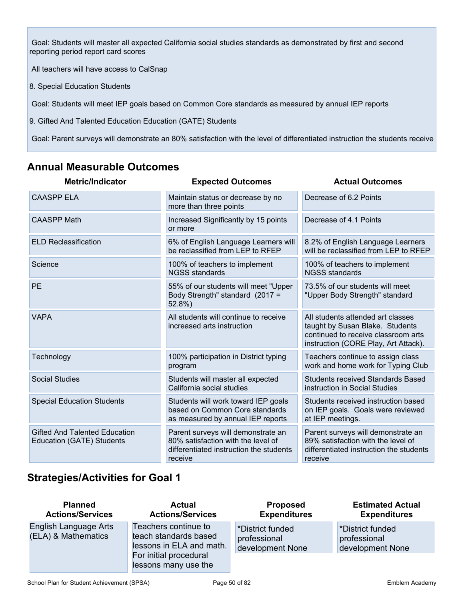Goal: Students will master all expected California social studies standards as demonstrated by first and second reporting period report card scores

All teachers will have access to CalSnap

8. Special Education Students

Goal: Students will meet IEP goals based on Common Core standards as measured by annual IEP reports

9. Gifted And Talented Education Education (GATE) Students

Goal: Parent surveys will demonstrate an 80% satisfaction with the level of differentiated instruction the students receive

## **Annual Measurable Outcomes**

| <b>Metric/Indicator</b>                                           | <b>Expected Outcomes</b>                                                                                                       | <b>Actual Outcomes</b>                                                                                                                              |
|-------------------------------------------------------------------|--------------------------------------------------------------------------------------------------------------------------------|-----------------------------------------------------------------------------------------------------------------------------------------------------|
| <b>CAASPP ELA</b>                                                 | Maintain status or decrease by no<br>more than three points                                                                    | Decrease of 6.2 Points                                                                                                                              |
| <b>CAASPP Math</b>                                                | Increased Significantly by 15 points<br>or more                                                                                | Decrease of 4.1 Points                                                                                                                              |
| <b>ELD Reclassification</b>                                       | 6% of English Language Learners will<br>be reclassified from LEP to RFEP                                                       | 8.2% of English Language Learners<br>will be reclassified from LEP to RFEP                                                                          |
| Science                                                           | 100% of teachers to implement<br><b>NGSS standards</b>                                                                         | 100% of teachers to implement<br><b>NGSS standards</b>                                                                                              |
| PE                                                                | 55% of our students will meet "Upper<br>Body Strength" standard (2017 =<br>52.8%)                                              | 73.5% of our students will meet<br>"Upper Body Strength" standard                                                                                   |
| <b>VAPA</b>                                                       | All students will continue to receive<br>increased arts instruction                                                            | All students attended art classes<br>taught by Susan Blake. Students<br>continued to receive classroom arts<br>instruction (CORE Play, Art Attack). |
| Technology                                                        | 100% participation in District typing<br>program                                                                               | Teachers continue to assign class<br>work and home work for Typing Club                                                                             |
| <b>Social Studies</b>                                             | Students will master all expected<br>California social studies                                                                 | <b>Students received Standards Based</b><br>instruction in Social Studies                                                                           |
| <b>Special Education Students</b>                                 | Students will work toward IEP goals<br>based on Common Core standards<br>as measured by annual IEP reports                     | Students received instruction based<br>on IEP goals. Goals were reviewed<br>at IEP meetings.                                                        |
| <b>Gifted And Talented Education</b><br>Education (GATE) Students | Parent surveys will demonstrate an<br>80% satisfaction with the level of<br>differentiated instruction the students<br>receive | Parent surveys will demonstrate an<br>89% satisfaction with the level of<br>differentiated instruction the students<br>receive                      |

## **Strategies/Activities for Goal 1**

| <b>Planned</b><br><b>Actions/Services</b>    | <b>Actual</b><br><b>Actions/Services</b>                                  | <b>Proposed</b><br><b>Expenditures</b>               | <b>Estimated Actual</b><br><b>Expenditures</b>       |
|----------------------------------------------|---------------------------------------------------------------------------|------------------------------------------------------|------------------------------------------------------|
| English Language Arts<br>(ELA) & Mathematics | Teachers continue to<br>teach standards based<br>lessons in ELA and math. | *District funded<br>professional<br>development None | *District funded<br>professional<br>development None |
|                                              | For initial procedural<br>lessons many use the                            |                                                      |                                                      |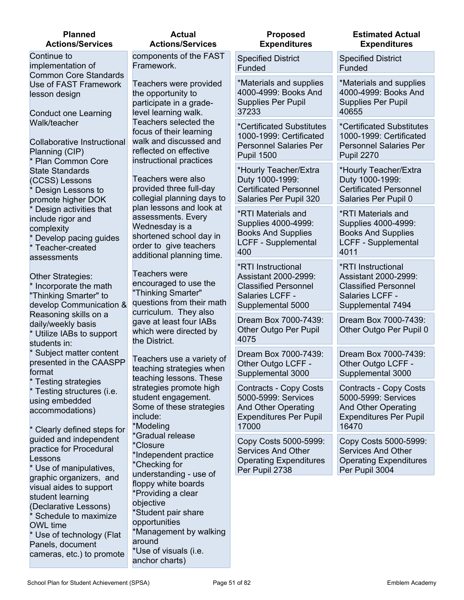| <b>Planned</b><br><b>Actions/Services</b>                                                                                                                      | <b>Actual</b><br><b>Actions/Services</b>                                                                                                                    | <b>Proposed</b><br><b>Expenditures</b>                                                                                       | <b>Estimated Actual</b><br><b>Expenditures</b>                                                                               |
|----------------------------------------------------------------------------------------------------------------------------------------------------------------|-------------------------------------------------------------------------------------------------------------------------------------------------------------|------------------------------------------------------------------------------------------------------------------------------|------------------------------------------------------------------------------------------------------------------------------|
| Continue to<br>implementation of                                                                                                                               | components of the FAST<br>Framework.                                                                                                                        | <b>Specified District</b><br>Funded                                                                                          | <b>Specified District</b><br>Funded                                                                                          |
| <b>Common Core Standards</b><br>Use of FAST Framework<br>lesson design<br><b>Conduct one Learning</b>                                                          | Teachers were provided<br>the opportunity to<br>participate in a grade-<br>level learning walk.                                                             | *Materials and supplies<br>4000-4999: Books And<br><b>Supplies Per Pupil</b><br>37233                                        | *Materials and supplies<br>4000-4999: Books And<br><b>Supplies Per Pupil</b><br>40655                                        |
| Walk/teacher<br><b>Collaborative Instructional</b><br>Planning (CIP)<br><b>Plan Common Core</b>                                                                | Teachers selected the<br>focus of their learning<br>walk and discussed and<br>reflected on effective<br>instructional practices                             | *Certificated Substitutes<br>1000-1999: Certificated<br><b>Personnel Salaries Per</b><br><b>Pupil 1500</b>                   | *Certificated Substitutes<br>1000-1999: Certificated<br><b>Personnel Salaries Per</b><br><b>Pupil 2270</b>                   |
| <b>State Standards</b><br>(CCSS) Lessons<br>Design Lessons to<br>promote higher DOK                                                                            | Teachers were also<br>provided three full-day<br>collegial planning days to                                                                                 | *Hourly Teacher/Extra<br>Duty 1000-1999:<br><b>Certificated Personnel</b><br>Salaries Per Pupil 320                          | *Hourly Teacher/Extra<br>Duty 1000-1999:<br><b>Certificated Personnel</b><br>Salaries Per Pupil 0                            |
| Design activities that<br>include rigor and<br>complexity<br>Develop pacing guides<br>Teacher-created                                                          | plan lessons and look at<br>assessments. Every<br>Wednesday is a<br>shortened school day in<br>order to give teachers                                       | *RTI Materials and<br>Supplies 4000-4999:<br><b>Books And Supplies</b><br><b>LCFF - Supplemental</b><br>400                  | *RTI Materials and<br>Supplies 4000-4999:<br><b>Books And Supplies</b><br><b>LCFF - Supplemental</b><br>4011                 |
| Other Strategies:<br>Incorporate the math<br>"Thinking Smarter" to<br>develop Communication &                                                                  | Teachers were<br>encouraged to use the<br>"Thinking Smarter"<br>questions from their math                                                                   | *RTI Instructional<br>Assistant 2000-2999:<br><b>Classified Personnel</b><br>Salaries LCFF -<br>Supplemental 5000            | *RTI Instructional<br>Assistant 2000-2999:<br><b>Classified Personnel</b><br>Salaries LCFF -<br>Supplemental 7494            |
| Reasoning skills on a<br>daily/weekly basis<br>Utilize IABs to support                                                                                         | gave at least four IABs<br>which were directed by<br>the District.                                                                                          | Dream Box 7000-7439:<br>Other Outgo Per Pupil<br>4075                                                                        | Dream Box 7000-7439:<br>Other Outgo Per Pupil 0                                                                              |
| Subject matter content<br>presented in the CAASPP<br>format                                                                                                    | Teachers use a variety of<br>teaching strategies when                                                                                                       | Dream Box 7000-7439:<br>Other Outgo LCFF -<br>Supplemental 3000                                                              | Dream Box 7000-7439:<br>Other Outgo LCFF -<br>Supplemental 3000                                                              |
| * Testing structures (i.e.<br>using embedded<br>accommodations)<br>* Clearly defined steps for                                                                 | strategies promote high<br>student engagement.<br>Some of these strategies<br>include:<br>*Modeling                                                         | <b>Contracts - Copy Costs</b><br>5000-5999: Services<br><b>And Other Operating</b><br><b>Expenditures Per Pupil</b><br>17000 | <b>Contracts - Copy Costs</b><br>5000-5999: Services<br><b>And Other Operating</b><br><b>Expenditures Per Pupil</b><br>16470 |
| quided and independent<br>practice for Procedural<br>Lessons<br>* Use of manipulatives,                                                                        | *Closure<br>*Independent practice<br>*Checking for                                                                                                          | Copy Costs 5000-5999:<br>Services And Other<br><b>Operating Expenditures</b><br>Per Pupil 2738                               | Copy Costs 5000-5999:<br><b>Services And Other</b><br><b>Operating Expenditures</b><br>Per Pupil 3004                        |
| visual aides to support<br>student learning<br>(Declarative Lessons)<br>Schedule to maximize<br><b>OWL</b> time<br>Use of technology (Flat<br>Panels, document | floppy white boards<br>*Providing a clear<br>objective<br>*Student pair share<br>opportunities<br>*Management by walking<br>around<br>*Use of visuals (i.e. |                                                                                                                              |                                                                                                                              |
| assessments<br>students in:<br>* Testing strategies<br>graphic organizers, and<br>cameras, etc.) to promote                                                    | additional planning time.<br>curriculum. They also<br>teaching lessons. These<br>*Gradual release<br>understanding - use of<br>anchor charts)               |                                                                                                                              |                                                                                                                              |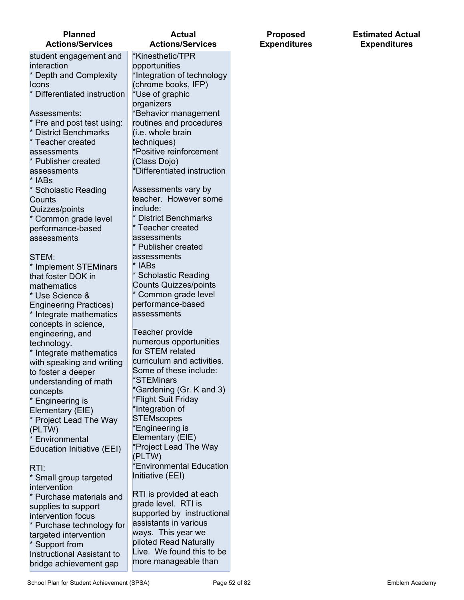#### **Planned Actions/Services**

student engagement and interaction \* Depth and Complexity **Icons** \* Differentiated instruction Assessments: Pre and post test using: District Benchmarks \* Teacher created assessments \* Publisher created assessments \* IABs \* Scholastic Reading **Counts** Quizzes/points \* Common grade level performance-based assessments STEM: \* Implement STEMinars that foster DOK in mathematics \* Use Science & Engineering Practices) \* Integrate mathematics concepts in science, engineering, and technology. \* Integrate mathematics

with speaking and writing to foster a deeper understanding of math concepts \* Engineering is Elementary (EIE) Project Lead The Way (PLTW) **Environmental** Education Initiative (EEI)

#### RTI:

\* Small group targeted intervention \* Purchase materials and supplies to support intervention focus \* Purchase technology for targeted intervention \* Support from Instructional Assistant to bridge achievement gap

#### **Actual Actions/Services**

\*Kinesthetic/TPR opportunities \*Integration of technology (chrome books, IFP) \*Use of graphic organizers \*Behavior management routines and procedures (i.e. whole brain techniques) \*Positive reinforcement (Class Dojo) \*Differentiated instruction Assessments vary by teacher. However some include: \* District Benchmarks Teacher created assessments Publisher created assessments

lABs Scholastic Reading Counts Quizzes/points Common grade level performance-based assessments

Teacher provide numerous opportunities for STEM related curriculum and activities. Some of these include: \*STEMinars \*Gardening (Gr. K and 3) \*Flight Suit Friday \*Integration of **STEMscopes** \*Engineering is Elementary (EIE) \*Project Lead The Way (PLTW) \*Environmental Education Initiative (EEI)

RTI is provided at each grade level. RTI is supported by instructional assistants in various ways. This year we piloted Read Naturally Live. We found this to be more manageable than

**Proposed Expenditures** **Estimated Actual Expenditures**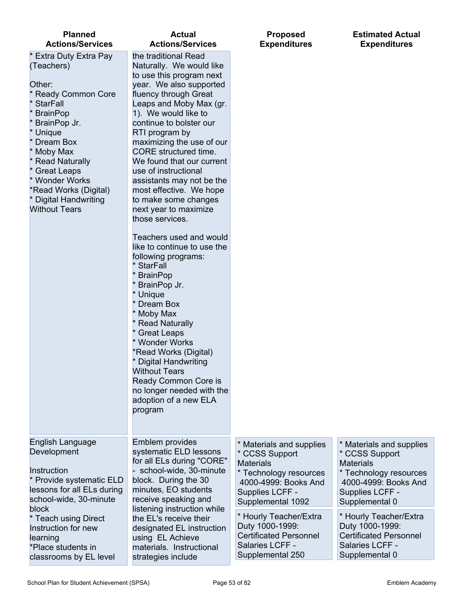| <b>Planned</b>                                                                                                                                                                                                                                                                                                        | <b>Actual</b>                                                                                                                                                                                                                                                                                                                                                                                                                                                                                                                                                                                                                                                                                                                                                                                                                                                                       | <b>Proposed</b>                                                                                                                                          | <b>Estimated Actual</b>                                                                                                                               |
|-----------------------------------------------------------------------------------------------------------------------------------------------------------------------------------------------------------------------------------------------------------------------------------------------------------------------|-------------------------------------------------------------------------------------------------------------------------------------------------------------------------------------------------------------------------------------------------------------------------------------------------------------------------------------------------------------------------------------------------------------------------------------------------------------------------------------------------------------------------------------------------------------------------------------------------------------------------------------------------------------------------------------------------------------------------------------------------------------------------------------------------------------------------------------------------------------------------------------|----------------------------------------------------------------------------------------------------------------------------------------------------------|-------------------------------------------------------------------------------------------------------------------------------------------------------|
| <b>Actions/Services</b>                                                                                                                                                                                                                                                                                               | <b>Actions/Services</b>                                                                                                                                                                                                                                                                                                                                                                                                                                                                                                                                                                                                                                                                                                                                                                                                                                                             | <b>Expenditures</b>                                                                                                                                      | <b>Expenditures</b>                                                                                                                                   |
| <b>Extra Duty Extra Pay</b><br>(Teachers)<br>Other:<br><b>Ready Common Core</b><br><b>StarFall</b><br><b>BrainPop</b><br>BrainPop Jr.<br>* Unique<br>Dream Box<br>Moby Max<br><b>Read Naturally</b><br>* Great Leaps<br>* Wonder Works<br>*Read Works (Digital)<br><b>Digital Handwriting</b><br><b>Without Tears</b> | the traditional Read<br>Naturally. We would like<br>to use this program next<br>year. We also supported<br>fluency through Great<br>Leaps and Moby Max (gr.<br>1). We would like to<br>continue to bolster our<br>RTI program by<br>maximizing the use of our<br>CORE structured time.<br>We found that our current<br>use of instructional<br>assistants may not be the<br>most effective. We hope<br>to make some changes<br>next year to maximize<br>those services.<br>Teachers used and would<br>like to continue to use the<br>following programs:<br>* StarFall<br>* BrainPop<br>* BrainPop Jr.<br>* Unique<br>* Dream Box<br>* Moby Max<br><b>Read Naturally</b><br><b>Great Leaps</b><br>* Wonder Works<br>*Read Works (Digital)<br>* Digital Handwriting<br><b>Without Tears</b><br>Ready Common Core is<br>no longer needed with the<br>adoption of a new ELA<br>program |                                                                                                                                                          |                                                                                                                                                       |
| English Language<br>Development<br>Instruction<br>* Provide systematic ELD<br>lessons for all ELs during<br>school-wide, 30-minute<br>block                                                                                                                                                                           | Emblem provides<br>systematic ELD lessons<br>for all ELs during "CORE"<br>school-wide, 30-minute<br>block. During the 30<br>minutes, EO students<br>receive speaking and<br>listening instruction while                                                                                                                                                                                                                                                                                                                                                                                                                                                                                                                                                                                                                                                                             | * Materials and supplies<br>* CCSS Support<br><b>Materials</b><br>* Technology resources<br>4000-4999: Books And<br>Supplies LCFF -<br>Supplemental 1092 | * Materials and supplies<br>* CCSS Support<br><b>Materials</b><br>* Technology resources<br>4000-4999: Books And<br>Supplies LCFF -<br>Supplemental 0 |
| * Teach using Direct                                                                                                                                                                                                                                                                                                  | the EL's receive their                                                                                                                                                                                                                                                                                                                                                                                                                                                                                                                                                                                                                                                                                                                                                                                                                                                              | * Hourly Teacher/Extra                                                                                                                                   | * Hourly Teacher/Extra                                                                                                                                |
| Instruction for new                                                                                                                                                                                                                                                                                                   | designated EL instruction                                                                                                                                                                                                                                                                                                                                                                                                                                                                                                                                                                                                                                                                                                                                                                                                                                                           | Duty 1000-1999:                                                                                                                                          | Duty 1000-1999:                                                                                                                                       |
| learning                                                                                                                                                                                                                                                                                                              | using EL Achieve                                                                                                                                                                                                                                                                                                                                                                                                                                                                                                                                                                                                                                                                                                                                                                                                                                                                    | <b>Certificated Personnel</b>                                                                                                                            | <b>Certificated Personnel</b>                                                                                                                         |
| *Place students in                                                                                                                                                                                                                                                                                                    | materials. Instructional                                                                                                                                                                                                                                                                                                                                                                                                                                                                                                                                                                                                                                                                                                                                                                                                                                                            | Salaries LCFF -                                                                                                                                          | Salaries LCFF -                                                                                                                                       |
| classrooms by EL level                                                                                                                                                                                                                                                                                                | strategies include                                                                                                                                                                                                                                                                                                                                                                                                                                                                                                                                                                                                                                                                                                                                                                                                                                                                  | Supplemental 250                                                                                                                                         | Supplemental 0                                                                                                                                        |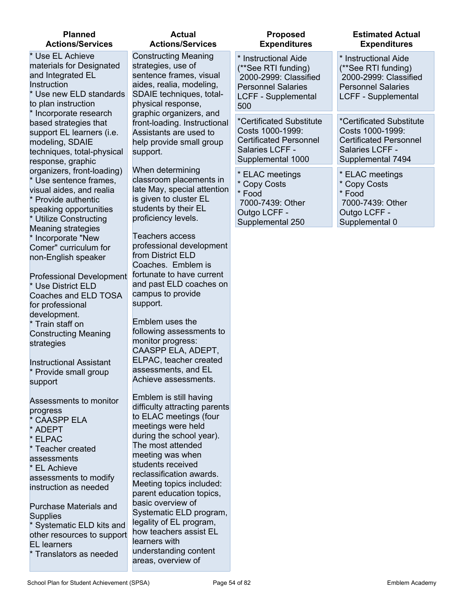#### **Planned Actions/Services**

\* Use EL Achieve materials for Designated and Integrated EL **Instruction** \* Use new ELD standards to plan instruction \* Incorporate research based strategies that support EL learners (i.e. modeling, SDAIE techniques, total-physical response, graphic organizers, front-loading) \* Use sentence frames, visual aides, and realia Provide authentic speaking opportunities \* Utilize Constructing Meaning strategies \* Incorporate "New Comer" curriculum for non-English speaker

Professional Development \* Use District ELD Coaches and ELD TOSA for professional development. \* Train staff on

Constructing Meaning strategies

Instructional Assistant \* Provide small group support

Assessments to monitor progress CAASPP ELA ADEPT ELPAC **Teacher created** assessments EL Achieve assessments to modify instruction as needed

Purchase Materials and **Supplies** 

Systematic ELD kits and other resources to support EL learners

Translators as needed

| Actual           |
|------------------|
| Actions/Services |

Constructing Meaning strategies, use of sentence frames, visual aides, realia, modeling, SDAIE techniques, totalphysical response, graphic organizers, and front-loading. Instructional Assistants are used to help provide small group support.

When determining classroom placements in late May, special attention is given to cluster EL students by their EL proficiency levels.

Teachers access professional development from District ELD Coaches. Emblem is fortunate to have current and past ELD coaches on campus to provide support.

Emblem uses the following assessments to monitor progress: CAASPP ELA, ADEPT, ELPAC, teacher created assessments, and EL Achieve assessments.

Emblem is still having difficulty attracting parents to ELAC meetings (four meetings were held during the school year). The most attended meeting was when students received reclassification awards. Meeting topics included: parent education topics, basic overview of Systematic ELD program, legality of EL program, how teachers assist EL learners with understanding content areas, overview of

| <b>Proposed</b>                                                                                                                        | <b>Estimated Actual</b>                                                                                                  |
|----------------------------------------------------------------------------------------------------------------------------------------|--------------------------------------------------------------------------------------------------------------------------|
| <b>Expenditures</b>                                                                                                                    | <b>Expenditures</b>                                                                                                      |
| * Instructional Aide<br>(**See RTI funding)<br>2000-2999: Classified<br><b>Personnel Salaries</b><br><b>LCFF - Supplemental</b><br>500 | * Instructional Aide<br>(**See RTI funding)<br>2000-2999: Classified<br><b>Personnel Salaries</b><br>LCFF - Supplemental |
| *Certificated Substitute                                                                                                               | *Certificated Substitute                                                                                                 |
| Costs 1000-1999:                                                                                                                       | Costs 1000-1999:                                                                                                         |
| <b>Certificated Personnel</b>                                                                                                          | <b>Certificated Personnel</b>                                                                                            |
| Salaries LCFF -                                                                                                                        | Salaries LCFF -                                                                                                          |
| Supplemental 1000                                                                                                                      | Supplemental 7494                                                                                                        |
| * ELAC meetings                                                                                                                        | * ELAC meetings                                                                                                          |
| * Copy Costs                                                                                                                           | * Copy Costs                                                                                                             |
| * Food                                                                                                                                 | * Food                                                                                                                   |
| 7000-7439: Other                                                                                                                       | 7000-7439: Other                                                                                                         |
| Outgo LCFF -                                                                                                                           | Outgo LCFF -                                                                                                             |
| Supplemental 250                                                                                                                       | Supplemental 0                                                                                                           |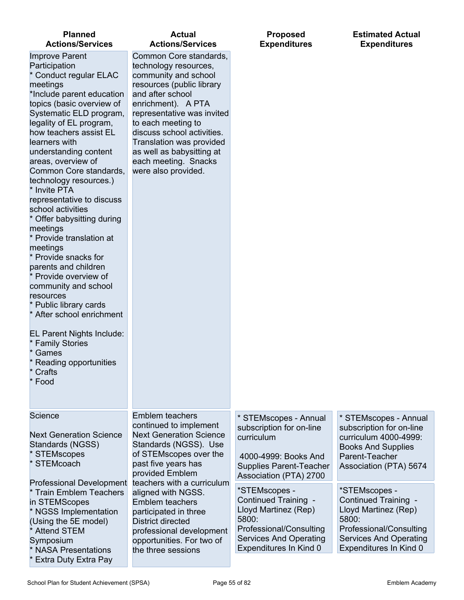| <b>Planned</b><br><b>Actions/Services</b>                                                                                                                                                                                                                                                                                                                                                                                                                                                                                                                                                                                                                                                                                                                              | <b>Actual</b><br><b>Actions/Services</b>                                                                                                                                                                                                                                                                                                 | <b>Proposed</b><br><b>Expenditures</b>                                                                                                                       | <b>Estimated Actual</b><br><b>Expenditures</b>                                                                                                               |
|------------------------------------------------------------------------------------------------------------------------------------------------------------------------------------------------------------------------------------------------------------------------------------------------------------------------------------------------------------------------------------------------------------------------------------------------------------------------------------------------------------------------------------------------------------------------------------------------------------------------------------------------------------------------------------------------------------------------------------------------------------------------|------------------------------------------------------------------------------------------------------------------------------------------------------------------------------------------------------------------------------------------------------------------------------------------------------------------------------------------|--------------------------------------------------------------------------------------------------------------------------------------------------------------|--------------------------------------------------------------------------------------------------------------------------------------------------------------|
| <b>Improve Parent</b><br>Participation<br>* Conduct regular ELAC<br>meetings<br>*Include parent education<br>topics (basic overview of<br>Systematic ELD program,<br>legality of EL program,<br>how teachers assist EL<br>learners with<br>understanding content<br>areas, overview of<br>Common Core standards,<br>technology resources.)<br>* Invite PTA<br>representative to discuss<br>school activities<br>Offer babysitting during<br>meetings<br>* Provide translation at<br>meetings<br>* Provide snacks for<br>parents and children<br>* Provide overview of<br>community and school<br>resources<br>* Public library cards<br>* After school enrichment<br>EL Parent Nights Include:<br>* Family Stories<br>Games<br>Reading opportunities<br>Crafts<br>Food | Common Core standards,<br>technology resources,<br>community and school<br>resources (public library<br>and after school<br>enrichment). A PTA<br>representative was invited<br>to each meeting to<br>discuss school activities.<br>Translation was provided<br>as well as babysitting at<br>each meeting. Snacks<br>were also provided. |                                                                                                                                                              |                                                                                                                                                              |
| Science<br><b>Next Generation Science</b><br>Standards (NGSS)<br><b>STEMscopes</b><br><b>STEMcoach</b>                                                                                                                                                                                                                                                                                                                                                                                                                                                                                                                                                                                                                                                                 | <b>Emblem teachers</b><br>continued to implement<br><b>Next Generation Science</b><br>Standards (NGSS). Use<br>of STEMscopes over the<br>past five years has<br>provided Emblem                                                                                                                                                          | * STEMscopes - Annual<br>subscription for on-line<br>curriculum<br>4000-4999: Books And<br><b>Supplies Parent-Teacher</b><br>Association (PTA) 2700          | * STEMscopes - Annual<br>subscription for on-line<br>curriculum 4000-4999:<br><b>Books And Supplies</b><br>Parent-Teacher<br>Association (PTA) 5674          |
| <b>Professional Development</b><br><b>Train Emblem Teachers</b><br>in STEMScopes<br>* NGSS Implementation<br>(Using the 5E model)<br><b>Attend STEM</b><br>Symposium<br><b>NASA Presentations</b>                                                                                                                                                                                                                                                                                                                                                                                                                                                                                                                                                                      | teachers with a curriculum<br>aligned with NGSS.<br><b>Emblem teachers</b><br>participated in three<br><b>District directed</b><br>professional development<br>opportunities. For two of<br>the three sessions                                                                                                                           | *STEMscopes -<br>Continued Training -<br>Lloyd Martinez (Rep)<br>5800:<br>Professional/Consulting<br><b>Services And Operating</b><br>Expenditures In Kind 0 | *STEMscopes -<br>Continued Training -<br>Lloyd Martinez (Rep)<br>5800:<br>Professional/Consulting<br><b>Services And Operating</b><br>Expenditures In Kind 0 |
| Extra Duty Extra Pay                                                                                                                                                                                                                                                                                                                                                                                                                                                                                                                                                                                                                                                                                                                                                   |                                                                                                                                                                                                                                                                                                                                          |                                                                                                                                                              |                                                                                                                                                              |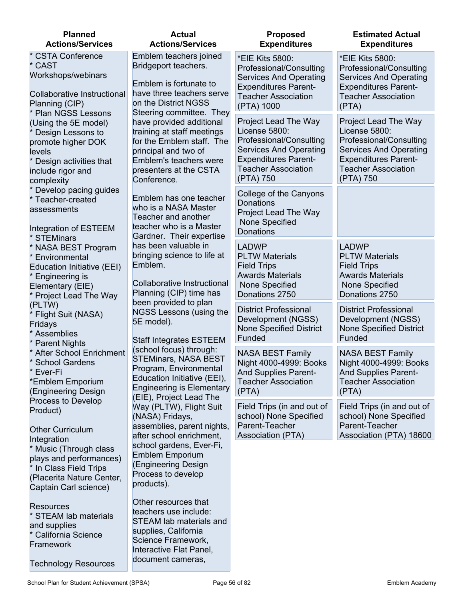| <b>Planned</b><br><b>Actions/Services</b>                                                                                                                                                                     | <b>Actual</b><br><b>Actions/Services</b>                                                                                                                                                                                                         | <b>Proposed</b><br><b>Expenditures</b>                                                                                                                                      | <b>Estimated Actual</b><br><b>Expenditures</b>                                                                                                                                     |
|---------------------------------------------------------------------------------------------------------------------------------------------------------------------------------------------------------------|--------------------------------------------------------------------------------------------------------------------------------------------------------------------------------------------------------------------------------------------------|-----------------------------------------------------------------------------------------------------------------------------------------------------------------------------|------------------------------------------------------------------------------------------------------------------------------------------------------------------------------------|
| * CSTA Conference<br>* CAST<br>Workshops/webinars<br>Collaborative Instructional<br>Planning (CIP)                                                                                                            | Emblem teachers joined<br>Bridgeport teachers.<br>Emblem is fortunate to<br>have three teachers serve<br>on the District NGSS                                                                                                                    | *EIE Kits 5800:<br>Professional/Consulting<br><b>Services And Operating</b><br><b>Expenditures Parent-</b><br><b>Teacher Association</b><br>(PTA) 1000                      | *EIE Kits 5800:<br>Professional/Consulting<br><b>Services And Operating</b><br><b>Expenditures Parent-</b><br><b>Teacher Association</b><br>(PTA)                                  |
| <b>Plan NGSS Lessons</b><br>(Using the 5E model)<br>Design Lessons to<br>promote higher DOK<br>levels<br>Design activities that<br>include rigor and<br>complexity                                            | Steering committee. They<br>have provided additional<br>training at staff meetings<br>for the Emblem staff. The<br>principal and two of<br>Emblem's teachers were<br>presenters at the CSTA<br>Conference.                                       | Project Lead The Way<br>License 5800:<br>Professional/Consulting<br><b>Services And Operating</b><br><b>Expenditures Parent-</b><br><b>Teacher Association</b><br>(PTA) 750 | <b>Project Lead The Way</b><br>License 5800:<br>Professional/Consulting<br><b>Services And Operating</b><br><b>Expenditures Parent-</b><br><b>Teacher Association</b><br>(PTA) 750 |
| Develop pacing guides<br>* Teacher-created<br>assessments<br>Integration of ESTEEM                                                                                                                            | Emblem has one teacher<br>who is a NASA Master<br>Teacher and another<br>teacher who is a Master<br>Gardner. Their expertise                                                                                                                     | College of the Canyons<br><b>Donations</b><br>Project Lead The Way<br>None Specified<br>Donations                                                                           |                                                                                                                                                                                    |
| <b>STEMinars</b><br>* NASA BEST Program<br>Environmental<br>Education Initiative (EEI)<br>Engineering is<br>Elementary (EIE)<br>Project Lead The Way                                                          | has been valuable in<br>bringing science to life at<br>Emblem.<br>Collaborative Instructional<br>Planning (CIP) time has                                                                                                                         | <b>LADWP</b><br><b>PLTW Materials</b><br><b>Field Trips</b><br><b>Awards Materials</b><br>None Specified<br>Donations 2750                                                  | <b>LADWP</b><br><b>PLTW Materials</b><br><b>Field Trips</b><br><b>Awards Materials</b><br>None Specified<br>Donations 2750                                                         |
| (PLTW)<br>Flight Suit (NASA)<br>Fridays<br>Assemblies<br><b>Parent Nights</b>                                                                                                                                 | been provided to plan<br>NGSS Lessons (using the<br>5E model).<br><b>Staff Integrates ESTEEM</b>                                                                                                                                                 | <b>District Professional</b><br>Development (NGSS)<br><b>None Specified District</b><br>Funded                                                                              | <b>District Professional</b><br>Development (NGSS)<br><b>None Specified District</b><br>Funded                                                                                     |
| * After School Enrichment<br>* School Gardens<br>* Ever-Fi<br>*Emblem Emporium<br>(Engineering Design                                                                                                         | (school focus) through:<br><b>STEMinars, NASA BEST</b><br>Program, Environmental<br>Education Initiative (EEI),<br><b>Engineering is Elementary</b>                                                                                              | <b>NASA BEST Family</b><br>Night 4000-4999: Books<br><b>And Supplies Parent-</b><br><b>Teacher Association</b><br>(PTA)                                                     | <b>NASA BEST Family</b><br>Night 4000-4999: Books<br><b>And Supplies Parent-</b><br><b>Teacher Association</b><br>(PTA)                                                            |
| Process to Develop<br>Product)<br><b>Other Curriculum</b><br>Integration<br>* Music (Through class<br>plays and performances)<br>* In Class Field Trips<br>(Placerita Nature Center,<br>Captain Carl science) | (EIE), Project Lead The<br>Way (PLTW), Flight Suit<br>(NASA) Fridays,<br>assemblies, parent nights,<br>after school enrichment,<br>school gardens, Ever-Fi,<br><b>Emblem Emporium</b><br>(Engineering Design<br>Process to develop<br>products). | Field Trips (in and out of<br>school) None Specified<br>Parent-Teacher<br><b>Association (PTA)</b>                                                                          | Field Trips (in and out of<br>school) None Specified<br>Parent-Teacher<br>Association (PTA) 18600                                                                                  |
| <b>Resources</b><br>* STEAM lab materials<br>and supplies<br>California Science<br>Framework<br><b>Technology Resources</b>                                                                                   | Other resources that<br>teachers use include:<br>STEAM lab materials and<br>supplies, California<br>Science Framework,<br>Interactive Flat Panel,<br>document cameras,                                                                           |                                                                                                                                                                             |                                                                                                                                                                                    |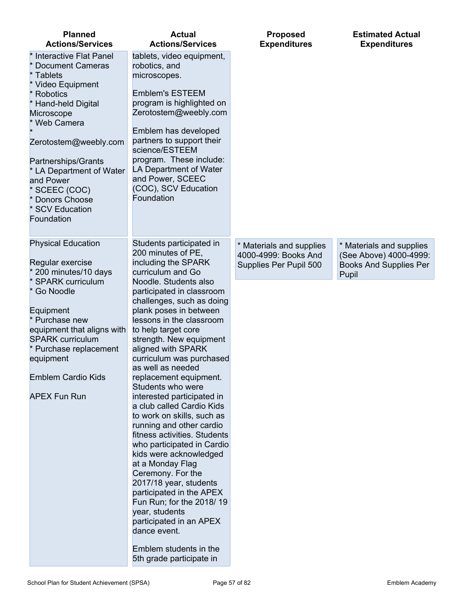| <b>Actions/Services</b>                                                                                                                                                                                                                                                                                                                                                                                                                                                                                                                                                                                                                                                                                                                                                                                          | <b>Expenditures</b>                                                        | <b>Expenditures</b>                                                                          |
|------------------------------------------------------------------------------------------------------------------------------------------------------------------------------------------------------------------------------------------------------------------------------------------------------------------------------------------------------------------------------------------------------------------------------------------------------------------------------------------------------------------------------------------------------------------------------------------------------------------------------------------------------------------------------------------------------------------------------------------------------------------------------------------------------------------|----------------------------------------------------------------------------|----------------------------------------------------------------------------------------------|
| tablets, video equipment,<br>robotics, and<br>microscopes.<br><b>Emblem's ESTEEM</b><br>program is highlighted on<br>Zerotostem@weebly.com<br>Emblem has developed<br>partners to support their<br>science/ESTEEM<br>program. These include:<br>LA Department of Water<br>and Power, SCEEC<br>(COC), SCV Education<br>Foundation                                                                                                                                                                                                                                                                                                                                                                                                                                                                                 |                                                                            |                                                                                              |
| Students participated in<br>200 minutes of PE,<br>including the SPARK<br>curriculum and Go<br>Noodle. Students also<br>participated in classroom<br>challenges, such as doing<br>plank poses in between<br>lessons in the classroom<br>to help target core<br>strength. New equipment<br>aligned with SPARK<br>curriculum was purchased<br>as well as needed<br>replacement equipment.<br>Students who were<br>interested participated in<br>a club called Cardio Kids<br>to work on skills, such as<br>running and other cardio<br>fitness activities. Students<br>who participated in Cardio<br>kids were acknowledged<br>at a Monday Flag<br>Ceremony. For the<br>2017/18 year, students<br>participated in the APEX<br>Fun Run; for the 2018/19<br>year, students<br>participated in an APEX<br>dance event. | * Materials and supplies<br>4000-4999: Books And<br>Supplies Per Pupil 500 | * Materials and supplies<br>(See Above) 4000-4999:<br><b>Books And Supplies Per</b><br>Pupil |
|                                                                                                                                                                                                                                                                                                                                                                                                                                                                                                                                                                                                                                                                                                                                                                                                                  | Emblem students in the<br>5th grade participate in                         |                                                                                              |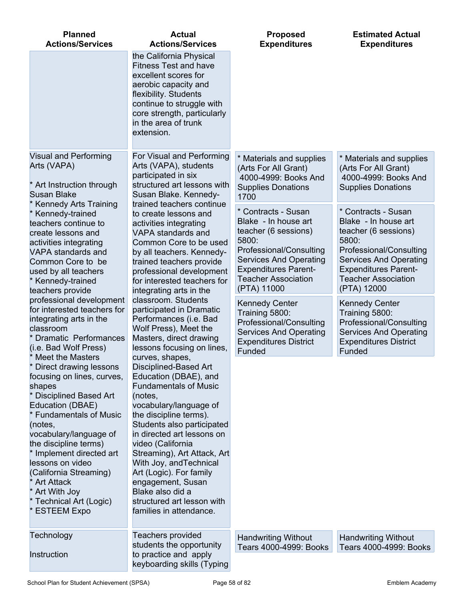| <b>Planned</b><br><b>Actions/Services</b>                                                                                                                                                                                                                                                                                                                                                        | <b>Actual</b><br><b>Actions/Services</b>                                                                                                                                                                                                                                                                                                                                                                                                 | <b>Proposed</b><br><b>Expenditures</b>                                                                                                                                                                               | <b>Estimated Actual</b><br><b>Expenditures</b>                                                                                                                                                                       |
|--------------------------------------------------------------------------------------------------------------------------------------------------------------------------------------------------------------------------------------------------------------------------------------------------------------------------------------------------------------------------------------------------|------------------------------------------------------------------------------------------------------------------------------------------------------------------------------------------------------------------------------------------------------------------------------------------------------------------------------------------------------------------------------------------------------------------------------------------|----------------------------------------------------------------------------------------------------------------------------------------------------------------------------------------------------------------------|----------------------------------------------------------------------------------------------------------------------------------------------------------------------------------------------------------------------|
|                                                                                                                                                                                                                                                                                                                                                                                                  | the California Physical<br><b>Fitness Test and have</b><br>excellent scores for<br>aerobic capacity and<br>flexibility. Students<br>continue to struggle with<br>core strength, particularly<br>in the area of trunk<br>extension.                                                                                                                                                                                                       |                                                                                                                                                                                                                      |                                                                                                                                                                                                                      |
| Visual and Performing<br>Arts (VAPA)<br>* Art Instruction through<br><b>Susan Blake</b>                                                                                                                                                                                                                                                                                                          | For Visual and Performing<br>Arts (VAPA), students<br>participated in six<br>structured art lessons with<br>Susan Blake. Kennedy-                                                                                                                                                                                                                                                                                                        | * Materials and supplies<br>(Arts For All Grant)<br>4000-4999: Books And<br><b>Supplies Donations</b><br>1700                                                                                                        | * Materials and supplies<br>(Arts For All Grant)<br>4000-4999: Books And<br><b>Supplies Donations</b>                                                                                                                |
| <b>Kennedy Arts Training</b><br>* Kennedy-trained<br>teachers continue to<br>create lessons and<br>activities integrating<br>VAPA standards and<br>Common Core to be<br>used by all teachers<br>* Kennedy-trained<br>teachers provide                                                                                                                                                            | trained teachers continue<br>to create lessons and<br>activities integrating<br>VAPA standards and<br>Common Core to be used<br>by all teachers. Kennedy-<br>trained teachers provide<br>professional development<br>for interested teachers for                                                                                                                                                                                         | * Contracts - Susan<br>Blake - In house art<br>teacher (6 sessions)<br>5800:<br>Professional/Consulting<br><b>Services And Operating</b><br><b>Expenditures Parent-</b><br><b>Teacher Association</b><br>(PTA) 11000 | * Contracts - Susan<br>Blake - In house art<br>teacher (6 sessions)<br>5800:<br>Professional/Consulting<br><b>Services And Operating</b><br><b>Expenditures Parent-</b><br><b>Teacher Association</b><br>(PTA) 12000 |
| professional development<br>for interested teachers for<br>integrating arts in the<br>classroom<br><b>Dramatic Performances</b><br>(i.e. Bad Wolf Press)                                                                                                                                                                                                                                         | integrating arts in the<br>classroom. Students<br>participated in Dramatic<br>Performances (i.e. Bad<br>Wolf Press), Meet the<br>Masters, direct drawing<br>lessons focusing on lines,                                                                                                                                                                                                                                                   | <b>Kennedy Center</b><br>Training 5800:<br>Professional/Consulting<br><b>Services And Operating</b><br><b>Expenditures District</b><br>Funded                                                                        | <b>Kennedy Center</b><br>Training 5800:<br>Professional/Consulting<br><b>Services And Operating</b><br><b>Expenditures District</b><br>Funded                                                                        |
| <b>Meet the Masters</b><br>* Direct drawing lessons<br>focusing on lines, curves,<br>shapes<br>* Disciplined Based Art<br>Education (DBAE)<br>* Fundamentals of Music<br>(notes,<br>vocabulary/language of<br>the discipline terms)<br>* Implement directed art<br>lessons on video<br>(California Streaming)<br><b>Art Attack</b><br>* Art With Joy<br>* Technical Art (Logic)<br>* ESTEEM Expo | curves, shapes,<br>Disciplined-Based Art<br>Education (DBAE), and<br><b>Fundamentals of Music</b><br>(notes,<br>vocabulary/language of<br>the discipline terms).<br>Students also participated<br>in directed art lessons on<br>video (California<br>Streaming), Art Attack, Art<br>With Joy, and Technical<br>Art (Logic). For family<br>engagement, Susan<br>Blake also did a<br>structured art lesson with<br>families in attendance. |                                                                                                                                                                                                                      |                                                                                                                                                                                                                      |
| Technology<br>Instruction                                                                                                                                                                                                                                                                                                                                                                        | <b>Teachers provided</b><br>students the opportunity<br>to practice and apply<br>keyboarding skills (Typing                                                                                                                                                                                                                                                                                                                              | <b>Handwriting Without</b><br>Tears 4000-4999: Books                                                                                                                                                                 | <b>Handwriting Without</b><br>Tears 4000-4999: Books                                                                                                                                                                 |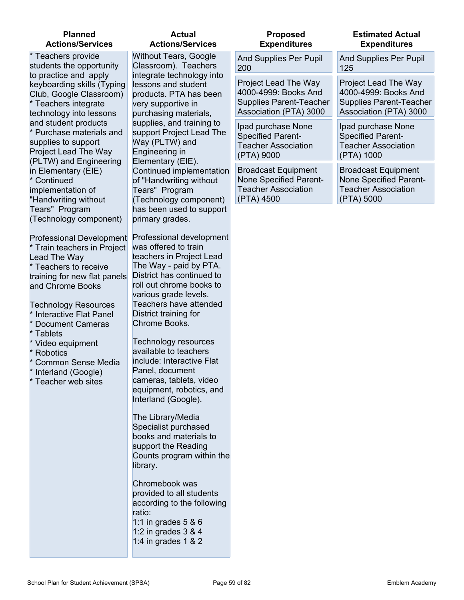#### **Planned Actions/Services**

\* Teachers provide students the opportunity to practice and apply keyboarding skills (Typing Club, Google Classroom) \* Teachers integrate technology into lessons and student products \* Purchase materials and supplies to support Project Lead The Way (PLTW) and Engineering in Elementary (EIE) **Continued** implementation of "Handwriting without Tears" Program (Technology component)

Professional Development Train teachers in Project Lead The Way \* Teachers to receive training for new flat panels and Chrome Books

- Technology Resources
- Interactive Flat Panel
- Document Cameras
- **Tablets**
- Video equipment
- Robotics
- Common Sense Media
- Interland (Google)
- Teacher web sites

## **Actual Actions/Services**

Without Tears, Google Classroom). Teachers integrate technology into lessons and student products. PTA has been very supportive in purchasing materials, supplies, and training to support Project Lead The Way (PLTW) and Engineering in Elementary (EIE). Continued implementation of "Handwriting without Tears" Program (Technology component) has been used to support primary grades.

Professional development was offered to train teachers in Project Lead The Way - paid by PTA. District has continued to roll out chrome books to various grade levels. Teachers have attended District training for Chrome Books.

Technology resources available to teachers include: Interactive Flat Panel, document cameras, tablets, video equipment, robotics, and Interland (Google).

The Library/Media Specialist purchased books and materials to support the Reading Counts program within the library.

Chromebook was provided to all students according to the following ratio: 1:1 in grades 5 & 6 1:2 in grades 3 & 4

1:4 in grades 1 & 2

#### **Proposed Expenditures**

200

#### **Expenditures** And Supplies Per Pupil And Supplies Per Pupil 125 Project Lead The Way 4000-4999: Books And Supplies Parent-Teacher Association (PTA) 3000 Project Lead The Way 4000-4999: Books And Supplies Parent-Teacher Association (PTA) 3000 Ipad purchase None Specified Parent-Teacher Association (PTA) 9000 Ipad purchase None Specified Parent-Teacher Association (PTA) 1000

Broadcast Equipment None Specified Parent-Teacher Association (PTA) 4500

#### Broadcast Equipment None Specified Parent-Teacher Association (PTA) 5000

**Estimated Actual**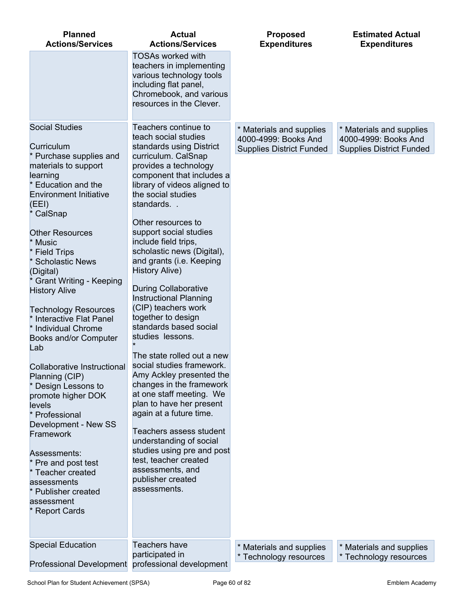| <b>Planned</b>                                                                                                                                                                                                                                                                                                                                                                                                                                                                                                                                                                                                                                                                                                                                        | <b>Actual</b>                                                                                                                                                                                                                                                                                                                                                                                                                                                                                                                                                                                                                                                                                                                                                                                                                                                                                                              | <b>Proposed</b>                                                                     | <b>Estimated Actual</b>                                                             |
|-------------------------------------------------------------------------------------------------------------------------------------------------------------------------------------------------------------------------------------------------------------------------------------------------------------------------------------------------------------------------------------------------------------------------------------------------------------------------------------------------------------------------------------------------------------------------------------------------------------------------------------------------------------------------------------------------------------------------------------------------------|----------------------------------------------------------------------------------------------------------------------------------------------------------------------------------------------------------------------------------------------------------------------------------------------------------------------------------------------------------------------------------------------------------------------------------------------------------------------------------------------------------------------------------------------------------------------------------------------------------------------------------------------------------------------------------------------------------------------------------------------------------------------------------------------------------------------------------------------------------------------------------------------------------------------------|-------------------------------------------------------------------------------------|-------------------------------------------------------------------------------------|
| <b>Actions/Services</b>                                                                                                                                                                                                                                                                                                                                                                                                                                                                                                                                                                                                                                                                                                                               | <b>Actions/Services</b>                                                                                                                                                                                                                                                                                                                                                                                                                                                                                                                                                                                                                                                                                                                                                                                                                                                                                                    | <b>Expenditures</b>                                                                 | <b>Expenditures</b>                                                                 |
|                                                                                                                                                                                                                                                                                                                                                                                                                                                                                                                                                                                                                                                                                                                                                       | <b>TOSAs worked with</b><br>teachers in implementing<br>various technology tools<br>including flat panel,<br>Chromebook, and various<br>resources in the Clever.                                                                                                                                                                                                                                                                                                                                                                                                                                                                                                                                                                                                                                                                                                                                                           |                                                                                     |                                                                                     |
| <b>Social Studies</b><br>Curriculum<br>* Purchase supplies and<br>materials to support<br>learning<br>* Education and the<br><b>Environment Initiative</b><br>(EEI)<br>* CalSnap<br><b>Other Resources</b><br>* Music<br>* Field Trips<br>* Scholastic News<br>(Digital)<br><b>Grant Writing - Keeping</b><br><b>History Alive</b><br><b>Technology Resources</b><br>* Interactive Flat Panel<br>* Individual Chrome<br>Books and/or Computer<br>Lab<br>Collaborative Instructional<br>Planning (CIP)<br>* Design Lessons to<br>promote higher DOK<br>levels<br>* Professional<br>Development - New SS<br>Framework<br>Assessments:<br>* Pre and post test<br>* Teacher created<br>assessments<br>* Publisher created<br>assessment<br>* Report Cards | Teachers continue to<br>teach social studies<br>standards using District<br>curriculum. CalSnap<br>provides a technology<br>component that includes a<br>library of videos aligned to<br>the social studies<br>standards<br>Other resources to<br>support social studies<br>include field trips,<br>scholastic news (Digital),<br>and grants (i.e. Keeping<br><b>History Alive)</b><br><b>During Collaborative</b><br><b>Instructional Planning</b><br>(CIP) teachers work<br>together to design<br>standards based social<br>studies lessons.<br>The state rolled out a new<br>social studies framework.<br>Amy Ackley presented the<br>changes in the framework<br>at one staff meeting. We<br>plan to have her present<br>again at a future time.<br>Teachers assess student<br>understanding of social<br>studies using pre and post<br>test, teacher created<br>assessments, and<br>publisher created<br>assessments. | * Materials and supplies<br>4000-4999: Books And<br><b>Supplies District Funded</b> | * Materials and supplies<br>4000-4999: Books And<br><b>Supplies District Funded</b> |
| <b>Special Education</b>                                                                                                                                                                                                                                                                                                                                                                                                                                                                                                                                                                                                                                                                                                                              | Teachers have                                                                                                                                                                                                                                                                                                                                                                                                                                                                                                                                                                                                                                                                                                                                                                                                                                                                                                              | * Materials and supplies                                                            | * Materials and supplies                                                            |
|                                                                                                                                                                                                                                                                                                                                                                                                                                                                                                                                                                                                                                                                                                                                                       | participated in                                                                                                                                                                                                                                                                                                                                                                                                                                                                                                                                                                                                                                                                                                                                                                                                                                                                                                            | * Technology resources                                                              | * Technology resources                                                              |

Professional Development

professional development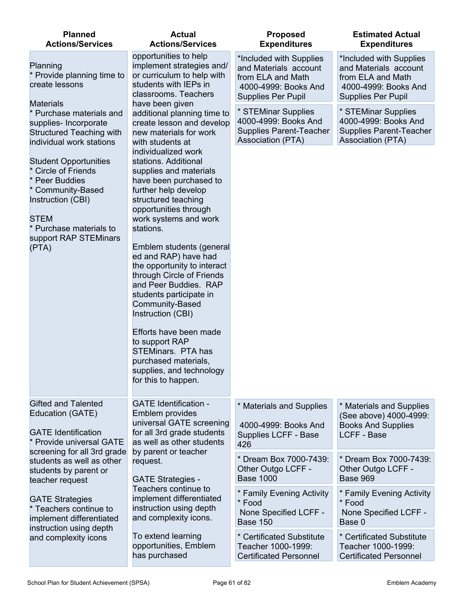| <b>Planned</b><br><b>Actions/Services</b>                                                                                                                                                             | <b>Actual</b><br><b>Actions/Services</b>                                                                                                                                                                                                                                                                                                                                                                                                                                                                                                                                      | <b>Proposed</b><br><b>Expenditures</b>                                                                                     | <b>Estimated Actual</b><br><b>Expenditures</b>                                                                             |
|-------------------------------------------------------------------------------------------------------------------------------------------------------------------------------------------------------|-------------------------------------------------------------------------------------------------------------------------------------------------------------------------------------------------------------------------------------------------------------------------------------------------------------------------------------------------------------------------------------------------------------------------------------------------------------------------------------------------------------------------------------------------------------------------------|----------------------------------------------------------------------------------------------------------------------------|----------------------------------------------------------------------------------------------------------------------------|
| Planning<br>* Provide planning time to<br>create lessons                                                                                                                                              | opportunities to help<br>implement strategies and/<br>or curriculum to help with<br>students with IEPs in<br>classrooms. Teachers                                                                                                                                                                                                                                                                                                                                                                                                                                             | *Included with Supplies<br>and Materials account<br>from ELA and Math<br>4000-4999: Books And<br><b>Supplies Per Pupil</b> | *Included with Supplies<br>and Materials account<br>from ELA and Math<br>4000-4999: Books And<br><b>Supplies Per Pupil</b> |
| <b>Materials</b><br>Purchase materials and<br>supplies- Incorporate<br><b>Structured Teaching with</b><br>individual work stations                                                                    | have been given<br>additional planning time to<br>create lesson and develop<br>new materials for work<br>with students at                                                                                                                                                                                                                                                                                                                                                                                                                                                     | * STEMinar Supplies<br>4000-4999: Books And<br><b>Supplies Parent-Teacher</b><br><b>Association (PTA)</b>                  | * STEMinar Supplies<br>4000-4999: Books And<br><b>Supplies Parent-Teacher</b><br><b>Association (PTA)</b>                  |
| <b>Student Opportunities</b><br><b>Circle of Friends</b><br><b>Peer Buddies</b><br>* Community-Based<br>Instruction (CBI)<br><b>STEM</b><br>* Purchase materials to<br>support RAP STEMinars<br>(PTA) | individualized work<br>stations. Additional<br>supplies and materials<br>have been purchased to<br>further help develop<br>structured teaching<br>opportunities through<br>work systems and work<br>stations.<br>Emblem students (general<br>ed and RAP) have had<br>the opportunity to interact<br>through Circle of Friends<br>and Peer Buddies. RAP<br>students participate in<br>Community-Based<br>Instruction (CBI)<br>Efforts have been made<br>to support RAP<br><b>STEMinars. PTA has</b><br>purchased materials.<br>supplies, and technology<br>for this to happen. |                                                                                                                            |                                                                                                                            |
| <b>Gifted and Talented</b><br>Education (GATE)<br><b>GATE Identification</b><br>Provide universal GATE                                                                                                | <b>GATE Identification -</b><br>Emblem provides<br>universal GATE screening<br>for all 3rd grade students<br>as well as other students                                                                                                                                                                                                                                                                                                                                                                                                                                        | * Materials and Supplies<br>4000-4999: Books And<br>Supplies LCFF - Base<br>426                                            | * Materials and Supplies<br>(See above) 4000-4999:<br><b>Books And Supplies</b><br><b>LCFF - Base</b>                      |
| screening for all 3rd grade<br>students as well as other<br>students by parent or<br>teacher request                                                                                                  | by parent or teacher<br>request.<br><b>GATE Strategies -</b>                                                                                                                                                                                                                                                                                                                                                                                                                                                                                                                  | * Dream Box 7000-7439:<br>Other Outgo LCFF -<br><b>Base 1000</b>                                                           | * Dream Box 7000-7439:<br>Other Outgo LCFF -<br><b>Base 969</b>                                                            |
| <b>GATE Strategies</b><br>Teachers continue to<br>implement differentiated<br>instruction using depth                                                                                                 | Teachers continue to<br>implement differentiated<br>instruction using depth<br>and complexity icons.                                                                                                                                                                                                                                                                                                                                                                                                                                                                          | * Family Evening Activity<br>* Food<br>None Specified LCFF -<br><b>Base 150</b>                                            | * Family Evening Activity<br>* Food<br>None Specified LCFF -<br>Base 0                                                     |
| and complexity icons                                                                                                                                                                                  | To extend learning<br>opportunities, Emblem<br>has purchased                                                                                                                                                                                                                                                                                                                                                                                                                                                                                                                  | * Certificated Substitute<br>Teacher 1000-1999:<br><b>Certificated Personnel</b>                                           | * Certificated Substitute<br>Teacher 1000-1999:<br><b>Certificated Personnel</b>                                           |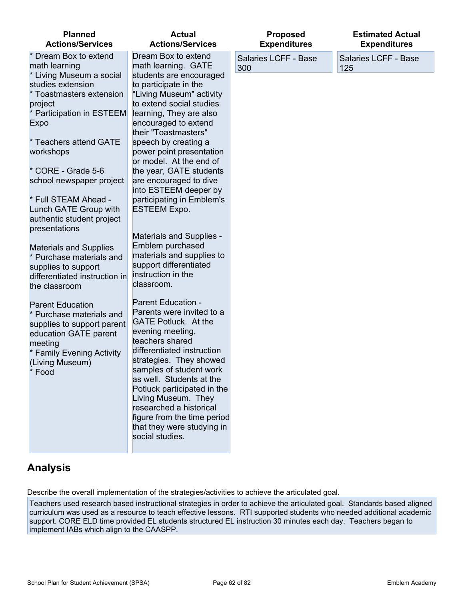#### **Planned Actions/Services**

| <b>Actions/Services</b>                                                                                                                                                                                                                                                                                                                                                                                                         | <b>Actions/Services</b>                                                                                                                                                                                                                                                                                                                                                                                                                                                                                                                                          |             |
|---------------------------------------------------------------------------------------------------------------------------------------------------------------------------------------------------------------------------------------------------------------------------------------------------------------------------------------------------------------------------------------------------------------------------------|------------------------------------------------------------------------------------------------------------------------------------------------------------------------------------------------------------------------------------------------------------------------------------------------------------------------------------------------------------------------------------------------------------------------------------------------------------------------------------------------------------------------------------------------------------------|-------------|
| * Dream Box to extend<br>math learning<br>* Living Museum a social<br>studies extension<br>* Toastmasters extension<br>project<br>* Participation in ESTEEM<br><b>Expo</b><br>* Teachers attend GATE<br>workshops<br>* CORE - Grade 5-6<br>school newspaper project<br>* Full STEAM Ahead -<br>Lunch GATE Group with<br>authentic student project<br>presentations<br><b>Materials and Supplies</b><br>* Purchase materials and | Dream Box to extend<br>math learning. GATE<br>students are encouraged<br>to participate in the<br>"Living Museum" activity<br>to extend social studies<br>learning, They are also<br>encouraged to extend<br>their "Toastmasters"<br>speech by creating a<br>power point presentation<br>or model. At the end of<br>the year, GATE students<br>are encouraged to dive<br>into ESTEEM deeper by<br>participating in Emblem's<br><b>ESTEEM Expo.</b><br><b>Materials and Supplies -</b><br>Emblem purchased<br>materials and supplies to<br>support differentiated | Sala<br>300 |
| supplies to support<br>differentiated instruction in<br>the classroom<br><b>Parent Education</b><br>* Purchase materials and<br>supplies to support parent<br>education GATE parent<br>meeting<br>* Family Evening Activity<br>(Living Museum)<br>* Food                                                                                                                                                                        | instruction in the<br>classroom.<br><b>Parent Education -</b><br>Parents were invited to a<br><b>GATE Potluck. At the</b><br>evening meeting,<br>teachers shared<br>differentiated instruction<br>strategies. They showed<br>samples of student work<br>as well. Students at the<br>Potluck participated in the<br>Living Museum. They<br>researched a historical<br>figure from the time period<br>that they were studying in<br>social studies.                                                                                                                |             |

**Actual**

#### **Proposed Expenditures**

aries LCFF - Base 300

Salaries LCFF - Base 125

**Estimated Actual Expenditures**

# **Analysis**

Describe the overall implementation of the strategies/activities to achieve the articulated goal.

Teachers used research based instructional strategies in order to achieve the articulated goal. Standards based aligned curriculum was used as a resource to teach effective lessons. RTI supported students who needed additional academic support. CORE ELD time provided EL students structured EL instruction 30 minutes each day. Teachers began to implement IABs which align to the CAASPP.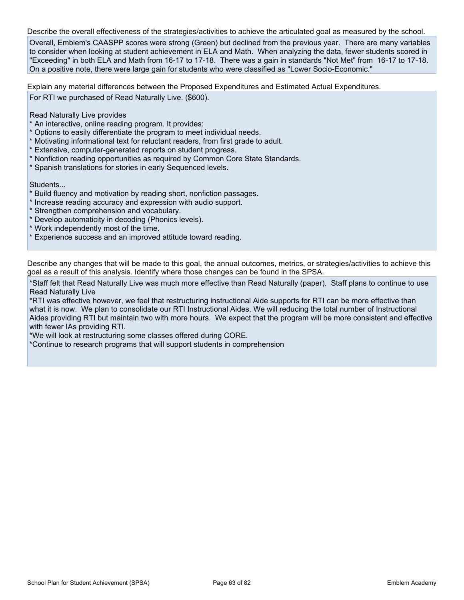Describe the overall effectiveness of the strategies/activities to achieve the articulated goal as measured by the school.

Overall, Emblem's CAASPP scores were strong (Green) but declined from the previous year. There are many variables to consider when looking at student achievement in ELA and Math. When analyzing the data, fewer students scored in "Exceeding" in both ELA and Math from 16-17 to 17-18. There was a gain in standards "Not Met" from 16-17 to 17-18. On a positive note, there were large gain for students who were classified as "Lower Socio-Economic."

Explain any material differences between the Proposed Expenditures and Estimated Actual Expenditures.

For RTI we purchased of Read Naturally Live. (\$600).

Read Naturally Live provides

- \* An interactive, online reading program. It provides:
- \* Options to easily differentiate the program to meet individual needs.
- \* Motivating informational text for reluctant readers, from first grade to adult.
- \* Extensive, computer-generated reports on student progress.
- \* Nonfiction reading opportunities as required by Common Core State Standards.
- \* Spanish translations for stories in early Sequenced levels.

Students...

- \* Build fluency and motivation by reading short, nonfiction passages.
- \* Increase reading accuracy and expression with audio support.
- \* Strengthen comprehension and vocabulary.
- \* Develop automaticity in decoding (Phonics levels).
- \* Work independently most of the time.
- \* Experience success and an improved attitude toward reading.

Describe any changes that will be made to this goal, the annual outcomes, metrics, or strategies/activities to achieve this goal as a result of this analysis. Identify where those changes can be found in the SPSA.

\*Staff felt that Read Naturally Live was much more effective than Read Naturally (paper). Staff plans to continue to use Read Naturally Live

\*RTI was effective however, we feel that restructuring instructional Aide supports for RTI can be more effective than what it is now. We plan to consolidate our RTI Instructional Aides. We will reducing the total number of Instructional Aides providing RTI but maintain two with more hours. We expect that the program will be more consistent and effective with fewer IAs providing RTI.

\*We will look at restructuring some classes offered during CORE.

\*Continue to research programs that will support students in comprehension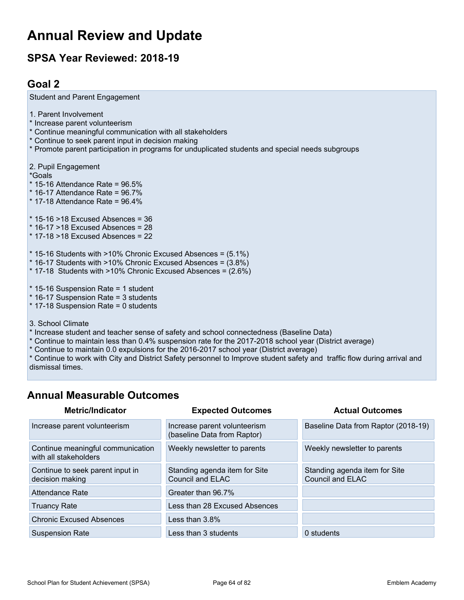# **Annual Review and Update**

# **SPSA Year Reviewed: 2018-19**

## **Goal 2**

| Student and Parent Engagement                                                                                                                                                                                                                                                  |
|--------------------------------------------------------------------------------------------------------------------------------------------------------------------------------------------------------------------------------------------------------------------------------|
| 1. Parent Involvement<br>* Increase parent volunteerism<br>* Continue meaningful communication with all stakeholders<br>* Continue to seek parent input in decision making<br>* Promote parent participation in programs for unduplicated students and special needs subgroups |
| 2. Pupil Engagement<br>*Goals<br>* 15-16 Attendance Rate = $96.5\%$<br>$*$ 16-17 Attendance Rate = 96.7%<br>* 17-18 Attendance Rate = $96.4\%$                                                                                                                                 |
| $*$ 15-16 >18 Excused Absences = 36<br>$*$ 16-17 > 18 Excused Absences = 28<br>$*$ 17-18 > 18 Excused Absences = 22                                                                                                                                                            |
| $*$ 15-16 Students with >10% Chronic Excused Absences = $(5.1\%)$<br>$*$ 16-17 Students with >10% Chronic Excused Absences = $(3.8\%)$<br>$*$ 17-18 Students with >10% Chronic Excused Absences = $(2.6\%)$                                                                    |
| $*$ 15-16 Suspension Rate = 1 student<br>* 16-17 Suspension Rate = 3 students<br>* 17-18 Suspension Rate = 0 students                                                                                                                                                          |
| 3. School Climate<br>* Increase student and teacher sense of safety and school connectedness (Baseline Data)<br>* Continue to maintain less than 0.4% suspension rate for the 2017-2018 school year (District average)                                                         |

\* Continue to maintain 0.0 expulsions for the 2016-2017 school year (District average)

\* Continue to work with City and District Safety personnel to Improve student safety and traffic flow during arrival and dismissal times.

## **Annual Measurable Outcomes**

| <b>Metric/Indicator</b>                                    | <b>Expected Outcomes</b>                                    | <b>Actual Outcomes</b>                                   |
|------------------------------------------------------------|-------------------------------------------------------------|----------------------------------------------------------|
| Increase parent volunteerism                               | Increase parent volunteerism<br>(baseline Data from Raptor) | Baseline Data from Raptor (2018-19)                      |
| Continue meaningful communication<br>with all stakeholders | Weekly newsletter to parents                                | Weekly newsletter to parents                             |
| Continue to seek parent input in<br>decision making        | Standing agenda item for Site<br><b>Council and ELAC</b>    | Standing agenda item for Site<br><b>Council and ELAC</b> |
| Attendance Rate                                            | Greater than 96.7%                                          |                                                          |
| <b>Truancy Rate</b>                                        | Less than 28 Excused Absences                               |                                                          |
| <b>Chronic Excused Absences</b>                            | Less than $3.8\%$                                           |                                                          |
| <b>Suspension Rate</b>                                     | Less than 3 students                                        | 0 students                                               |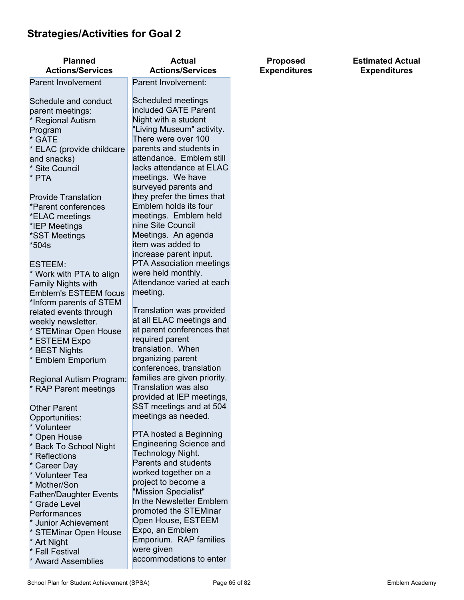# **Strategies/Activities for Goal 2**

| <b>Planned</b><br><b>Actions/Services</b> | <b>Actual</b><br><b>Actions/Services</b>         | <b>Proposed</b><br><b>Expenditures</b> | <b>Estimated Actual</b><br><b>Expenditures</b> |
|-------------------------------------------|--------------------------------------------------|----------------------------------------|------------------------------------------------|
| <b>Parent Involvement</b>                 | Parent Involvement:                              |                                        |                                                |
|                                           |                                                  |                                        |                                                |
| Schedule and conduct                      | Scheduled meetings                               |                                        |                                                |
| parent meetings:                          | included GATE Parent                             |                                        |                                                |
| <b>Regional Autism</b>                    | Night with a student                             |                                        |                                                |
| Program                                   | "Living Museum" activity.                        |                                        |                                                |
| * GATE                                    | There were over 100                              |                                        |                                                |
| * ELAC (provide childcare                 | parents and students in                          |                                        |                                                |
| and snacks)                               | attendance. Emblem still                         |                                        |                                                |
| * Site Council                            | lacks attendance at ELAC                         |                                        |                                                |
| * PTA                                     | meetings. We have                                |                                        |                                                |
|                                           | surveyed parents and                             |                                        |                                                |
| <b>Provide Translation</b>                | they prefer the times that                       |                                        |                                                |
| *Parent conferences                       | Emblem holds its four                            |                                        |                                                |
| *ELAC meetings                            | meetings. Emblem held                            |                                        |                                                |
| *IEP Meetings                             | nine Site Council                                |                                        |                                                |
| *SST Meetings                             | Meetings. An agenda                              |                                        |                                                |
| $*504s$                                   | item was added to                                |                                        |                                                |
|                                           | increase parent input.                           |                                        |                                                |
| <b>ESTEEM:</b>                            | <b>PTA Association meetings</b>                  |                                        |                                                |
| * Work with PTA to align                  | were held monthly.                               |                                        |                                                |
| Family Nights with                        | Attendance varied at each                        |                                        |                                                |
| <b>Emblem's ESTEEM focus</b>              | meeting.                                         |                                        |                                                |
| *Inform parents of STEM                   |                                                  |                                        |                                                |
| related events through                    | Translation was provided                         |                                        |                                                |
| weekly newsletter.                        | at all ELAC meetings and                         |                                        |                                                |
| * STEMinar Open House                     | at parent conferences that                       |                                        |                                                |
| * ESTEEM Expo                             | required parent                                  |                                        |                                                |
| * BEST Nights                             | translation. When                                |                                        |                                                |
| <b>Emblem Emporium</b>                    | organizing parent                                |                                        |                                                |
|                                           | conferences, translation                         |                                        |                                                |
| Regional Autism Program:                  | families are given priority.                     |                                        |                                                |
| * RAP Parent meetings                     | Translation was also                             |                                        |                                                |
|                                           | provided at IEP meetings,                        |                                        |                                                |
| <b>Other Parent</b>                       | SST meetings and at 504                          |                                        |                                                |
| Opportunities:                            | meetings as needed.                              |                                        |                                                |
| * Volunteer                               |                                                  |                                        |                                                |
| Open House                                | PTA hosted a Beginning                           |                                        |                                                |
| <b>Back To School Night</b>               | <b>Engineering Science and</b>                   |                                        |                                                |
| <b>Reflections</b>                        | Technology Night.<br>Parents and students        |                                        |                                                |
| Career Day                                |                                                  |                                        |                                                |
| * Volunteer Tea                           | worked together on a                             |                                        |                                                |
| Mother/Son                                | project to become a                              |                                        |                                                |
| <b>Father/Daughter Events</b>             | "Mission Specialist"<br>In the Newsletter Emblem |                                        |                                                |
| * Grade Level                             | promoted the STEMinar                            |                                        |                                                |
| Performances                              | Open House, ESTEEM                               |                                        |                                                |
| <b>Junior Achievement</b>                 |                                                  |                                        |                                                |
| <b>STEMinar Open House</b>                | Expo, an Emblem                                  |                                        |                                                |
| <b>Art Night</b>                          | Emporium. RAP families                           |                                        |                                                |
| <b>Fall Festival</b>                      | were given<br>accommodations to enter            |                                        |                                                |
| <b>Award Assemblies</b>                   |                                                  |                                        |                                                |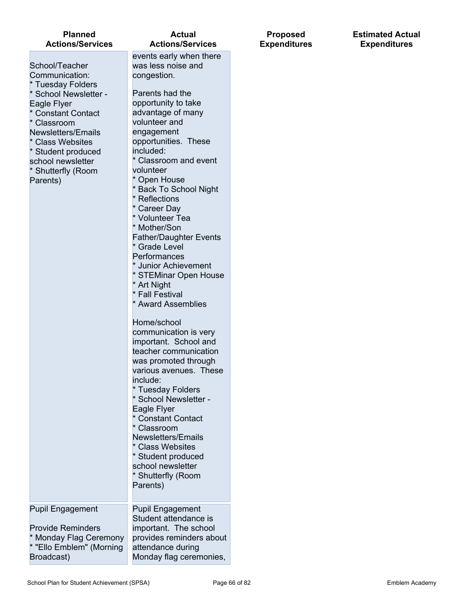| <b>Planned</b><br><b>Actions/Services</b>                                                                                                                                                                                                                                                                 | <b>Actual</b><br><b>Actions/Services</b>                                                                                                                                                                                                                                                                                                                                                                                                                                                                                                                                                                                                                                                                                                                                                                                                                                                                                                             | <b>Proposed</b><br><b>Expenditures</b> | <b>Estimated Actual</b><br><b>Expenditures</b> |
|-----------------------------------------------------------------------------------------------------------------------------------------------------------------------------------------------------------------------------------------------------------------------------------------------------------|------------------------------------------------------------------------------------------------------------------------------------------------------------------------------------------------------------------------------------------------------------------------------------------------------------------------------------------------------------------------------------------------------------------------------------------------------------------------------------------------------------------------------------------------------------------------------------------------------------------------------------------------------------------------------------------------------------------------------------------------------------------------------------------------------------------------------------------------------------------------------------------------------------------------------------------------------|----------------------------------------|------------------------------------------------|
| School/Teacher<br>Communication:<br><b>Tuesday Folders</b><br><b>School Newsletter -</b><br>Eagle Flyer<br><b>Constant Contact</b><br>Classroom<br>Newsletters/Emails<br><b>Class Websites</b><br>Student produced<br>school newsletter<br><b>Shutterfly (Room</b><br>Parents)<br><b>Pupil Engagement</b> | events early when there<br>was less noise and<br>congestion.<br>Parents had the<br>opportunity to take<br>advantage of many<br>volunteer and<br>engagement<br>opportunities. These<br>included:<br>* Classroom and event<br>volunteer<br>Open House<br><b>Back To School Night</b><br>Reflections<br>Career Day<br>* Volunteer Tea<br>Mother/Son<br><b>Father/Daughter Events</b><br>* Grade Level<br>Performances<br><b>Junior Achievement</b><br>* STEMinar Open House<br>* Art Night<br><b>Fall Festival</b><br>* Award Assemblies<br>Home/school<br>communication is very<br>important. School and<br>teacher communication<br>was promoted through<br>various avenues. These<br>include:<br>* Tuesday Folders<br>* School Newsletter -<br>Eagle Flyer<br><b>Constant Contact</b><br>Classroom<br>Newsletters/Emails<br>* Class Websites<br>* Student produced<br>school newsletter<br>* Shutterfly (Room<br>Parents)<br><b>Pupil Engagement</b> |                                        |                                                |
| <b>Provide Reminders</b><br>Monday Flag Ceremony<br>* "Ello Emblem" (Morning<br>Broadcast)                                                                                                                                                                                                                | Student attendance is<br>important. The school<br>provides reminders about<br>attendance during<br>Monday flag ceremonies,                                                                                                                                                                                                                                                                                                                                                                                                                                                                                                                                                                                                                                                                                                                                                                                                                           |                                        |                                                |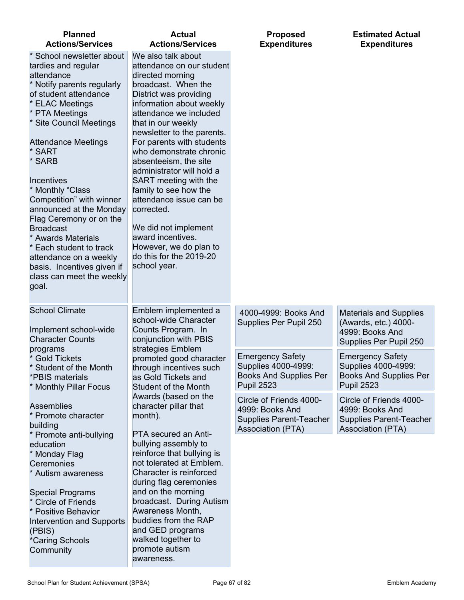| <b>Planned</b><br><b>Actions/Services</b>                                                                                                                                                                                                                                                                                                                                                                                                                                                                                                | <b>Actual</b><br><b>Actions/Services</b>                                                                                                                                                                                                                                                                                                                                                                                                                                                                                                                  | <b>Proposed</b><br><b>Expenditures</b>                                                               | <b>Estimated Actual</b><br><b>Expenditures</b>                                                           |
|------------------------------------------------------------------------------------------------------------------------------------------------------------------------------------------------------------------------------------------------------------------------------------------------------------------------------------------------------------------------------------------------------------------------------------------------------------------------------------------------------------------------------------------|-----------------------------------------------------------------------------------------------------------------------------------------------------------------------------------------------------------------------------------------------------------------------------------------------------------------------------------------------------------------------------------------------------------------------------------------------------------------------------------------------------------------------------------------------------------|------------------------------------------------------------------------------------------------------|----------------------------------------------------------------------------------------------------------|
| * School newsletter about<br>tardies and regular<br>attendance<br>Notify parents regularly<br>of student attendance<br><b>ELAC Meetings</b><br>* PTA Meetings<br>* Site Council Meetings<br><b>Attendance Meetings</b><br>* SART<br>* SARB<br><b>Incentives</b><br>* Monthly "Class<br>Competition" with winner<br>announced at the Monday<br>Flag Ceremony or on the<br><b>Broadcast</b><br>* Awards Materials<br>* Each student to track<br>attendance on a weekly<br>basis. Incentives given if<br>class can meet the weekly<br>goal. | We also talk about<br>attendance on our student<br>directed morning<br>broadcast. When the<br>District was providing<br>information about weekly<br>attendance we included<br>that in our weekly<br>newsletter to the parents.<br>For parents with students<br>who demonstrate chronic<br>absenteeism, the site<br>administrator will hold a<br>SART meeting with the<br>family to see how the<br>attendance issue can be<br>corrected.<br>We did not implement<br>award incentives.<br>However, we do plan to<br>do this for the 2019-20<br>school year. |                                                                                                      |                                                                                                          |
| <b>School Climate</b><br>Implement school-wide<br><b>Character Counts</b>                                                                                                                                                                                                                                                                                                                                                                                                                                                                | Emblem implemented a<br>school-wide Character<br>Counts Program. In<br>conjunction with PBIS                                                                                                                                                                                                                                                                                                                                                                                                                                                              | 4000-4999: Books And<br>Supplies Per Pupil 250                                                       | <b>Materials and Supplies</b><br>(Awards, etc.) 4000-<br>4999: Books And<br>Supplies Per Pupil 250       |
| programs<br><b>Gold Tickets</b><br><b>Student of the Month</b><br>*PBIS materials<br>* Monthly Pillar Focus                                                                                                                                                                                                                                                                                                                                                                                                                              | strategies Emblem<br>promoted good character<br>through incentives such<br>as Gold Tickets and<br>Student of the Month                                                                                                                                                                                                                                                                                                                                                                                                                                    | <b>Emergency Safety</b><br>Supplies 4000-4999:<br><b>Books And Supplies Per</b><br><b>Pupil 2523</b> | <b>Emergency Safety</b><br>Supplies 4000-4999:<br><b>Books And Supplies Per</b><br><b>Pupil 2523</b>     |
| <b>Assemblies</b><br>* Promote character<br>building                                                                                                                                                                                                                                                                                                                                                                                                                                                                                     | Awards (based on the<br>character pillar that<br>month).<br>PTA secured an Anti-                                                                                                                                                                                                                                                                                                                                                                                                                                                                          | Circle of Friends 4000-<br>4999: Books And<br><b>Supplies Parent-Teacher</b><br>Association (PTA)    | Circle of Friends 4000-<br>4999: Books And<br><b>Supplies Parent-Teacher</b><br><b>Association (PTA)</b> |
| * Promote anti-bullying<br>education<br>* Monday Flag<br>Ceremonies<br>* Autism awareness<br><b>Special Programs</b><br><b>Circle of Friends</b><br>* Positive Behavior<br>Intervention and Supports<br>(PBIS)<br>*Caring Schools<br>Community                                                                                                                                                                                                                                                                                           | bullying assembly to<br>reinforce that bullying is<br>not tolerated at Emblem.<br>Character is reinforced<br>during flag ceremonies<br>and on the morning<br>broadcast. During Autism<br>Awareness Month,<br>buddies from the RAP<br>and GED programs<br>walked together to<br>promote autism<br>awareness.                                                                                                                                                                                                                                               |                                                                                                      |                                                                                                          |

L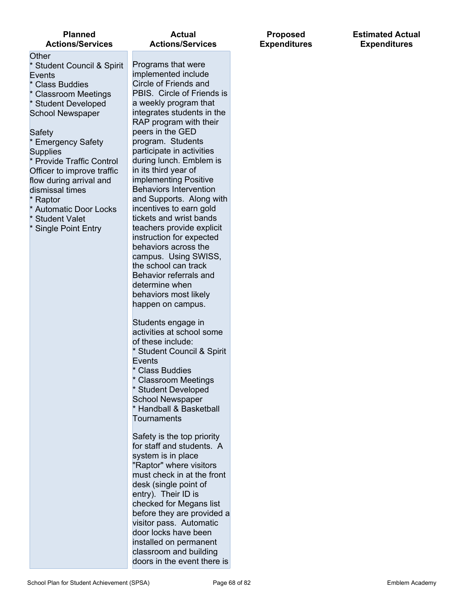| <b>Planned</b><br><b>Actions/Services</b>                                                                                                                                                                                                 |                                                                                                                                                                                  |  |  |  |
|-------------------------------------------------------------------------------------------------------------------------------------------------------------------------------------------------------------------------------------------|----------------------------------------------------------------------------------------------------------------------------------------------------------------------------------|--|--|--|
| Other<br>* Student Council & Spirit<br>Events<br>* Class Buddies<br>* Classroom Meetings<br>* Student Developed<br><b>School Newspaper</b>                                                                                                | Prog<br>imple<br>Circl<br><b>PBIS</b><br>a we<br>integ<br><b>RAP</b>                                                                                                             |  |  |  |
| Safety<br>* Emergency Safety<br><b>Supplies</b><br>* Provide Traffic Control<br>Officer to improve traffic<br>flow during arrival and<br>dismissal times<br>* Raptor<br>* Automatic Door Locks<br>* Student Valet<br>* Single Point Entry | peer:<br>prog<br>partio<br>durin<br>in its<br>imple<br><b>Beha</b><br>and :<br>incer<br>ticke<br>teach<br>instru<br>beha<br>cam<br>the s<br><b>Beha</b><br>deter<br>beha<br>happ |  |  |  |
|                                                                                                                                                                                                                                           | Stud<br>activ<br>of the<br>* Stu<br>Ever<br>* Cla<br>* Cla<br>* Stu<br>Schc<br>* Hai<br>Tour                                                                                     |  |  |  |
|                                                                                                                                                                                                                                           | Safe<br>for st<br>syste<br>"Rap<br>must<br>desk<br>entry<br>chec<br>befor<br>visito<br>door<br>insta<br>class                                                                    |  |  |  |

rams that were emented include e of Friends and S. Circle of Friends is ekly program that rates students in the program with their s in the GED ram. Students cipate in activities g lunch. Emblem is third year of ementing Positive aviors Intervention Supports. Along with ntives to earn gold ts and wrist bands hers provide explicit uction for expected **iviors across the** pus. Using SWISS, chool can track avior referrals and mine when **iviors most likely** en on campus.

ents engage in ities at school some ese include: dent Council & Spirit າts

**iss Buddies** 

ssroom Meetings dent Developed ol Newspaper ndball & Basketball naments

ty is the top priority taff and students. A em is in place tor" where visitors check in at the front (single point of  $\gamma$ ). Their ID is ked for Megans list re they are provided a or pass. Automatic locks have been lled on permanent sroom and building doors in the event there is

**Proposed Expenditures** **Estimated Actual Expenditures**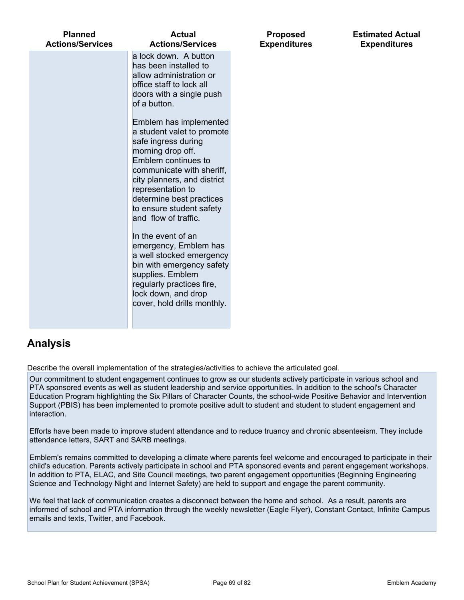| a lock down. A button<br>has been installed to<br>allow administration or<br>office staff to lock all<br>doors with a single push<br>of a button.<br>Emblem has implemented<br>a student valet to promote<br>safe ingress during<br>morning drop off.<br>Emblem continues to<br>communicate with sheriff,<br>city planners, and district<br>representation to<br>determine best practices<br>to ensure student safety<br>and flow of traffic.<br>In the event of an<br>emergency, Emblem has<br>a well stocked emergency<br>bin with emergency safety<br>supplies. Emblem<br>regularly practices fire,<br>lock down, and drop<br>cover, hold drills monthly. | <b>Planned</b><br><b>Actions/Services</b> | <b>Actual</b><br><b>Actions/Services</b> | <b>Proposed</b><br><b>Expenditures</b> | <b>Estimated Actual</b><br><b>Expenditures</b> |
|--------------------------------------------------------------------------------------------------------------------------------------------------------------------------------------------------------------------------------------------------------------------------------------------------------------------------------------------------------------------------------------------------------------------------------------------------------------------------------------------------------------------------------------------------------------------------------------------------------------------------------------------------------------|-------------------------------------------|------------------------------------------|----------------------------------------|------------------------------------------------|
|                                                                                                                                                                                                                                                                                                                                                                                                                                                                                                                                                                                                                                                              |                                           |                                          |                                        |                                                |

## **Analysis**

Describe the overall implementation of the strategies/activities to achieve the articulated goal.

Our commitment to student engagement continues to grow as our students actively participate in various school and PTA sponsored events as well as student leadership and service opportunities. In addition to the school's Character Education Program highlighting the Six Pillars of Character Counts, the school-wide Positive Behavior and Intervention Support (PBIS) has been implemented to promote positive adult to student and student to student engagement and interaction.

Efforts have been made to improve student attendance and to reduce truancy and chronic absenteeism. They include attendance letters, SART and SARB meetings.

Emblem's remains committed to developing a climate where parents feel welcome and encouraged to participate in their child's education. Parents actively participate in school and PTA sponsored events and parent engagement workshops. In addition to PTA, ELAC, and Site Council meetings, two parent engagement opportunities (Beginning Engineering Science and Technology Night and Internet Safety) are held to support and engage the parent community.

We feel that lack of communication creates a disconnect between the home and school. As a result, parents are informed of school and PTA information through the weekly newsletter (Eagle Flyer), Constant Contact, Infinite Campus emails and texts, Twitter, and Facebook.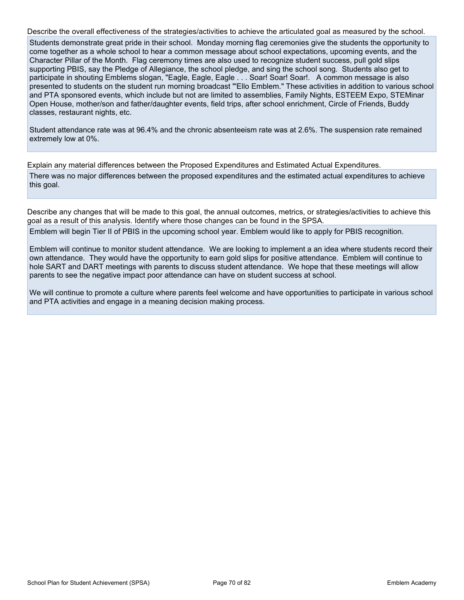Describe the overall effectiveness of the strategies/activities to achieve the articulated goal as measured by the school. Students demonstrate great pride in their school. Monday morning flag ceremonies give the students the opportunity to come together as a whole school to hear a common message about school expectations, upcoming events, and the Character Pillar of the Month. Flag ceremony times are also used to recognize student success, pull gold slips supporting PBIS, say the Pledge of Allegiance, the school pledge, and sing the school song. Students also get to participate in shouting Emblems slogan, "Eagle, Eagle, Eagle . . . Soar! Soar! Soar!. A common message is also presented to students on the student run morning broadcast "'Ello Emblem." These activities in addition to various school and PTA sponsored events, which include but not are limited to assemblies, Family Nights, ESTEEM Expo, STEMinar Open House, mother/son and father/daughter events, field trips, after school enrichment, Circle of Friends, Buddy classes, restaurant nights, etc.

Student attendance rate was at 96.4% and the chronic absenteeism rate was at 2.6%. The suspension rate remained extremely low at 0%.

Explain any material differences between the Proposed Expenditures and Estimated Actual Expenditures.

There was no major differences between the proposed expenditures and the estimated actual expenditures to achieve this goal.

Describe any changes that will be made to this goal, the annual outcomes, metrics, or strategies/activities to achieve this goal as a result of this analysis. Identify where those changes can be found in the SPSA.

Emblem will begin Tier II of PBIS in the upcoming school year. Emblem would like to apply for PBIS recognition.

Emblem will continue to monitor student attendance. We are looking to implement a an idea where students record their own attendance. They would have the opportunity to earn gold slips for positive attendance. Emblem will continue to hole SART and DART meetings with parents to discuss student attendance. We hope that these meetings will allow parents to see the negative impact poor attendance can have on student success at school.

We will continue to promote a culture where parents feel welcome and have opportunities to participate in various school and PTA activities and engage in a meaning decision making process.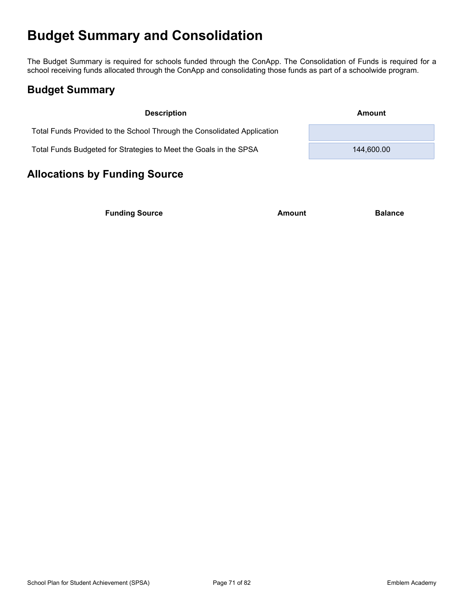# **Budget Summary and Consolidation**

The Budget Summary is required for schools funded through the ConApp. The Consolidation of Funds is required for a school receiving funds allocated through the ConApp and consolidating those funds as part of a schoolwide program.

## **Budget Summary**

| <b>Description</b>                                                      | Amount     |
|-------------------------------------------------------------------------|------------|
| Total Funds Provided to the School Through the Consolidated Application |            |
| Total Funds Budgeted for Strategies to Meet the Goals in the SPSA       | 144,600.00 |

# **Allocations by Funding Source**

**Funding Source Amount Balance Balance**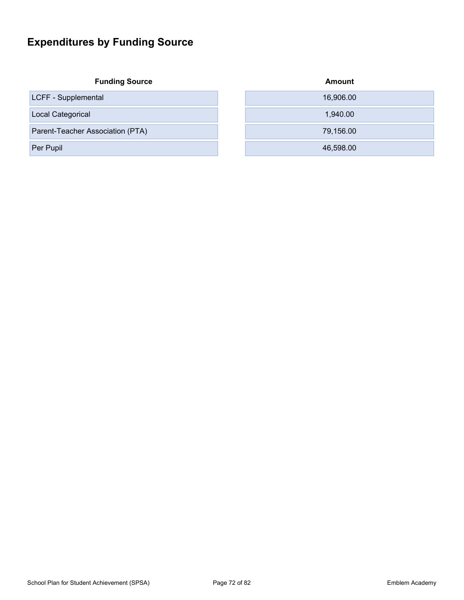# **Expenditures by Funding Source**

| <b>Funding Source</b> |  |
|-----------------------|--|
|-----------------------|--|

| <b>Funding Source</b>            | Amount    |
|----------------------------------|-----------|
| LCFF - Supplemental              | 16,906.00 |
| Local Categorical                | 1.940.00  |
| Parent-Teacher Association (PTA) | 79,156.00 |
| Per Pupil                        | 46,598.00 |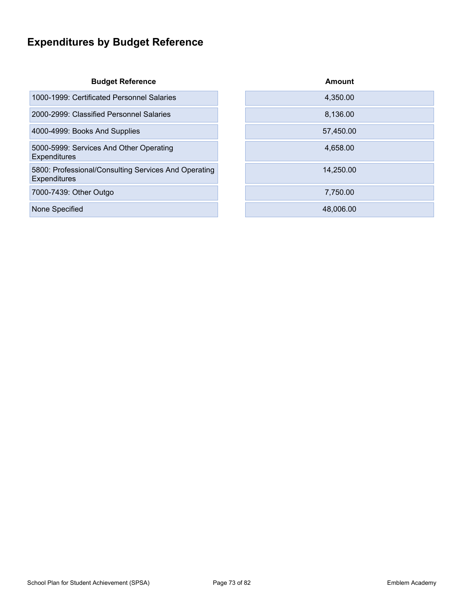# **Expenditures by Budget Reference**

| <b>Budget Reference</b> |
|-------------------------|
|-------------------------|

| 1000-1999: Certificated Personnel Salaries |  | 4.350.00 |
|--------------------------------------------|--|----------|
|--------------------------------------------|--|----------|

2000-2999: Classified Personnel Salaries

4000-4999: Books And Supplies

5000-5999: Services And Other Operating Expenditures

5800: Professional/Consulting Services And Operating **Expenditures** 

7000-7439: Other Outgo

None Specified

| <b>Budget Reference</b>              | Amount    |
|--------------------------------------|-----------|
| icated Personnel Salaries            | 4,350.00  |
| ified Personnel Salaries             | 8,136.00  |
| <b>And Supplies</b>                  | 57,450.00 |
| ces And Other Operating              | 4,658.00  |
| Il/Consulting Services And Operating | 14,250.00 |
| Outgo                                | 7,750.00  |
|                                      | 48,006.00 |
|                                      |           |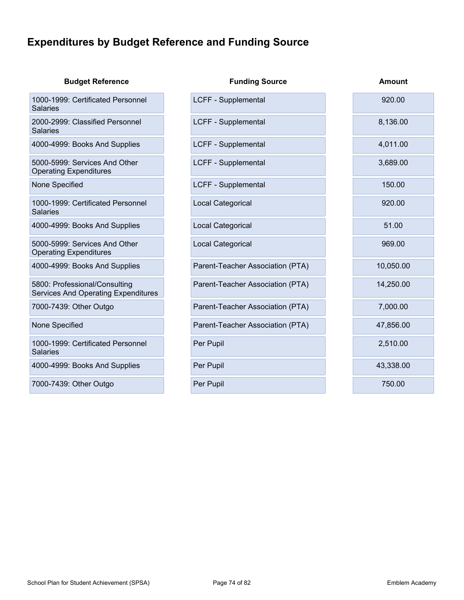# **Expenditures by Budget Reference and Funding Source**

| <b>Budget Reference</b>                                              | <b>Funding Source</b>            | <b>Amount</b> |
|----------------------------------------------------------------------|----------------------------------|---------------|
| 1000-1999: Certificated Personnel<br>Salaries                        | LCFF - Supplemental              | 920.00        |
| 2000-2999: Classified Personnel<br><b>Salaries</b>                   | LCFF - Supplemental              | 8,136.00      |
| 4000-4999: Books And Supplies                                        | LCFF - Supplemental              | 4,011.00      |
| 5000-5999: Services And Other<br><b>Operating Expenditures</b>       | <b>LCFF - Supplemental</b>       | 3,689.00      |
| None Specified                                                       | LCFF - Supplemental              | 150.00        |
| 1000-1999: Certificated Personnel<br>Salaries                        | Local Categorical                | 920.00        |
| 4000-4999: Books And Supplies                                        | Local Categorical                | 51.00         |
| 5000-5999: Services And Other<br><b>Operating Expenditures</b>       | Local Categorical                | 969.00        |
| 4000-4999: Books And Supplies                                        | Parent-Teacher Association (PTA) | 10,050.00     |
| 5800: Professional/Consulting<br>Services And Operating Expenditures | Parent-Teacher Association (PTA) | 14,250.00     |
| 7000-7439: Other Outgo                                               | Parent-Teacher Association (PTA) | 7,000.00      |
| None Specified                                                       | Parent-Teacher Association (PTA) | 47,856.00     |
| 1000-1999: Certificated Personnel<br>Salaries                        | Per Pupil                        | 2,510.00      |
| 4000-4999: Books And Supplies                                        | Per Pupil                        | 43,338.00     |
| 7000-7439: Other Outgo                                               | Per Pupil                        | 750.00        |
|                                                                      |                                  |               |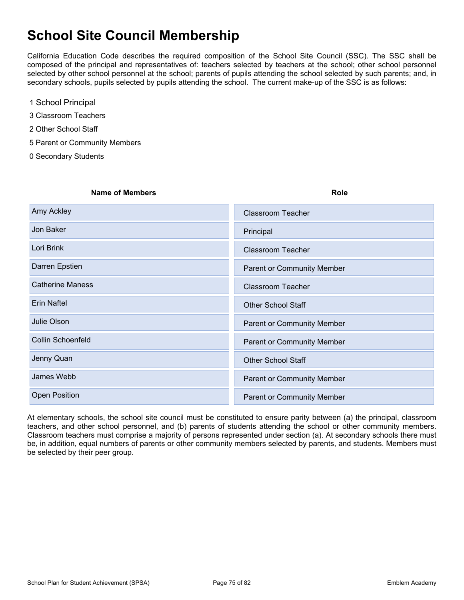# **School Site Council Membership**

California Education Code describes the required composition of the School Site Council (SSC). The SSC shall be composed of the principal and representatives of: teachers selected by teachers at the school; other school personnel selected by other school personnel at the school; parents of pupils attending the school selected by such parents; and, in secondary schools, pupils selected by pupils attending the school. The current make-up of the SSC is as follows:

- 1 School Principal
- 3 Classroom Teachers
- 2 Other School Staff
- 5 Parent or Community Members
- 0 Secondary Students

| <b>Name of Members</b>  | <b>Role</b>                |
|-------------------------|----------------------------|
| Amy Ackley              | <b>Classroom Teacher</b>   |
| Jon Baker               | Principal                  |
| Lori Brink              | <b>Classroom Teacher</b>   |
| Darren Epstien          | Parent or Community Member |
| <b>Catherine Maness</b> | <b>Classroom Teacher</b>   |
| Erin Naftel             | <b>Other School Staff</b>  |
| Julie Olson             | Parent or Community Member |
| Collin Schoenfeld       | Parent or Community Member |
| Jenny Quan              | <b>Other School Staff</b>  |
| James Webb              | Parent or Community Member |
| <b>Open Position</b>    | Parent or Community Member |
|                         |                            |

At elementary schools, the school site council must be constituted to ensure parity between (a) the principal, classroom teachers, and other school personnel, and (b) parents of students attending the school or other community members. Classroom teachers must comprise a majority of persons represented under section (a). At secondary schools there must be, in addition, equal numbers of parents or other community members selected by parents, and students. Members must be selected by their peer group.

School Plan for Student Achievement (SPSA) Page 75 of 82 Chool Plan for Student Academy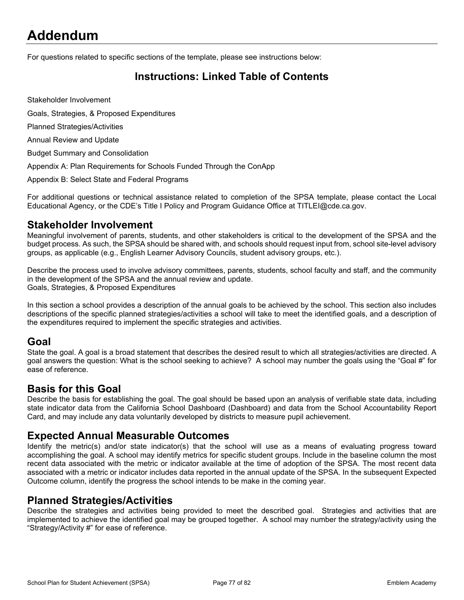# **Addendum**

For questions related to specific sections of the template, please see instructions below:

## **Instructions: Linked Table of Contents**

Stakeholder Involvement

Goals, Strategies, & Proposed Expenditures

Planned Strategies/Activities

Annual Review and Update

Budget Summary and Consolidation

Appendix A: Plan Requirements for Schools Funded Through the ConApp

Appendix B: Select State and Federal Programs

For additional questions or technical assistance related to completion of the SPSA template, please contact the Local Educational Agency, or the CDE's Title I Policy and Program Guidance Office at TITLEI@cde.ca.gov.

#### **Stakeholder Involvement**

Meaningful involvement of parents, students, and other stakeholders is critical to the development of the SPSA and the budget process. As such, the SPSA should be shared with, and schools should request input from, school site-level advisory groups, as applicable (e.g., English Learner Advisory Councils, student advisory groups, etc.).

Describe the process used to involve advisory committees, parents, students, school faculty and staff, and the community in the development of the SPSA and the annual review and update. Goals, Strategies, & Proposed Expenditures

In this section a school provides a description of the annual goals to be achieved by the school. This section also includes descriptions of the specific planned strategies/activities a school will take to meet the identified goals, and a description of the expenditures required to implement the specific strategies and activities.

#### **Goal**

State the goal. A goal is a broad statement that describes the desired result to which all strategies/activities are directed. A goal answers the question: What is the school seeking to achieve? A school may number the goals using the "Goal #" for ease of reference.

#### **Basis for this Goal**

Describe the basis for establishing the goal. The goal should be based upon an analysis of verifiable state data, including state indicator data from the California School Dashboard (Dashboard) and data from the School Accountability Report Card, and may include any data voluntarily developed by districts to measure pupil achievement.

#### **Expected Annual Measurable Outcomes**

Identify the metric(s) and/or state indicator(s) that the school will use as a means of evaluating progress toward accomplishing the goal. A school may identify metrics for specific student groups. Include in the baseline column the most recent data associated with the metric or indicator available at the time of adoption of the SPSA. The most recent data associated with a metric or indicator includes data reported in the annual update of the SPSA. In the subsequent Expected Outcome column, identify the progress the school intends to be make in the coming year.

#### **Planned Strategies/Activities**

Describe the strategies and activities being provided to meet the described goal. Strategies and activities that are implemented to achieve the identified goal may be grouped together. A school may number the strategy/activity using the "Strategy/Activity #" for ease of reference.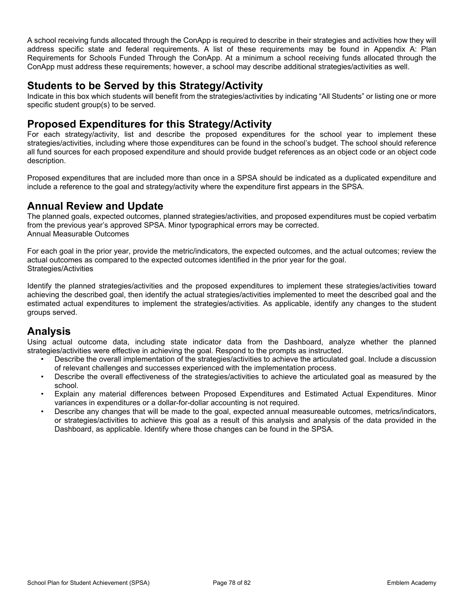A school receiving funds allocated through the ConApp is required to describe in their strategies and activities how they will address specific state and federal requirements. A list of these requirements may be found in Appendix A: Plan Requirements for Schools Funded Through the ConApp. At a minimum a school receiving funds allocated through the ConApp must address these requirements; however, a school may describe additional strategies/activities as well.

#### **Students to be Served by this Strategy/Activity**

Indicate in this box which students will benefit from the strategies/activities by indicating "All Students" or listing one or more specific student group(s) to be served.

#### **Proposed Expenditures for this Strategy/Activity**

For each strategy/activity, list and describe the proposed expenditures for the school year to implement these strategies/activities, including where those expenditures can be found in the school's budget. The school should reference all fund sources for each proposed expenditure and should provide budget references as an object code or an object code description.

Proposed expenditures that are included more than once in a SPSA should be indicated as a duplicated expenditure and include a reference to the goal and strategy/activity where the expenditure first appears in the SPSA.

#### **Annual Review and Update**

The planned goals, expected outcomes, planned strategies/activities, and proposed expenditures must be copied verbatim from the previous year's approved SPSA. Minor typographical errors may be corrected. Annual Measurable Outcomes

For each goal in the prior year, provide the metric/indicators, the expected outcomes, and the actual outcomes; review the actual outcomes as compared to the expected outcomes identified in the prior year for the goal. Strategies/Activities

Identify the planned strategies/activities and the proposed expenditures to implement these strategies/activities toward achieving the described goal, then identify the actual strategies/activities implemented to meet the described goal and the estimated actual expenditures to implement the strategies/activities. As applicable, identify any changes to the student groups served.

#### **Analysis**

Using actual outcome data, including state indicator data from the Dashboard, analyze whether the planned strategies/activities were effective in achieving the goal. Respond to the prompts as instructed.

- Describe the overall implementation of the strategies/activities to achieve the articulated goal. Include a discussion of relevant challenges and successes experienced with the implementation process.
- Describe the overall effectiveness of the strategies/activities to achieve the articulated goal as measured by the school.
- Explain any material differences between Proposed Expenditures and Estimated Actual Expenditures. Minor variances in expenditures or a dollar-for-dollar accounting is not required.
- Describe any changes that will be made to the goal, expected annual measureable outcomes, metrics/indicators, or strategies/activities to achieve this goal as a result of this analysis and analysis of the data provided in the Dashboard, as applicable. Identify where those changes can be found in the SPSA.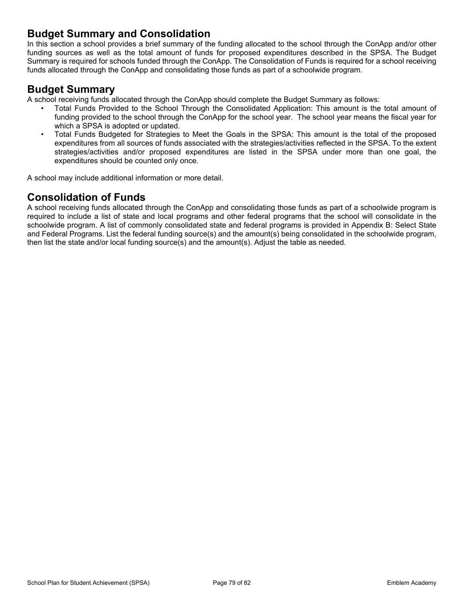#### **Budget Summary and Consolidation**

In this section a school provides a brief summary of the funding allocated to the school through the ConApp and/or other funding sources as well as the total amount of funds for proposed expenditures described in the SPSA. The Budget Summary is required for schools funded through the ConApp. The Consolidation of Funds is required for a school receiving funds allocated through the ConApp and consolidating those funds as part of a schoolwide program.

#### **Budget Summary**

A school receiving funds allocated through the ConApp should complete the Budget Summary as follows:

- Total Funds Provided to the School Through the Consolidated Application: This amount is the total amount of funding provided to the school through the ConApp for the school year. The school year means the fiscal year for which a SPSA is adopted or updated.
- Total Funds Budgeted for Strategies to Meet the Goals in the SPSA: This amount is the total of the proposed expenditures from all sources of funds associated with the strategies/activities reflected in the SPSA. To the extent strategies/activities and/or proposed expenditures are listed in the SPSA under more than one goal, the expenditures should be counted only once.

A school may include additional information or more detail.

## **Consolidation of Funds**

A school receiving funds allocated through the ConApp and consolidating those funds as part of a schoolwide program is required to include a list of state and local programs and other federal programs that the school will consolidate in the schoolwide program. A list of commonly consolidated state and federal programs is provided in Appendix B: Select State and Federal Programs. List the federal funding source(s) and the amount(s) being consolidated in the schoolwide program, then list the state and/or local funding source(s) and the amount(s). Adjust the table as needed.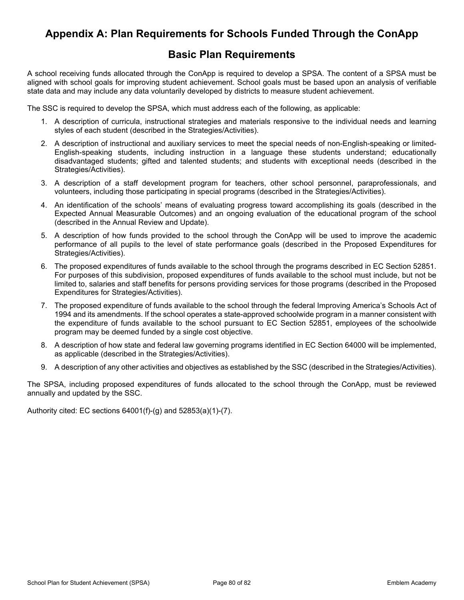## **Appendix A: Plan Requirements for Schools Funded Through the ConApp**

#### **Basic Plan Requirements**

A school receiving funds allocated through the ConApp is required to develop a SPSA. The content of a SPSA must be aligned with school goals for improving student achievement. School goals must be based upon an analysis of verifiable state data and may include any data voluntarily developed by districts to measure student achievement.

The SSC is required to develop the SPSA, which must address each of the following, as applicable:

- 1. A description of curricula, instructional strategies and materials responsive to the individual needs and learning styles of each student (described in the Strategies/Activities).
- 2. A description of instructional and auxiliary services to meet the special needs of non-English-speaking or limited-English-speaking students, including instruction in a language these students understand; educationally disadvantaged students; gifted and talented students; and students with exceptional needs (described in the Strategies/Activities).
- 3. A description of a staff development program for teachers, other school personnel, paraprofessionals, and volunteers, including those participating in special programs (described in the Strategies/Activities).
- 4. An identification of the schools' means of evaluating progress toward accomplishing its goals (described in the Expected Annual Measurable Outcomes) and an ongoing evaluation of the educational program of the school (described in the Annual Review and Update).
- 5. A description of how funds provided to the school through the ConApp will be used to improve the academic performance of all pupils to the level of state performance goals (described in the Proposed Expenditures for Strategies/Activities).
- 6. The proposed expenditures of funds available to the school through the programs described in EC Section 52851. For purposes of this subdivision, proposed expenditures of funds available to the school must include, but not be limited to, salaries and staff benefits for persons providing services for those programs (described in the Proposed Expenditures for Strategies/Activities).
- 7. The proposed expenditure of funds available to the school through the federal Improving America's Schools Act of 1994 and its amendments. If the school operates a state-approved schoolwide program in a manner consistent with the expenditure of funds available to the school pursuant to EC Section 52851, employees of the schoolwide program may be deemed funded by a single cost objective.
- 8. A description of how state and federal law governing programs identified in EC Section 64000 will be implemented, as applicable (described in the Strategies/Activities).
- 9. A description of any other activities and objectives as established by the SSC (described in the Strategies/Activities).

The SPSA, including proposed expenditures of funds allocated to the school through the ConApp, must be reviewed annually and updated by the SSC.

Authority cited: EC sections 64001(f)-(g) and 52853(a)(1)-(7).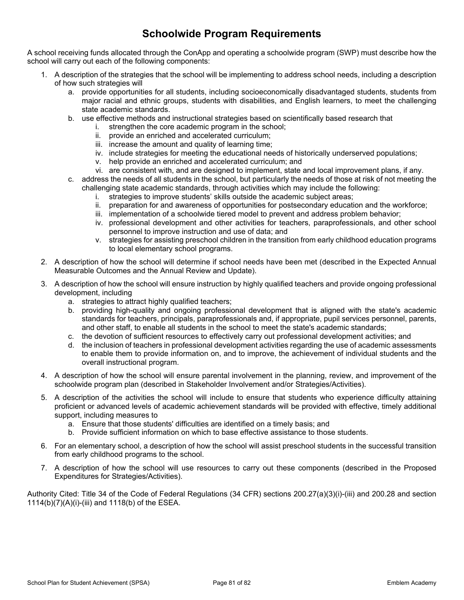# **Schoolwide Program Requirements**

A school receiving funds allocated through the ConApp and operating a schoolwide program (SWP) must describe how the school will carry out each of the following components:

- 1. A description of the strategies that the school will be implementing to address school needs, including a description of how such strategies will
	- a. provide opportunities for all students, including socioeconomically disadvantaged students, students from major racial and ethnic groups, students with disabilities, and English learners, to meet the challenging state academic standards.
	- b. use effective methods and instructional strategies based on scientifically based research that
		- i. strengthen the core academic program in the school;
		- ii. provide an enriched and accelerated curriculum;
		- iii. increase the amount and quality of learning time;
		- iv. include strategies for meeting the educational needs of historically underserved populations;
		- v. help provide an enriched and accelerated curriculum; and
		- vi. are consistent with, and are designed to implement, state and local improvement plans, if any.
	- c. address the needs of all students in the school, but particularly the needs of those at risk of not meeting the challenging state academic standards, through activities which may include the following:
		- i. strategies to improve students' skills outside the academic subject areas;
		- ii. preparation for and awareness of opportunities for postsecondary education and the workforce;
		- iii. implementation of a schoolwide tiered model to prevent and address problem behavior;
		- iv. professional development and other activities for teachers, paraprofessionals, and other school personnel to improve instruction and use of data; and
		- v. strategies for assisting preschool children in the transition from early childhood education programs to local elementary school programs.
- 2. A description of how the school will determine if school needs have been met (described in the Expected Annual Measurable Outcomes and the Annual Review and Update).
- 3. A description of how the school will ensure instruction by highly qualified teachers and provide ongoing professional development, including
	- a. strategies to attract highly qualified teachers;
	- b. providing high-quality and ongoing professional development that is aligned with the state's academic standards for teachers, principals, paraprofessionals and, if appropriate, pupil services personnel, parents, and other staff, to enable all students in the school to meet the state's academic standards;
	- c. the devotion of sufficient resources to effectively carry out professional development activities; and
	- d. the inclusion of teachers in professional development activities regarding the use of academic assessments to enable them to provide information on, and to improve, the achievement of individual students and the overall instructional program.
- 4. A description of how the school will ensure parental involvement in the planning, review, and improvement of the schoolwide program plan (described in Stakeholder Involvement and/or Strategies/Activities).
- 5. A description of the activities the school will include to ensure that students who experience difficulty attaining proficient or advanced levels of academic achievement standards will be provided with effective, timely additional support, including measures to
	- a. Ensure that those students' difficulties are identified on a timely basis; and
	- b. Provide sufficient information on which to base effective assistance to those students.
- 6. For an elementary school, a description of how the school will assist preschool students in the successful transition from early childhood programs to the school.
- 7. A description of how the school will use resources to carry out these components (described in the Proposed Expenditures for Strategies/Activities).

Authority Cited: Title 34 of the Code of Federal Regulations (34 CFR) sections 200.27(a)(3)(i)-(iii) and 200.28 and section 1114(b)(7)(A)(i)-(iii) and 1118(b) of the ESEA.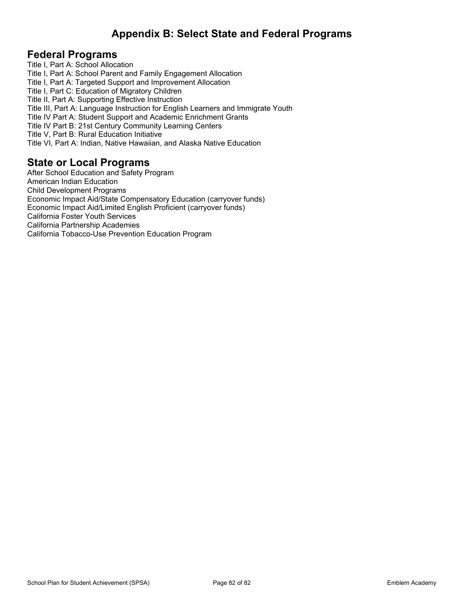# **Appendix B: Select State and Federal Programs**

#### **Federal Programs**

Title I, Part A: School Allocation Title I, Part A: School Parent and Family Engagement Allocation Title I, Part A: Targeted Support and Improvement Allocation Title I, Part C: Education of Migratory Children Title II, Part A: Supporting Effective Instruction Title III, Part A: Language Instruction for English Learners and Immigrate Youth Title IV Part A: Student Support and Academic Enrichment Grants Title IV Part B: 21st Century Community Learning Centers Title V, Part B: Rural Education Initiative Title VI, Part A: Indian, Native Hawaiian, and Alaska Native Education

#### **State or Local Programs**

After School Education and Safety Program American Indian Education Child Development Programs Economic Impact Aid/State Compensatory Education (carryover funds) Economic Impact Aid/Limited English Proficient (carryover funds) California Foster Youth Services California Partnership Academies California Tobacco-Use Prevention Education Program